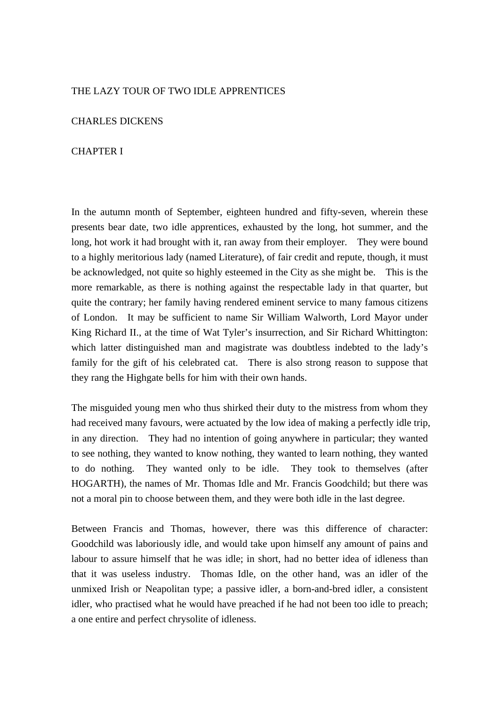### THE LAZY TOUR OF TWO IDLE APPRENTICES

### CHARLES DICKENS

## CHAPTER I

In the autumn month of September, eighteen hundred and fifty-seven, wherein these presents bear date, two idle apprentices, exhausted by the long, hot summer, and the long, hot work it had brought with it, ran away from their employer. They were bound to a highly meritorious lady (named Literature), of fair credit and repute, though, it must be acknowledged, not quite so highly esteemed in the City as she might be. This is the more remarkable, as there is nothing against the respectable lady in that quarter, but quite the contrary; her family having rendered eminent service to many famous citizens of London. It may be sufficient to name Sir William Walworth, Lord Mayor under King Richard II., at the time of Wat Tyler's insurrection, and Sir Richard Whittington: which latter distinguished man and magistrate was doubtless indebted to the lady's family for the gift of his celebrated cat. There is also strong reason to suppose that they rang the Highgate bells for him with their own hands.

The misguided young men who thus shirked their duty to the mistress from whom they had received many favours, were actuated by the low idea of making a perfectly idle trip, in any direction. They had no intention of going anywhere in particular; they wanted to see nothing, they wanted to know nothing, they wanted to learn nothing, they wanted to do nothing. They wanted only to be idle. They took to themselves (after HOGARTH), the names of Mr. Thomas Idle and Mr. Francis Goodchild; but there was not a moral pin to choose between them, and they were both idle in the last degree.

Between Francis and Thomas, however, there was this difference of character: Goodchild was laboriously idle, and would take upon himself any amount of pains and labour to assure himself that he was idle; in short, had no better idea of idleness than that it was useless industry. Thomas Idle, on the other hand, was an idler of the unmixed Irish or Neapolitan type; a passive idler, a born-and-bred idler, a consistent idler, who practised what he would have preached if he had not been too idle to preach; a one entire and perfect chrysolite of idleness.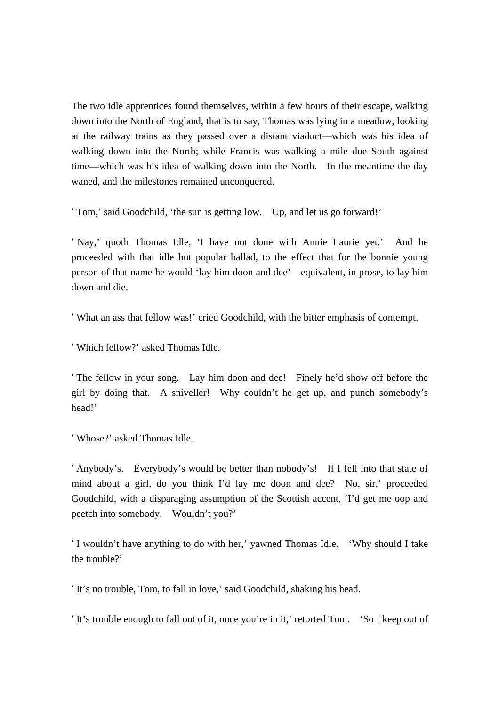The two idle apprentices found themselves, within a few hours of their escape, walking down into the North of England, that is to say, Thomas was lying in a meadow, looking at the railway trains as they passed over a distant viaduct—which was his idea of walking down into the North; while Francis was walking a mile due South against time—which was his idea of walking down into the North. In the meantime the day waned, and the milestones remained unconquered.

'Tom,' said Goodchild, 'the sun is getting low. Up, and let us go forward!'

'Nay,' quoth Thomas Idle, 'I have not done with Annie Laurie yet.' And he proceeded with that idle but popular ballad, to the effect that for the bonnie young person of that name he would 'lay him doon and dee'—equivalent, in prose, to lay him down and die.

'What an ass that fellow was!' cried Goodchild, with the bitter emphasis of contempt.

'Which fellow?' asked Thomas Idle.

'The fellow in your song. Lay him doon and dee! Finely he'd show off before the girl by doing that. A sniveller! Why couldn't he get up, and punch somebody's head!'

'Whose?' asked Thomas Idle.

'Anybody's. Everybody's would be better than nobody's! If I fell into that state of mind about a girl, do you think I'd lay me doon and dee? No, sir,' proceeded Goodchild, with a disparaging assumption of the Scottish accent, 'I'd get me oop and peetch into somebody. Wouldn't you?'

'I wouldn't have anything to do with her,' yawned Thomas Idle. 'Why should I take the trouble?'

'It's no trouble, Tom, to fall in love,' said Goodchild, shaking his head.

'It's trouble enough to fall out of it, once you're in it,' retorted Tom. 'So I keep out of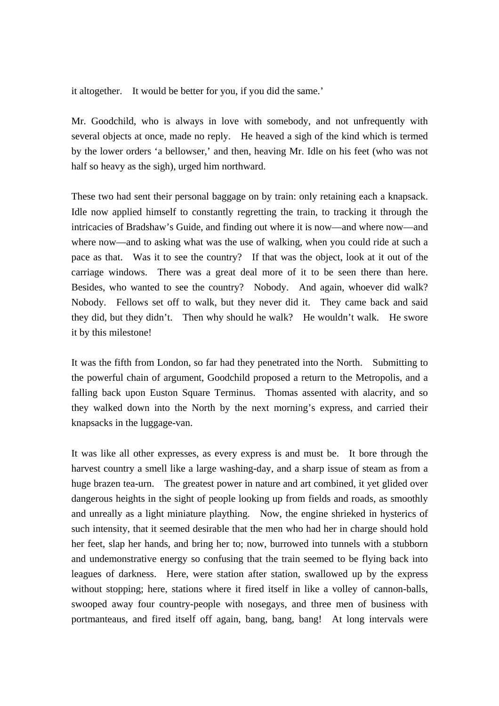it altogether. It would be better for you, if you did the same.'

Mr. Goodchild, who is always in love with somebody, and not unfrequently with several objects at once, made no reply. He heaved a sigh of the kind which is termed by the lower orders 'a bellowser,' and then, heaving Mr. Idle on his feet (who was not half so heavy as the sigh), urged him northward.

These two had sent their personal baggage on by train: only retaining each a knapsack. Idle now applied himself to constantly regretting the train, to tracking it through the intricacies of Bradshaw's Guide, and finding out where it is now—and where now—and where now—and to asking what was the use of walking, when you could ride at such a pace as that. Was it to see the country? If that was the object, look at it out of the carriage windows. There was a great deal more of it to be seen there than here. Besides, who wanted to see the country? Nobody. And again, whoever did walk? Nobody. Fellows set off to walk, but they never did it. They came back and said they did, but they didn't. Then why should he walk? He wouldn't walk. He swore it by this milestone!

It was the fifth from London, so far had they penetrated into the North. Submitting to the powerful chain of argument, Goodchild proposed a return to the Metropolis, and a falling back upon Euston Square Terminus. Thomas assented with alacrity, and so they walked down into the North by the next morning's express, and carried their knapsacks in the luggage-van.

It was like all other expresses, as every express is and must be. It bore through the harvest country a smell like a large washing-day, and a sharp issue of steam as from a huge brazen tea-urn. The greatest power in nature and art combined, it yet glided over dangerous heights in the sight of people looking up from fields and roads, as smoothly and unreally as a light miniature plaything. Now, the engine shrieked in hysterics of such intensity, that it seemed desirable that the men who had her in charge should hold her feet, slap her hands, and bring her to; now, burrowed into tunnels with a stubborn and undemonstrative energy so confusing that the train seemed to be flying back into leagues of darkness. Here, were station after station, swallowed up by the express without stopping; here, stations where it fired itself in like a volley of cannon-balls, swooped away four country-people with nosegays, and three men of business with portmanteaus, and fired itself off again, bang, bang, bang! At long intervals were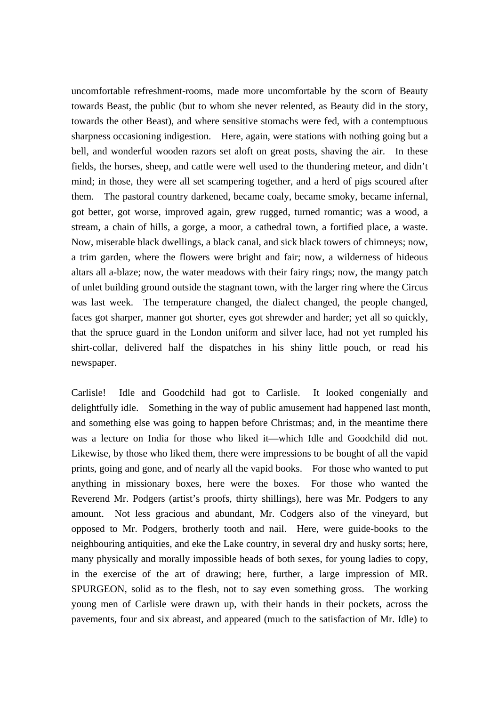uncomfortable refreshment-rooms, made more uncomfortable by the scorn of Beauty towards Beast, the public (but to whom she never relented, as Beauty did in the story, towards the other Beast), and where sensitive stomachs were fed, with a contemptuous sharpness occasioning indigestion. Here, again, were stations with nothing going but a bell, and wonderful wooden razors set aloft on great posts, shaving the air. In these fields, the horses, sheep, and cattle were well used to the thundering meteor, and didn't mind; in those, they were all set scampering together, and a herd of pigs scoured after them. The pastoral country darkened, became coaly, became smoky, became infernal, got better, got worse, improved again, grew rugged, turned romantic; was a wood, a stream, a chain of hills, a gorge, a moor, a cathedral town, a fortified place, a waste. Now, miserable black dwellings, a black canal, and sick black towers of chimneys; now, a trim garden, where the flowers were bright and fair; now, a wilderness of hideous altars all a-blaze; now, the water meadows with their fairy rings; now, the mangy patch of unlet building ground outside the stagnant town, with the larger ring where the Circus was last week. The temperature changed, the dialect changed, the people changed, faces got sharper, manner got shorter, eyes got shrewder and harder; yet all so quickly, that the spruce guard in the London uniform and silver lace, had not yet rumpled his shirt-collar, delivered half the dispatches in his shiny little pouch, or read his newspaper.

Carlisle! Idle and Goodchild had got to Carlisle. It looked congenially and delightfully idle. Something in the way of public amusement had happened last month, and something else was going to happen before Christmas; and, in the meantime there was a lecture on India for those who liked it—which Idle and Goodchild did not. Likewise, by those who liked them, there were impressions to be bought of all the vapid prints, going and gone, and of nearly all the vapid books. For those who wanted to put anything in missionary boxes, here were the boxes. For those who wanted the Reverend Mr. Podgers (artist's proofs, thirty shillings), here was Mr. Podgers to any amount. Not less gracious and abundant, Mr. Codgers also of the vineyard, but opposed to Mr. Podgers, brotherly tooth and nail. Here, were guide-books to the neighbouring antiquities, and eke the Lake country, in several dry and husky sorts; here, many physically and morally impossible heads of both sexes, for young ladies to copy, in the exercise of the art of drawing; here, further, a large impression of MR. SPURGEON, solid as to the flesh, not to say even something gross. The working young men of Carlisle were drawn up, with their hands in their pockets, across the pavements, four and six abreast, and appeared (much to the satisfaction of Mr. Idle) to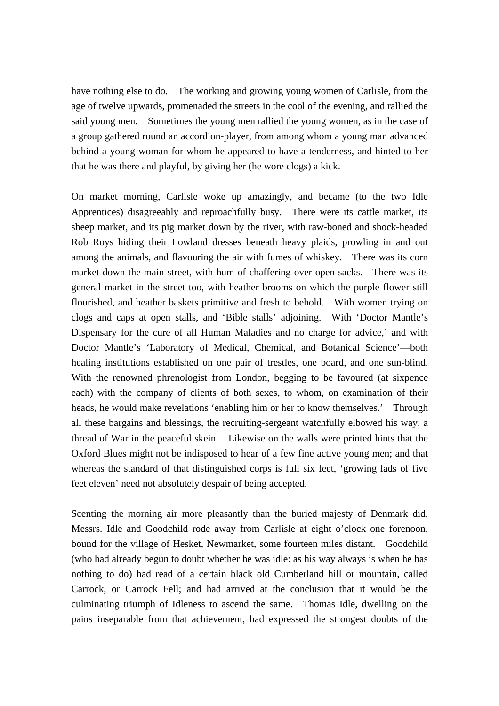have nothing else to do. The working and growing young women of Carlisle, from the age of twelve upwards, promenaded the streets in the cool of the evening, and rallied the said young men. Sometimes the young men rallied the young women, as in the case of a group gathered round an accordion-player, from among whom a young man advanced behind a young woman for whom he appeared to have a tenderness, and hinted to her that he was there and playful, by giving her (he wore clogs) a kick.

On market morning, Carlisle woke up amazingly, and became (to the two Idle Apprentices) disagreeably and reproachfully busy. There were its cattle market, its sheep market, and its pig market down by the river, with raw-boned and shock-headed Rob Roys hiding their Lowland dresses beneath heavy plaids, prowling in and out among the animals, and flavouring the air with fumes of whiskey. There was its corn market down the main street, with hum of chaffering over open sacks. There was its general market in the street too, with heather brooms on which the purple flower still flourished, and heather baskets primitive and fresh to behold. With women trying on clogs and caps at open stalls, and 'Bible stalls' adjoining. With 'Doctor Mantle's Dispensary for the cure of all Human Maladies and no charge for advice,' and with Doctor Mantle's 'Laboratory of Medical, Chemical, and Botanical Science'—both healing institutions established on one pair of trestles, one board, and one sun-blind. With the renowned phrenologist from London, begging to be favoured (at sixpence each) with the company of clients of both sexes, to whom, on examination of their heads, he would make revelations 'enabling him or her to know themselves.' Through all these bargains and blessings, the recruiting-sergeant watchfully elbowed his way, a thread of War in the peaceful skein. Likewise on the walls were printed hints that the Oxford Blues might not be indisposed to hear of a few fine active young men; and that whereas the standard of that distinguished corps is full six feet, 'growing lads of five feet eleven' need not absolutely despair of being accepted.

Scenting the morning air more pleasantly than the buried majesty of Denmark did, Messrs. Idle and Goodchild rode away from Carlisle at eight o'clock one forenoon, bound for the village of Hesket, Newmarket, some fourteen miles distant. Goodchild (who had already begun to doubt whether he was idle: as his way always is when he has nothing to do) had read of a certain black old Cumberland hill or mountain, called Carrock, or Carrock Fell; and had arrived at the conclusion that it would be the culminating triumph of Idleness to ascend the same. Thomas Idle, dwelling on the pains inseparable from that achievement, had expressed the strongest doubts of the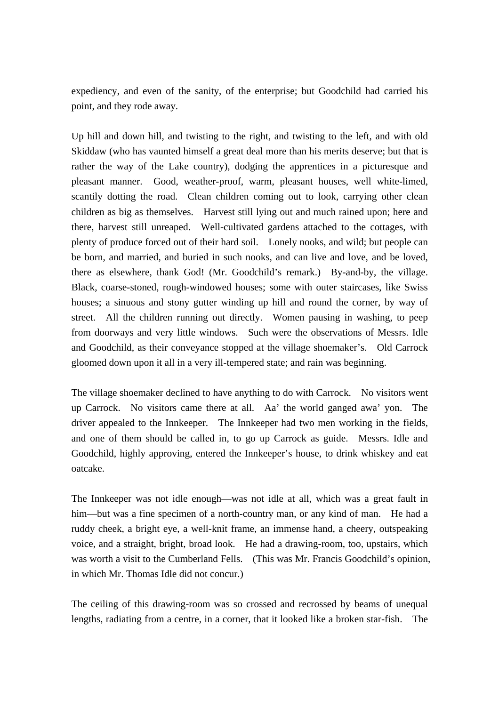expediency, and even of the sanity, of the enterprise; but Goodchild had carried his point, and they rode away.

Up hill and down hill, and twisting to the right, and twisting to the left, and with old Skiddaw (who has vaunted himself a great deal more than his merits deserve; but that is rather the way of the Lake country), dodging the apprentices in a picturesque and pleasant manner. Good, weather-proof, warm, pleasant houses, well white-limed, scantily dotting the road. Clean children coming out to look, carrying other clean children as big as themselves. Harvest still lying out and much rained upon; here and there, harvest still unreaped. Well-cultivated gardens attached to the cottages, with plenty of produce forced out of their hard soil. Lonely nooks, and wild; but people can be born, and married, and buried in such nooks, and can live and love, and be loved, there as elsewhere, thank God! (Mr. Goodchild's remark.) By-and-by, the village. Black, coarse-stoned, rough-windowed houses; some with outer staircases, like Swiss houses; a sinuous and stony gutter winding up hill and round the corner, by way of street. All the children running out directly. Women pausing in washing, to peep from doorways and very little windows. Such were the observations of Messrs. Idle and Goodchild, as their conveyance stopped at the village shoemaker's. Old Carrock gloomed down upon it all in a very ill-tempered state; and rain was beginning.

The village shoemaker declined to have anything to do with Carrock. No visitors went up Carrock. No visitors came there at all. Aa' the world ganged awa' yon. The driver appealed to the Innkeeper. The Innkeeper had two men working in the fields, and one of them should be called in, to go up Carrock as guide. Messrs. Idle and Goodchild, highly approving, entered the Innkeeper's house, to drink whiskey and eat oatcake.

The Innkeeper was not idle enough—was not idle at all, which was a great fault in him—but was a fine specimen of a north-country man, or any kind of man. He had a ruddy cheek, a bright eye, a well-knit frame, an immense hand, a cheery, outspeaking voice, and a straight, bright, broad look. He had a drawing-room, too, upstairs, which was worth a visit to the Cumberland Fells. (This was Mr. Francis Goodchild's opinion, in which Mr. Thomas Idle did not concur.)

The ceiling of this drawing-room was so crossed and recrossed by beams of unequal lengths, radiating from a centre, in a corner, that it looked like a broken star-fish. The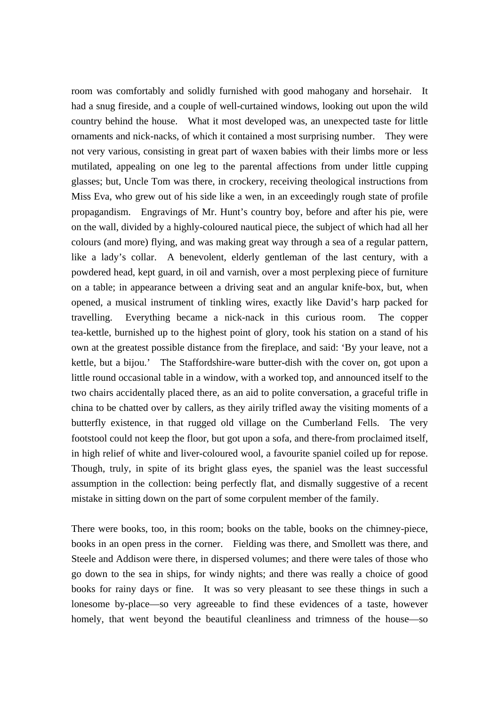room was comfortably and solidly furnished with good mahogany and horsehair. It had a snug fireside, and a couple of well-curtained windows, looking out upon the wild country behind the house. What it most developed was, an unexpected taste for little ornaments and nick-nacks, of which it contained a most surprising number. They were not very various, consisting in great part of waxen babies with their limbs more or less mutilated, appealing on one leg to the parental affections from under little cupping glasses; but, Uncle Tom was there, in crockery, receiving theological instructions from Miss Eva, who grew out of his side like a wen, in an exceedingly rough state of profile propagandism. Engravings of Mr. Hunt's country boy, before and after his pie, were on the wall, divided by a highly-coloured nautical piece, the subject of which had all her colours (and more) flying, and was making great way through a sea of a regular pattern, like a lady's collar. A benevolent, elderly gentleman of the last century, with a powdered head, kept guard, in oil and varnish, over a most perplexing piece of furniture on a table; in appearance between a driving seat and an angular knife-box, but, when opened, a musical instrument of tinkling wires, exactly like David's harp packed for travelling. Everything became a nick-nack in this curious room. The copper tea-kettle, burnished up to the highest point of glory, took his station on a stand of his own at the greatest possible distance from the fireplace, and said: 'By your leave, not a kettle, but a bijou.' The Staffordshire-ware butter-dish with the cover on, got upon a little round occasional table in a window, with a worked top, and announced itself to the two chairs accidentally placed there, as an aid to polite conversation, a graceful trifle in china to be chatted over by callers, as they airily trifled away the visiting moments of a butterfly existence, in that rugged old village on the Cumberland Fells. The very footstool could not keep the floor, but got upon a sofa, and there-from proclaimed itself, in high relief of white and liver-coloured wool, a favourite spaniel coiled up for repose. Though, truly, in spite of its bright glass eyes, the spaniel was the least successful assumption in the collection: being perfectly flat, and dismally suggestive of a recent mistake in sitting down on the part of some corpulent member of the family.

There were books, too, in this room; books on the table, books on the chimney-piece, books in an open press in the corner. Fielding was there, and Smollett was there, and Steele and Addison were there, in dispersed volumes; and there were tales of those who go down to the sea in ships, for windy nights; and there was really a choice of good books for rainy days or fine. It was so very pleasant to see these things in such a lonesome by-place—so very agreeable to find these evidences of a taste, however homely, that went beyond the beautiful cleanliness and trimness of the house—so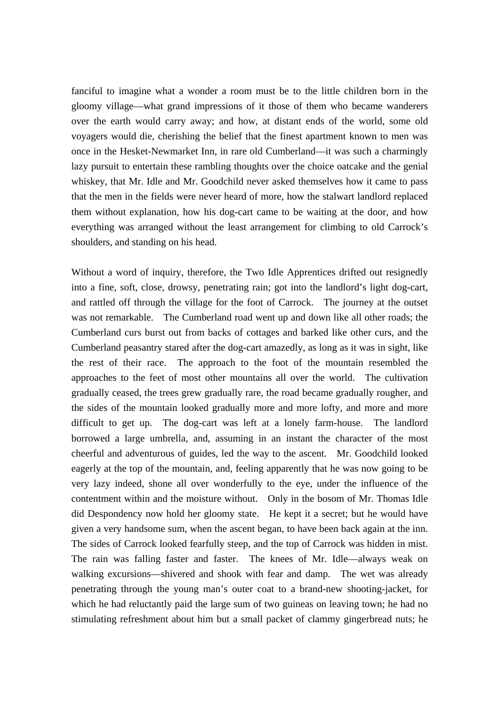fanciful to imagine what a wonder a room must be to the little children born in the gloomy village—what grand impressions of it those of them who became wanderers over the earth would carry away; and how, at distant ends of the world, some old voyagers would die, cherishing the belief that the finest apartment known to men was once in the Hesket-Newmarket Inn, in rare old Cumberland—it was such a charmingly lazy pursuit to entertain these rambling thoughts over the choice oatcake and the genial whiskey, that Mr. Idle and Mr. Goodchild never asked themselves how it came to pass that the men in the fields were never heard of more, how the stalwart landlord replaced them without explanation, how his dog-cart came to be waiting at the door, and how everything was arranged without the least arrangement for climbing to old Carrock's shoulders, and standing on his head.

Without a word of inquiry, therefore, the Two Idle Apprentices drifted out resignedly into a fine, soft, close, drowsy, penetrating rain; got into the landlord's light dog-cart, and rattled off through the village for the foot of Carrock. The journey at the outset was not remarkable. The Cumberland road went up and down like all other roads; the Cumberland curs burst out from backs of cottages and barked like other curs, and the Cumberland peasantry stared after the dog-cart amazedly, as long as it was in sight, like the rest of their race. The approach to the foot of the mountain resembled the approaches to the feet of most other mountains all over the world. The cultivation gradually ceased, the trees grew gradually rare, the road became gradually rougher, and the sides of the mountain looked gradually more and more lofty, and more and more difficult to get up. The dog-cart was left at a lonely farm-house. The landlord borrowed a large umbrella, and, assuming in an instant the character of the most cheerful and adventurous of guides, led the way to the ascent. Mr. Goodchild looked eagerly at the top of the mountain, and, feeling apparently that he was now going to be very lazy indeed, shone all over wonderfully to the eye, under the influence of the contentment within and the moisture without. Only in the bosom of Mr. Thomas Idle did Despondency now hold her gloomy state. He kept it a secret; but he would have given a very handsome sum, when the ascent began, to have been back again at the inn. The sides of Carrock looked fearfully steep, and the top of Carrock was hidden in mist. The rain was falling faster and faster. The knees of Mr. Idle—always weak on walking excursions—shivered and shook with fear and damp. The wet was already penetrating through the young man's outer coat to a brand-new shooting-jacket, for which he had reluctantly paid the large sum of two guineas on leaving town; he had no stimulating refreshment about him but a small packet of clammy gingerbread nuts; he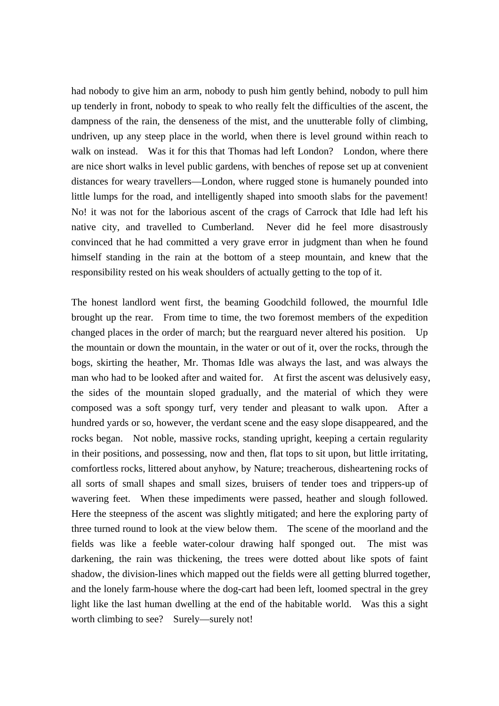had nobody to give him an arm, nobody to push him gently behind, nobody to pull him up tenderly in front, nobody to speak to who really felt the difficulties of the ascent, the dampness of the rain, the denseness of the mist, and the unutterable folly of climbing, undriven, up any steep place in the world, when there is level ground within reach to walk on instead. Was it for this that Thomas had left London? London, where there are nice short walks in level public gardens, with benches of repose set up at convenient distances for weary travellers—London, where rugged stone is humanely pounded into little lumps for the road, and intelligently shaped into smooth slabs for the pavement! No! it was not for the laborious ascent of the crags of Carrock that Idle had left his native city, and travelled to Cumberland. Never did he feel more disastrously convinced that he had committed a very grave error in judgment than when he found himself standing in the rain at the bottom of a steep mountain, and knew that the responsibility rested on his weak shoulders of actually getting to the top of it.

The honest landlord went first, the beaming Goodchild followed, the mournful Idle brought up the rear. From time to time, the two foremost members of the expedition changed places in the order of march; but the rearguard never altered his position. Up the mountain or down the mountain, in the water or out of it, over the rocks, through the bogs, skirting the heather, Mr. Thomas Idle was always the last, and was always the man who had to be looked after and waited for. At first the ascent was delusively easy, the sides of the mountain sloped gradually, and the material of which they were composed was a soft spongy turf, very tender and pleasant to walk upon. After a hundred yards or so, however, the verdant scene and the easy slope disappeared, and the rocks began. Not noble, massive rocks, standing upright, keeping a certain regularity in their positions, and possessing, now and then, flat tops to sit upon, but little irritating, comfortless rocks, littered about anyhow, by Nature; treacherous, disheartening rocks of all sorts of small shapes and small sizes, bruisers of tender toes and trippers-up of wavering feet. When these impediments were passed, heather and slough followed. Here the steepness of the ascent was slightly mitigated; and here the exploring party of three turned round to look at the view below them. The scene of the moorland and the fields was like a feeble water-colour drawing half sponged out. The mist was darkening, the rain was thickening, the trees were dotted about like spots of faint shadow, the division-lines which mapped out the fields were all getting blurred together, and the lonely farm-house where the dog-cart had been left, loomed spectral in the grey light like the last human dwelling at the end of the habitable world. Was this a sight worth climbing to see? Surely—surely not!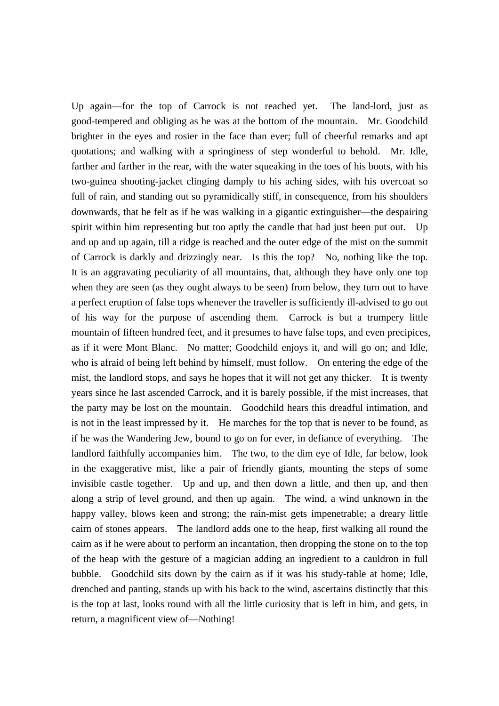Up again—for the top of Carrock is not reached yet. The land-lord, just as good-tempered and obliging as he was at the bottom of the mountain. Mr. Goodchild brighter in the eyes and rosier in the face than ever; full of cheerful remarks and apt quotations; and walking with a springiness of step wonderful to behold. Mr. Idle, farther and farther in the rear, with the water squeaking in the toes of his boots, with his two-guinea shooting-jacket clinging damply to his aching sides, with his overcoat so full of rain, and standing out so pyramidically stiff, in consequence, from his shoulders downwards, that he felt as if he was walking in a gigantic extinguisher—the despairing spirit within him representing but too aptly the candle that had just been put out. Up and up and up again, till a ridge is reached and the outer edge of the mist on the summit of Carrock is darkly and drizzingly near. Is this the top? No, nothing like the top. It is an aggravating peculiarity of all mountains, that, although they have only one top when they are seen (as they ought always to be seen) from below, they turn out to have a perfect eruption of false tops whenever the traveller is sufficiently ill-advised to go out of his way for the purpose of ascending them. Carrock is but a trumpery little mountain of fifteen hundred feet, and it presumes to have false tops, and even precipices, as if it were Mont Blanc. No matter; Goodchild enjoys it, and will go on; and Idle, who is afraid of being left behind by himself, must follow. On entering the edge of the mist, the landlord stops, and says he hopes that it will not get any thicker. It is twenty years since he last ascended Carrock, and it is barely possible, if the mist increases, that the party may be lost on the mountain. Goodchild hears this dreadful intimation, and is not in the least impressed by it. He marches for the top that is never to be found, as if he was the Wandering Jew, bound to go on for ever, in defiance of everything. The landlord faithfully accompanies him. The two, to the dim eye of Idle, far below, look in the exaggerative mist, like a pair of friendly giants, mounting the steps of some invisible castle together. Up and up, and then down a little, and then up, and then along a strip of level ground, and then up again. The wind, a wind unknown in the happy valley, blows keen and strong; the rain-mist gets impenetrable; a dreary little cairn of stones appears. The landlord adds one to the heap, first walking all round the cairn as if he were about to perform an incantation, then dropping the stone on to the top of the heap with the gesture of a magician adding an ingredient to a cauldron in full bubble. Goodchild sits down by the cairn as if it was his study-table at home; Idle, drenched and panting, stands up with his back to the wind, ascertains distinctly that this is the top at last, looks round with all the little curiosity that is left in him, and gets, in return, a magnificent view of—Nothing!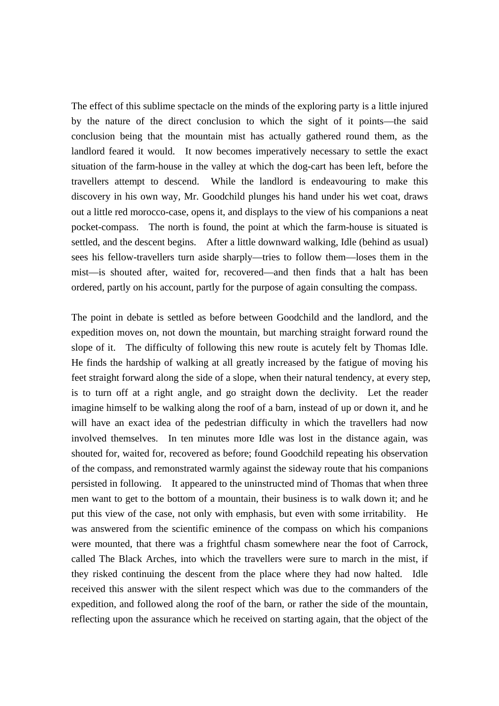The effect of this sublime spectacle on the minds of the exploring party is a little injured by the nature of the direct conclusion to which the sight of it points—the said conclusion being that the mountain mist has actually gathered round them, as the landlord feared it would. It now becomes imperatively necessary to settle the exact situation of the farm-house in the valley at which the dog-cart has been left, before the travellers attempt to descend. While the landlord is endeavouring to make this discovery in his own way, Mr. Goodchild plunges his hand under his wet coat, draws out a little red morocco-case, opens it, and displays to the view of his companions a neat pocket-compass. The north is found, the point at which the farm-house is situated is settled, and the descent begins. After a little downward walking, Idle (behind as usual) sees his fellow-travellers turn aside sharply—tries to follow them—loses them in the mist—is shouted after, waited for, recovered—and then finds that a halt has been ordered, partly on his account, partly for the purpose of again consulting the compass.

The point in debate is settled as before between Goodchild and the landlord, and the expedition moves on, not down the mountain, but marching straight forward round the slope of it. The difficulty of following this new route is acutely felt by Thomas Idle. He finds the hardship of walking at all greatly increased by the fatigue of moving his feet straight forward along the side of a slope, when their natural tendency, at every step, is to turn off at a right angle, and go straight down the declivity. Let the reader imagine himself to be walking along the roof of a barn, instead of up or down it, and he will have an exact idea of the pedestrian difficulty in which the travellers had now involved themselves. In ten minutes more Idle was lost in the distance again, was shouted for, waited for, recovered as before; found Goodchild repeating his observation of the compass, and remonstrated warmly against the sideway route that his companions persisted in following. It appeared to the uninstructed mind of Thomas that when three men want to get to the bottom of a mountain, their business is to walk down it; and he put this view of the case, not only with emphasis, but even with some irritability. He was answered from the scientific eminence of the compass on which his companions were mounted, that there was a frightful chasm somewhere near the foot of Carrock, called The Black Arches, into which the travellers were sure to march in the mist, if they risked continuing the descent from the place where they had now halted. Idle received this answer with the silent respect which was due to the commanders of the expedition, and followed along the roof of the barn, or rather the side of the mountain, reflecting upon the assurance which he received on starting again, that the object of the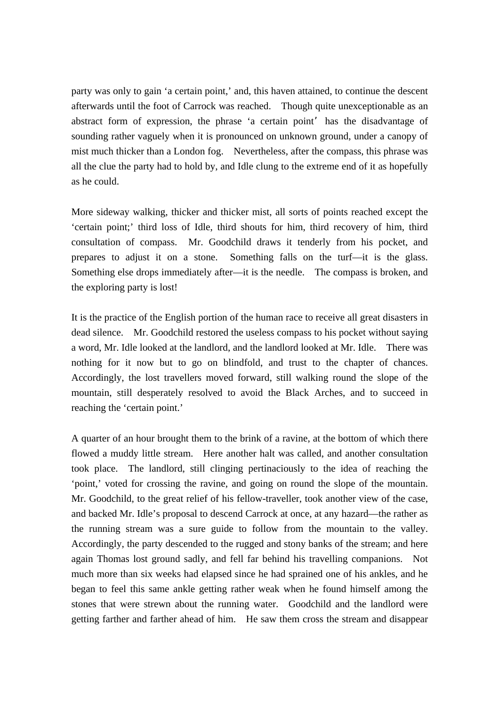party was only to gain 'a certain point,' and, this haven attained, to continue the descent afterwards until the foot of Carrock was reached. Though quite unexceptionable as an abstract form of expression, the phrase 'a certain point' has the disadvantage of sounding rather vaguely when it is pronounced on unknown ground, under a canopy of mist much thicker than a London fog. Nevertheless, after the compass, this phrase was all the clue the party had to hold by, and Idle clung to the extreme end of it as hopefully as he could.

More sideway walking, thicker and thicker mist, all sorts of points reached except the 'certain point;' third loss of Idle, third shouts for him, third recovery of him, third consultation of compass. Mr. Goodchild draws it tenderly from his pocket, and prepares to adjust it on a stone. Something falls on the turf—it is the glass. Something else drops immediately after—it is the needle. The compass is broken, and the exploring party is lost!

It is the practice of the English portion of the human race to receive all great disasters in dead silence. Mr. Goodchild restored the useless compass to his pocket without saying a word, Mr. Idle looked at the landlord, and the landlord looked at Mr. Idle. There was nothing for it now but to go on blindfold, and trust to the chapter of chances. Accordingly, the lost travellers moved forward, still walking round the slope of the mountain, still desperately resolved to avoid the Black Arches, and to succeed in reaching the 'certain point.'

A quarter of an hour brought them to the brink of a ravine, at the bottom of which there flowed a muddy little stream. Here another halt was called, and another consultation took place. The landlord, still clinging pertinaciously to the idea of reaching the 'point,' voted for crossing the ravine, and going on round the slope of the mountain. Mr. Goodchild, to the great relief of his fellow-traveller, took another view of the case, and backed Mr. Idle's proposal to descend Carrock at once, at any hazard—the rather as the running stream was a sure guide to follow from the mountain to the valley. Accordingly, the party descended to the rugged and stony banks of the stream; and here again Thomas lost ground sadly, and fell far behind his travelling companions. Not much more than six weeks had elapsed since he had sprained one of his ankles, and he began to feel this same ankle getting rather weak when he found himself among the stones that were strewn about the running water. Goodchild and the landlord were getting farther and farther ahead of him. He saw them cross the stream and disappear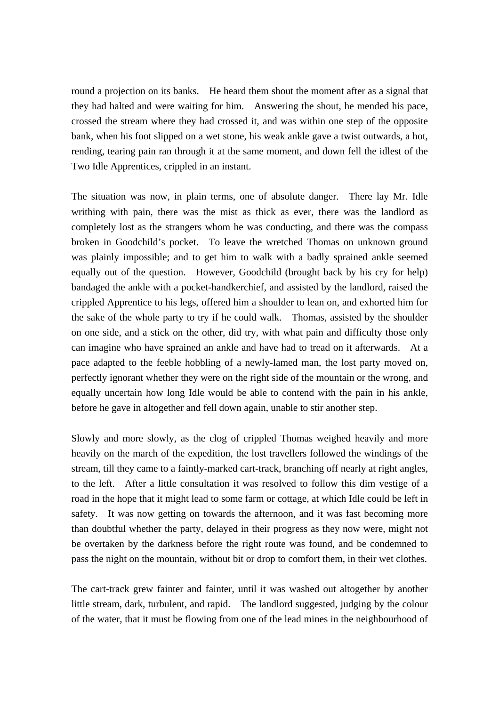round a projection on its banks. He heard them shout the moment after as a signal that they had halted and were waiting for him. Answering the shout, he mended his pace, crossed the stream where they had crossed it, and was within one step of the opposite bank, when his foot slipped on a wet stone, his weak ankle gave a twist outwards, a hot, rending, tearing pain ran through it at the same moment, and down fell the idlest of the Two Idle Apprentices, crippled in an instant.

The situation was now, in plain terms, one of absolute danger. There lay Mr. Idle writhing with pain, there was the mist as thick as ever, there was the landlord as completely lost as the strangers whom he was conducting, and there was the compass broken in Goodchild's pocket. To leave the wretched Thomas on unknown ground was plainly impossible; and to get him to walk with a badly sprained ankle seemed equally out of the question. However, Goodchild (brought back by his cry for help) bandaged the ankle with a pocket-handkerchief, and assisted by the landlord, raised the crippled Apprentice to his legs, offered him a shoulder to lean on, and exhorted him for the sake of the whole party to try if he could walk. Thomas, assisted by the shoulder on one side, and a stick on the other, did try, with what pain and difficulty those only can imagine who have sprained an ankle and have had to tread on it afterwards. At a pace adapted to the feeble hobbling of a newly-lamed man, the lost party moved on, perfectly ignorant whether they were on the right side of the mountain or the wrong, and equally uncertain how long Idle would be able to contend with the pain in his ankle, before he gave in altogether and fell down again, unable to stir another step.

Slowly and more slowly, as the clog of crippled Thomas weighed heavily and more heavily on the march of the expedition, the lost travellers followed the windings of the stream, till they came to a faintly-marked cart-track, branching off nearly at right angles, to the left. After a little consultation it was resolved to follow this dim vestige of a road in the hope that it might lead to some farm or cottage, at which Idle could be left in safety. It was now getting on towards the afternoon, and it was fast becoming more than doubtful whether the party, delayed in their progress as they now were, might not be overtaken by the darkness before the right route was found, and be condemned to pass the night on the mountain, without bit or drop to comfort them, in their wet clothes.

The cart-track grew fainter and fainter, until it was washed out altogether by another little stream, dark, turbulent, and rapid. The landlord suggested, judging by the colour of the water, that it must be flowing from one of the lead mines in the neighbourhood of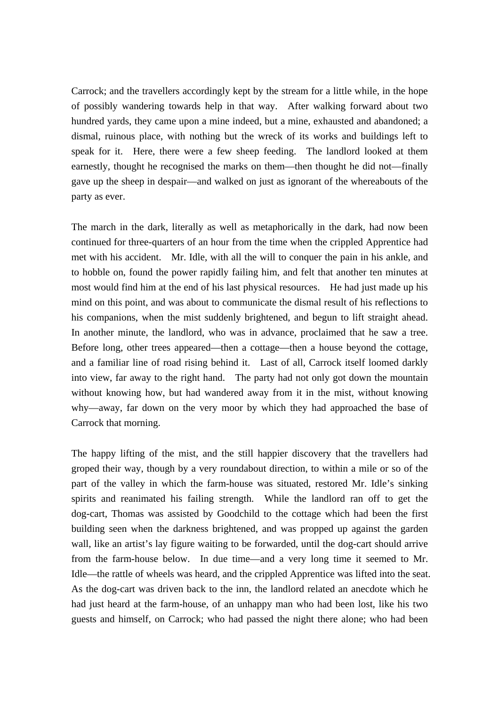Carrock; and the travellers accordingly kept by the stream for a little while, in the hope of possibly wandering towards help in that way. After walking forward about two hundred yards, they came upon a mine indeed, but a mine, exhausted and abandoned; a dismal, ruinous place, with nothing but the wreck of its works and buildings left to speak for it. Here, there were a few sheep feeding. The landlord looked at them earnestly, thought he recognised the marks on them—then thought he did not—finally gave up the sheep in despair—and walked on just as ignorant of the whereabouts of the party as ever.

The march in the dark, literally as well as metaphorically in the dark, had now been continued for three-quarters of an hour from the time when the crippled Apprentice had met with his accident. Mr. Idle, with all the will to conquer the pain in his ankle, and to hobble on, found the power rapidly failing him, and felt that another ten minutes at most would find him at the end of his last physical resources. He had just made up his mind on this point, and was about to communicate the dismal result of his reflections to his companions, when the mist suddenly brightened, and begun to lift straight ahead. In another minute, the landlord, who was in advance, proclaimed that he saw a tree. Before long, other trees appeared—then a cottage—then a house beyond the cottage, and a familiar line of road rising behind it. Last of all, Carrock itself loomed darkly into view, far away to the right hand. The party had not only got down the mountain without knowing how, but had wandered away from it in the mist, without knowing why—away, far down on the very moor by which they had approached the base of Carrock that morning.

The happy lifting of the mist, and the still happier discovery that the travellers had groped their way, though by a very roundabout direction, to within a mile or so of the part of the valley in which the farm-house was situated, restored Mr. Idle's sinking spirits and reanimated his failing strength. While the landlord ran off to get the dog-cart, Thomas was assisted by Goodchild to the cottage which had been the first building seen when the darkness brightened, and was propped up against the garden wall, like an artist's lay figure waiting to be forwarded, until the dog-cart should arrive from the farm-house below. In due time—and a very long time it seemed to Mr. Idle—the rattle of wheels was heard, and the crippled Apprentice was lifted into the seat. As the dog-cart was driven back to the inn, the landlord related an anecdote which he had just heard at the farm-house, of an unhappy man who had been lost, like his two guests and himself, on Carrock; who had passed the night there alone; who had been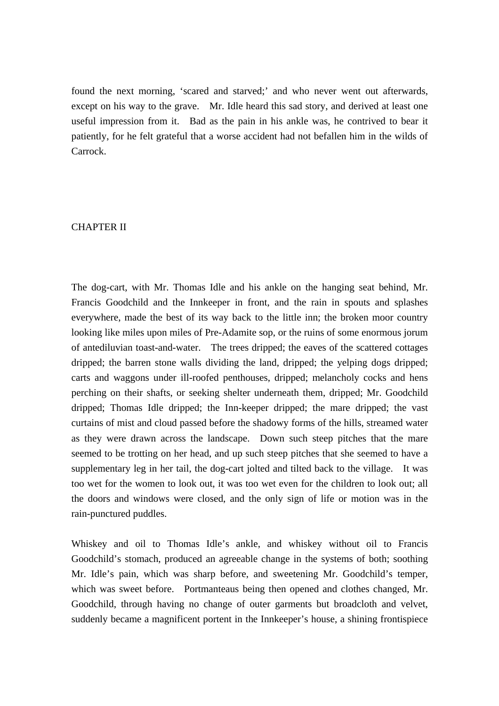found the next morning, 'scared and starved;' and who never went out afterwards, except on his way to the grave. Mr. Idle heard this sad story, and derived at least one useful impression from it. Bad as the pain in his ankle was, he contrived to bear it patiently, for he felt grateful that a worse accident had not befallen him in the wilds of Carrock.

# CHAPTER II

The dog-cart, with Mr. Thomas Idle and his ankle on the hanging seat behind, Mr. Francis Goodchild and the Innkeeper in front, and the rain in spouts and splashes everywhere, made the best of its way back to the little inn; the broken moor country looking like miles upon miles of Pre-Adamite sop, or the ruins of some enormous jorum of antediluvian toast-and-water. The trees dripped; the eaves of the scattered cottages dripped; the barren stone walls dividing the land, dripped; the yelping dogs dripped; carts and waggons under ill-roofed penthouses, dripped; melancholy cocks and hens perching on their shafts, or seeking shelter underneath them, dripped; Mr. Goodchild dripped; Thomas Idle dripped; the Inn-keeper dripped; the mare dripped; the vast curtains of mist and cloud passed before the shadowy forms of the hills, streamed water as they were drawn across the landscape. Down such steep pitches that the mare seemed to be trotting on her head, and up such steep pitches that she seemed to have a supplementary leg in her tail, the dog-cart jolted and tilted back to the village. It was too wet for the women to look out, it was too wet even for the children to look out; all the doors and windows were closed, and the only sign of life or motion was in the rain-punctured puddles.

Whiskey and oil to Thomas Idle's ankle, and whiskey without oil to Francis Goodchild's stomach, produced an agreeable change in the systems of both; soothing Mr. Idle's pain, which was sharp before, and sweetening Mr. Goodchild's temper, which was sweet before. Portmanteaus being then opened and clothes changed, Mr. Goodchild, through having no change of outer garments but broadcloth and velvet, suddenly became a magnificent portent in the Innkeeper's house, a shining frontispiece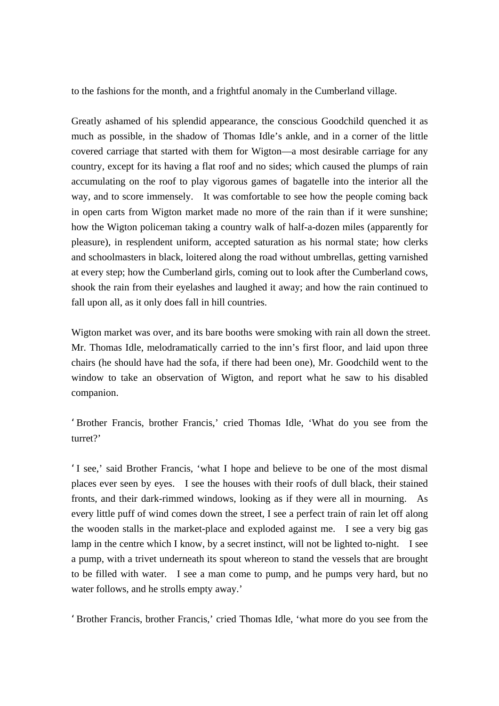to the fashions for the month, and a frightful anomaly in the Cumberland village.

Greatly ashamed of his splendid appearance, the conscious Goodchild quenched it as much as possible, in the shadow of Thomas Idle's ankle, and in a corner of the little covered carriage that started with them for Wigton—a most desirable carriage for any country, except for its having a flat roof and no sides; which caused the plumps of rain accumulating on the roof to play vigorous games of bagatelle into the interior all the way, and to score immensely. It was comfortable to see how the people coming back in open carts from Wigton market made no more of the rain than if it were sunshine; how the Wigton policeman taking a country walk of half-a-dozen miles (apparently for pleasure), in resplendent uniform, accepted saturation as his normal state; how clerks and schoolmasters in black, loitered along the road without umbrellas, getting varnished at every step; how the Cumberland girls, coming out to look after the Cumberland cows, shook the rain from their eyelashes and laughed it away; and how the rain continued to fall upon all, as it only does fall in hill countries.

Wigton market was over, and its bare booths were smoking with rain all down the street. Mr. Thomas Idle, melodramatically carried to the inn's first floor, and laid upon three chairs (he should have had the sofa, if there had been one), Mr. Goodchild went to the window to take an observation of Wigton, and report what he saw to his disabled companion.

'Brother Francis, brother Francis,' cried Thomas Idle, 'What do you see from the turret?'

'I see,' said Brother Francis, 'what I hope and believe to be one of the most dismal places ever seen by eyes. I see the houses with their roofs of dull black, their stained fronts, and their dark-rimmed windows, looking as if they were all in mourning. As every little puff of wind comes down the street, I see a perfect train of rain let off along the wooden stalls in the market-place and exploded against me. I see a very big gas lamp in the centre which I know, by a secret instinct, will not be lighted to-night. I see a pump, with a trivet underneath its spout whereon to stand the vessels that are brought to be filled with water. I see a man come to pump, and he pumps very hard, but no water follows, and he strolls empty away.'

'Brother Francis, brother Francis,' cried Thomas Idle, 'what more do you see from the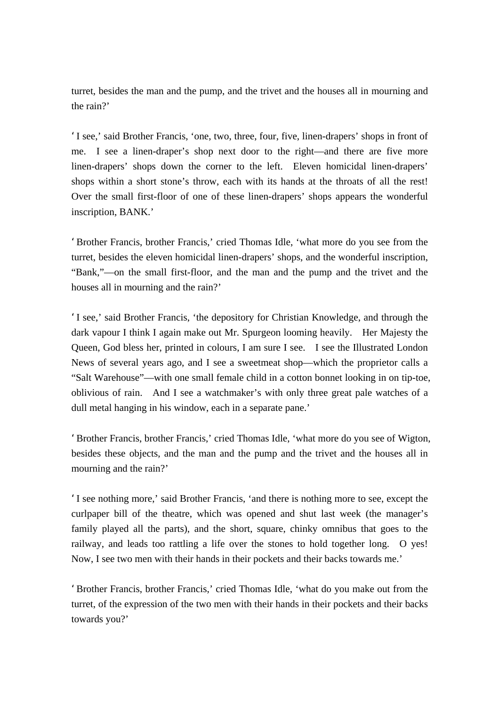turret, besides the man and the pump, and the trivet and the houses all in mourning and the rain?'

'I see,' said Brother Francis, 'one, two, three, four, five, linen-drapers' shops in front of me. I see a linen-draper's shop next door to the right—and there are five more linen-drapers' shops down the corner to the left. Eleven homicidal linen-drapers' shops within a short stone's throw, each with its hands at the throats of all the rest! Over the small first-floor of one of these linen-drapers' shops appears the wonderful inscription, BANK.'

'Brother Francis, brother Francis,' cried Thomas Idle, 'what more do you see from the turret, besides the eleven homicidal linen-drapers' shops, and the wonderful inscription, "Bank,"—on the small first-floor, and the man and the pump and the trivet and the houses all in mourning and the rain?'

'I see,' said Brother Francis, 'the depository for Christian Knowledge, and through the dark vapour I think I again make out Mr. Spurgeon looming heavily. Her Majesty the Queen, God bless her, printed in colours, I am sure I see. I see the Illustrated London News of several years ago, and I see a sweetmeat shop—which the proprietor calls a "Salt Warehouse"—with one small female child in a cotton bonnet looking in on tip-toe, oblivious of rain. And I see a watchmaker's with only three great pale watches of a dull metal hanging in his window, each in a separate pane.'

'Brother Francis, brother Francis,' cried Thomas Idle, 'what more do you see of Wigton, besides these objects, and the man and the pump and the trivet and the houses all in mourning and the rain?'

'I see nothing more,' said Brother Francis, 'and there is nothing more to see, except the curlpaper bill of the theatre, which was opened and shut last week (the manager's family played all the parts), and the short, square, chinky omnibus that goes to the railway, and leads too rattling a life over the stones to hold together long. O yes! Now, I see two men with their hands in their pockets and their backs towards me.'

'Brother Francis, brother Francis,' cried Thomas Idle, 'what do you make out from the turret, of the expression of the two men with their hands in their pockets and their backs towards you?'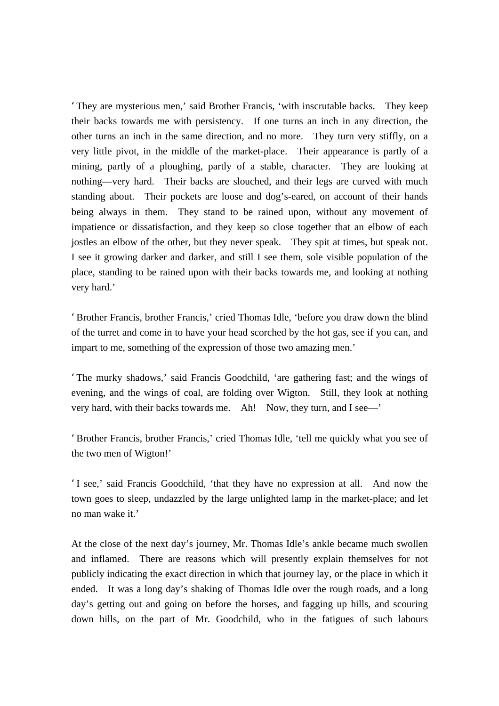'They are mysterious men,' said Brother Francis, 'with inscrutable backs. They keep their backs towards me with persistency. If one turns an inch in any direction, the other turns an inch in the same direction, and no more. They turn very stiffly, on a very little pivot, in the middle of the market-place. Their appearance is partly of a mining, partly of a ploughing, partly of a stable, character. They are looking at nothing—very hard. Their backs are slouched, and their legs are curved with much standing about. Their pockets are loose and dog's-eared, on account of their hands being always in them. They stand to be rained upon, without any movement of impatience or dissatisfaction, and they keep so close together that an elbow of each jostles an elbow of the other, but they never speak. They spit at times, but speak not. I see it growing darker and darker, and still I see them, sole visible population of the place, standing to be rained upon with their backs towards me, and looking at nothing very hard.'

'Brother Francis, brother Francis,' cried Thomas Idle, 'before you draw down the blind of the turret and come in to have your head scorched by the hot gas, see if you can, and impart to me, something of the expression of those two amazing men.'

'The murky shadows,' said Francis Goodchild, 'are gathering fast; and the wings of evening, and the wings of coal, are folding over Wigton. Still, they look at nothing very hard, with their backs towards me. Ah! Now, they turn, and I see—'

'Brother Francis, brother Francis,' cried Thomas Idle, 'tell me quickly what you see of the two men of Wigton!'

'I see,' said Francis Goodchild, 'that they have no expression at all. And now the town goes to sleep, undazzled by the large unlighted lamp in the market-place; and let no man wake it.

At the close of the next day's journey, Mr. Thomas Idle's ankle became much swollen and inflamed. There are reasons which will presently explain themselves for not publicly indicating the exact direction in which that journey lay, or the place in which it ended. It was a long day's shaking of Thomas Idle over the rough roads, and a long day's getting out and going on before the horses, and fagging up hills, and scouring down hills, on the part of Mr. Goodchild, who in the fatigues of such labours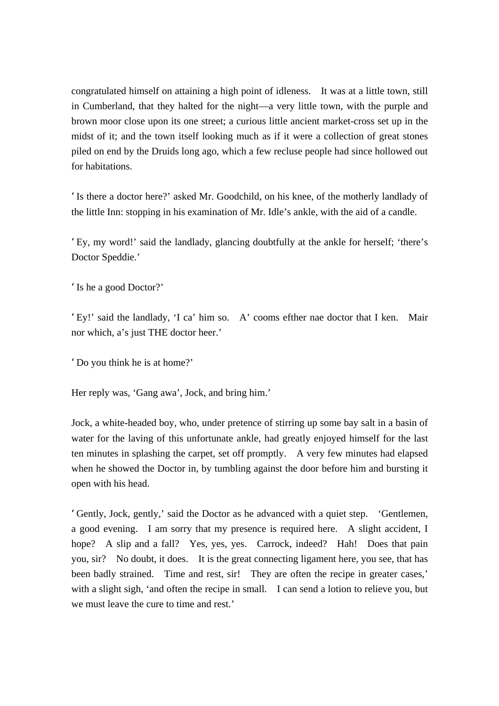congratulated himself on attaining a high point of idleness. It was at a little town, still in Cumberland, that they halted for the night—a very little town, with the purple and brown moor close upon its one street; a curious little ancient market-cross set up in the midst of it; and the town itself looking much as if it were a collection of great stones piled on end by the Druids long ago, which a few recluse people had since hollowed out for habitations.

'Is there a doctor here?' asked Mr. Goodchild, on his knee, of the motherly landlady of the little Inn: stopping in his examination of Mr. Idle's ankle, with the aid of a candle.

'Ey, my word!' said the landlady, glancing doubtfully at the ankle for herself; 'there's Doctor Speddie.'

'Is he a good Doctor?'

'Ey!' said the landlady, 'I ca' him so. A' cooms efther nae doctor that I ken. Mair nor which, a's just THE doctor heer.'

'Do you think he is at home?'

Her reply was, 'Gang awa', Jock, and bring him.'

Jock, a white-headed boy, who, under pretence of stirring up some bay salt in a basin of water for the laving of this unfortunate ankle, had greatly enjoyed himself for the last ten minutes in splashing the carpet, set off promptly. A very few minutes had elapsed when he showed the Doctor in, by tumbling against the door before him and bursting it open with his head.

'Gently, Jock, gently,' said the Doctor as he advanced with a quiet step. 'Gentlemen, a good evening. I am sorry that my presence is required here. A slight accident, I hope? A slip and a fall? Yes, yes, yes. Carrock, indeed? Hah! Does that pain you, sir? No doubt, it does. It is the great connecting ligament here, you see, that has been badly strained. Time and rest, sir! They are often the recipe in greater cases,' with a slight sigh, 'and often the recipe in small. I can send a lotion to relieve you, but we must leave the cure to time and rest.'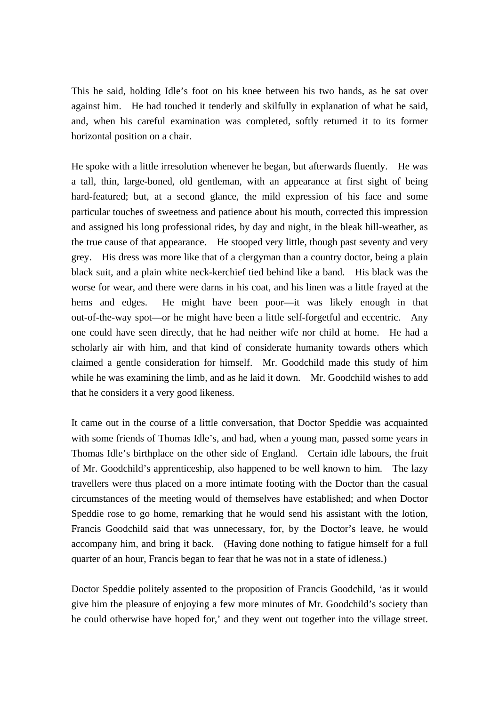This he said, holding Idle's foot on his knee between his two hands, as he sat over against him. He had touched it tenderly and skilfully in explanation of what he said, and, when his careful examination was completed, softly returned it to its former horizontal position on a chair.

He spoke with a little irresolution whenever he began, but afterwards fluently. He was a tall, thin, large-boned, old gentleman, with an appearance at first sight of being hard-featured; but, at a second glance, the mild expression of his face and some particular touches of sweetness and patience about his mouth, corrected this impression and assigned his long professional rides, by day and night, in the bleak hill-weather, as the true cause of that appearance. He stooped very little, though past seventy and very grey. His dress was more like that of a clergyman than a country doctor, being a plain black suit, and a plain white neck-kerchief tied behind like a band. His black was the worse for wear, and there were darns in his coat, and his linen was a little frayed at the hems and edges. He might have been poor—it was likely enough in that out-of-the-way spot—or he might have been a little self-forgetful and eccentric. Any one could have seen directly, that he had neither wife nor child at home. He had a scholarly air with him, and that kind of considerate humanity towards others which claimed a gentle consideration for himself. Mr. Goodchild made this study of him while he was examining the limb, and as he laid it down. Mr. Goodchild wishes to add that he considers it a very good likeness.

It came out in the course of a little conversation, that Doctor Speddie was acquainted with some friends of Thomas Idle's, and had, when a young man, passed some years in Thomas Idle's birthplace on the other side of England. Certain idle labours, the fruit of Mr. Goodchild's apprenticeship, also happened to be well known to him. The lazy travellers were thus placed on a more intimate footing with the Doctor than the casual circumstances of the meeting would of themselves have established; and when Doctor Speddie rose to go home, remarking that he would send his assistant with the lotion, Francis Goodchild said that was unnecessary, for, by the Doctor's leave, he would accompany him, and bring it back. (Having done nothing to fatigue himself for a full quarter of an hour, Francis began to fear that he was not in a state of idleness.)

Doctor Speddie politely assented to the proposition of Francis Goodchild, 'as it would give him the pleasure of enjoying a few more minutes of Mr. Goodchild's society than he could otherwise have hoped for,' and they went out together into the village street.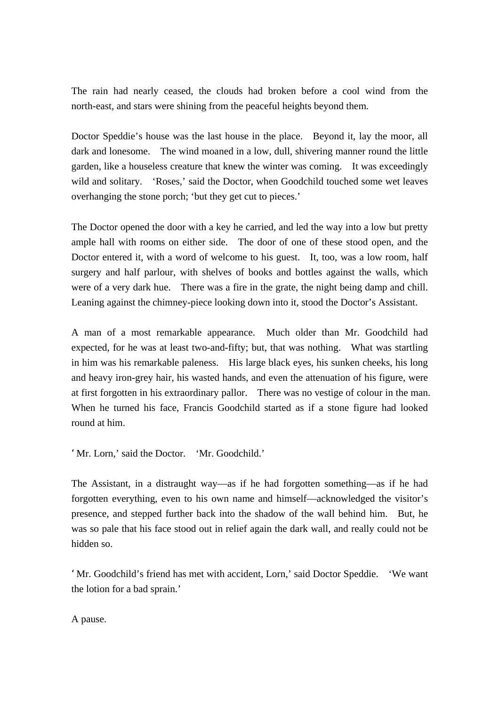The rain had nearly ceased, the clouds had broken before a cool wind from the north-east, and stars were shining from the peaceful heights beyond them.

Doctor Speddie's house was the last house in the place. Beyond it, lay the moor, all dark and lonesome. The wind moaned in a low, dull, shivering manner round the little garden, like a houseless creature that knew the winter was coming. It was exceedingly wild and solitary. 'Roses,' said the Doctor, when Goodchild touched some wet leaves overhanging the stone porch; 'but they get cut to pieces.'

The Doctor opened the door with a key he carried, and led the way into a low but pretty ample hall with rooms on either side. The door of one of these stood open, and the Doctor entered it, with a word of welcome to his guest. It, too, was a low room, half surgery and half parlour, with shelves of books and bottles against the walls, which were of a very dark hue. There was a fire in the grate, the night being damp and chill. Leaning against the chimney-piece looking down into it, stood the Doctor's Assistant.

A man of a most remarkable appearance. Much older than Mr. Goodchild had expected, for he was at least two-and-fifty; but, that was nothing. What was startling in him was his remarkable paleness. His large black eyes, his sunken cheeks, his long and heavy iron-grey hair, his wasted hands, and even the attenuation of his figure, were at first forgotten in his extraordinary pallor. There was no vestige of colour in the man. When he turned his face, Francis Goodchild started as if a stone figure had looked round at him.

'Mr. Lorn,' said the Doctor. 'Mr. Goodchild.'

The Assistant, in a distraught way—as if he had forgotten something—as if he had forgotten everything, even to his own name and himself—acknowledged the visitor's presence, and stepped further back into the shadow of the wall behind him. But, he was so pale that his face stood out in relief again the dark wall, and really could not be hidden so.

'Mr. Goodchild's friend has met with accident, Lorn,' said Doctor Speddie. 'We want the lotion for a bad sprain.'

A pause.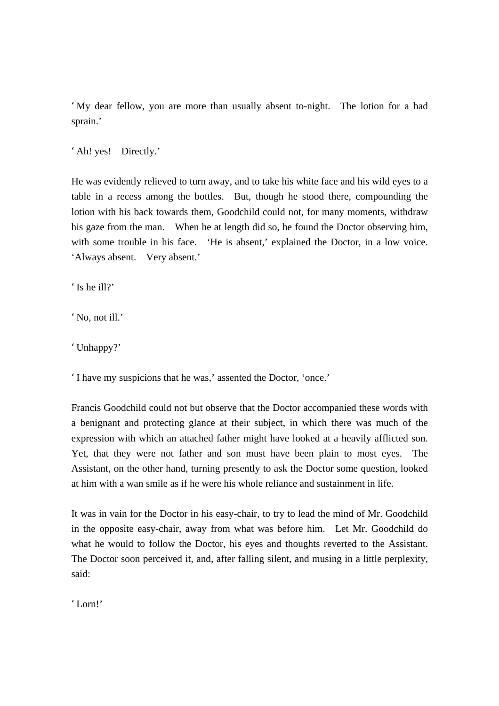'My dear fellow, you are more than usually absent to-night. The lotion for a bad sprain.'

'Ah! yes! Directly.'

He was evidently relieved to turn away, and to take his white face and his wild eyes to a table in a recess among the bottles. But, though he stood there, compounding the lotion with his back towards them, Goodchild could not, for many moments, withdraw his gaze from the man. When he at length did so, he found the Doctor observing him, with some trouble in his face. 'He is absent,' explained the Doctor, in a low voice. 'Always absent. Very absent.'

'Is he ill?'

'No, not ill.'

'Unhappy?'

'I have my suspicions that he was,' assented the Doctor, 'once.'

Francis Goodchild could not but observe that the Doctor accompanied these words with a benignant and protecting glance at their subject, in which there was much of the expression with which an attached father might have looked at a heavily afflicted son. Yet, that they were not father and son must have been plain to most eyes. The Assistant, on the other hand, turning presently to ask the Doctor some question, looked at him with a wan smile as if he were his whole reliance and sustainment in life.

It was in vain for the Doctor in his easy-chair, to try to lead the mind of Mr. Goodchild in the opposite easy-chair, away from what was before him. Let Mr. Goodchild do what he would to follow the Doctor, his eyes and thoughts reverted to the Assistant. The Doctor soon perceived it, and, after falling silent, and musing in a little perplexity, said:

'Lorn!'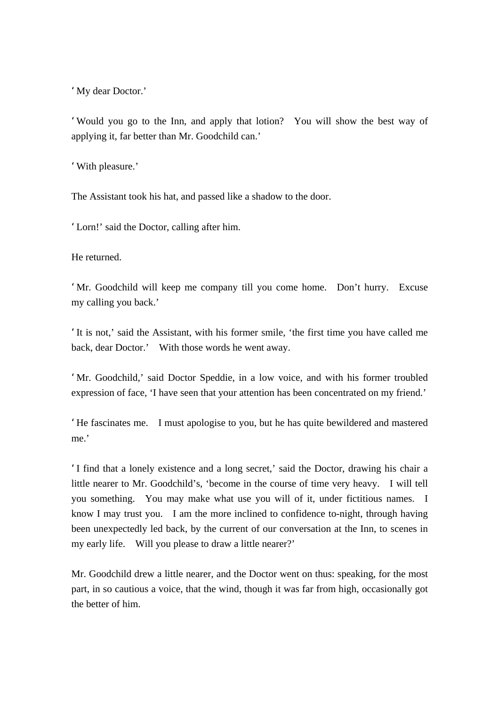'My dear Doctor.'

'Would you go to the Inn, and apply that lotion? You will show the best way of applying it, far better than Mr. Goodchild can.'

'With pleasure.'

The Assistant took his hat, and passed like a shadow to the door.

'Lorn!' said the Doctor, calling after him.

He returned.

'Mr. Goodchild will keep me company till you come home. Don't hurry. Excuse my calling you back.'

'It is not,' said the Assistant, with his former smile, 'the first time you have called me back, dear Doctor.' With those words he went away.

'Mr. Goodchild,' said Doctor Speddie, in a low voice, and with his former troubled expression of face, 'I have seen that your attention has been concentrated on my friend.'

'He fascinates me. I must apologise to you, but he has quite bewildered and mastered me.'

'I find that a lonely existence and a long secret,' said the Doctor, drawing his chair a little nearer to Mr. Goodchild's, 'become in the course of time very heavy. I will tell you something. You may make what use you will of it, under fictitious names. I know I may trust you. I am the more inclined to confidence to-night, through having been unexpectedly led back, by the current of our conversation at the Inn, to scenes in my early life. Will you please to draw a little nearer?'

Mr. Goodchild drew a little nearer, and the Doctor went on thus: speaking, for the most part, in so cautious a voice, that the wind, though it was far from high, occasionally got the better of him.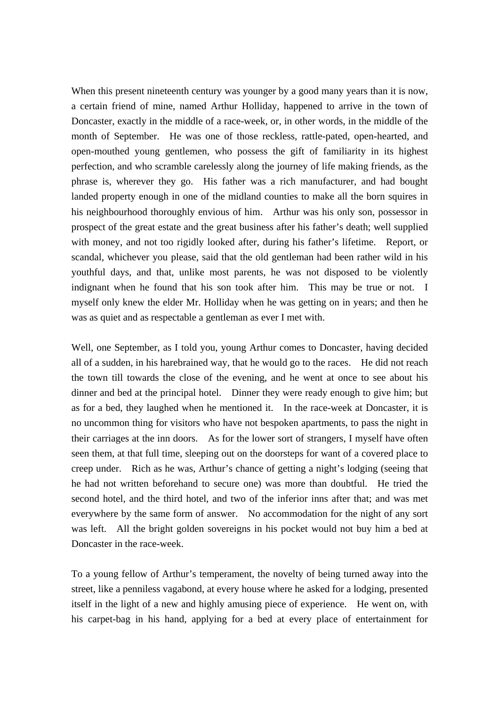When this present nineteenth century was younger by a good many years than it is now, a certain friend of mine, named Arthur Holliday, happened to arrive in the town of Doncaster, exactly in the middle of a race-week, or, in other words, in the middle of the month of September. He was one of those reckless, rattle-pated, open-hearted, and open-mouthed young gentlemen, who possess the gift of familiarity in its highest perfection, and who scramble carelessly along the journey of life making friends, as the phrase is, wherever they go. His father was a rich manufacturer, and had bought landed property enough in one of the midland counties to make all the born squires in his neighbourhood thoroughly envious of him. Arthur was his only son, possessor in prospect of the great estate and the great business after his father's death; well supplied with money, and not too rigidly looked after, during his father's lifetime. Report, or scandal, whichever you please, said that the old gentleman had been rather wild in his youthful days, and that, unlike most parents, he was not disposed to be violently indignant when he found that his son took after him. This may be true or not. I myself only knew the elder Mr. Holliday when he was getting on in years; and then he was as quiet and as respectable a gentleman as ever I met with.

Well, one September, as I told you, young Arthur comes to Doncaster, having decided all of a sudden, in his harebrained way, that he would go to the races. He did not reach the town till towards the close of the evening, and he went at once to see about his dinner and bed at the principal hotel. Dinner they were ready enough to give him; but as for a bed, they laughed when he mentioned it. In the race-week at Doncaster, it is no uncommon thing for visitors who have not bespoken apartments, to pass the night in their carriages at the inn doors. As for the lower sort of strangers, I myself have often seen them, at that full time, sleeping out on the doorsteps for want of a covered place to creep under. Rich as he was, Arthur's chance of getting a night's lodging (seeing that he had not written beforehand to secure one) was more than doubtful. He tried the second hotel, and the third hotel, and two of the inferior inns after that; and was met everywhere by the same form of answer. No accommodation for the night of any sort was left. All the bright golden sovereigns in his pocket would not buy him a bed at Doncaster in the race-week.

To a young fellow of Arthur's temperament, the novelty of being turned away into the street, like a penniless vagabond, at every house where he asked for a lodging, presented itself in the light of a new and highly amusing piece of experience. He went on, with his carpet-bag in his hand, applying for a bed at every place of entertainment for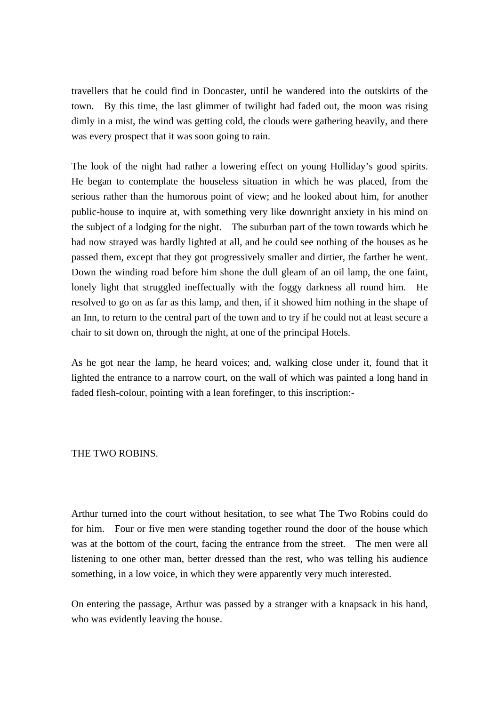travellers that he could find in Doncaster, until he wandered into the outskirts of the town. By this time, the last glimmer of twilight had faded out, the moon was rising dimly in a mist, the wind was getting cold, the clouds were gathering heavily, and there was every prospect that it was soon going to rain.

The look of the night had rather a lowering effect on young Holliday's good spirits. He began to contemplate the houseless situation in which he was placed, from the serious rather than the humorous point of view; and he looked about him, for another public-house to inquire at, with something very like downright anxiety in his mind on the subject of a lodging for the night. The suburban part of the town towards which he had now strayed was hardly lighted at all, and he could see nothing of the houses as he passed them, except that they got progressively smaller and dirtier, the farther he went. Down the winding road before him shone the dull gleam of an oil lamp, the one faint, lonely light that struggled ineffectually with the foggy darkness all round him. He resolved to go on as far as this lamp, and then, if it showed him nothing in the shape of an Inn, to return to the central part of the town and to try if he could not at least secure a chair to sit down on, through the night, at one of the principal Hotels.

As he got near the lamp, he heard voices; and, walking close under it, found that it lighted the entrance to a narrow court, on the wall of which was painted a long hand in faded flesh-colour, pointing with a lean forefinger, to this inscription:-

### THE TWO ROBINS.

Arthur turned into the court without hesitation, to see what The Two Robins could do for him. Four or five men were standing together round the door of the house which was at the bottom of the court, facing the entrance from the street. The men were all listening to one other man, better dressed than the rest, who was telling his audience something, in a low voice, in which they were apparently very much interested.

On entering the passage, Arthur was passed by a stranger with a knapsack in his hand, who was evidently leaving the house.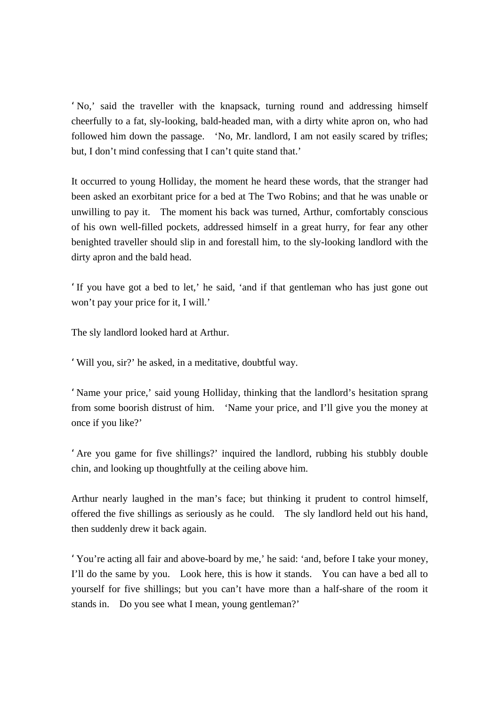'No,' said the traveller with the knapsack, turning round and addressing himself cheerfully to a fat, sly-looking, bald-headed man, with a dirty white apron on, who had followed him down the passage. 'No, Mr. landlord, I am not easily scared by trifles; but, I don't mind confessing that I can't quite stand that.'

It occurred to young Holliday, the moment he heard these words, that the stranger had been asked an exorbitant price for a bed at The Two Robins; and that he was unable or unwilling to pay it. The moment his back was turned, Arthur, comfortably conscious of his own well-filled pockets, addressed himself in a great hurry, for fear any other benighted traveller should slip in and forestall him, to the sly-looking landlord with the dirty apron and the bald head.

'If you have got a bed to let,' he said, 'and if that gentleman who has just gone out won't pay your price for it, I will.'

The sly landlord looked hard at Arthur.

'Will you, sir?' he asked, in a meditative, doubtful way.

'Name your price,' said young Holliday, thinking that the landlord's hesitation sprang from some boorish distrust of him. 'Name your price, and I'll give you the money at once if you like?'

'Are you game for five shillings?' inquired the landlord, rubbing his stubbly double chin, and looking up thoughtfully at the ceiling above him.

Arthur nearly laughed in the man's face; but thinking it prudent to control himself, offered the five shillings as seriously as he could. The sly landlord held out his hand, then suddenly drew it back again.

'You're acting all fair and above-board by me,' he said: 'and, before I take your money, I'll do the same by you. Look here, this is how it stands. You can have a bed all to yourself for five shillings; but you can't have more than a half-share of the room it stands in. Do you see what I mean, young gentleman?'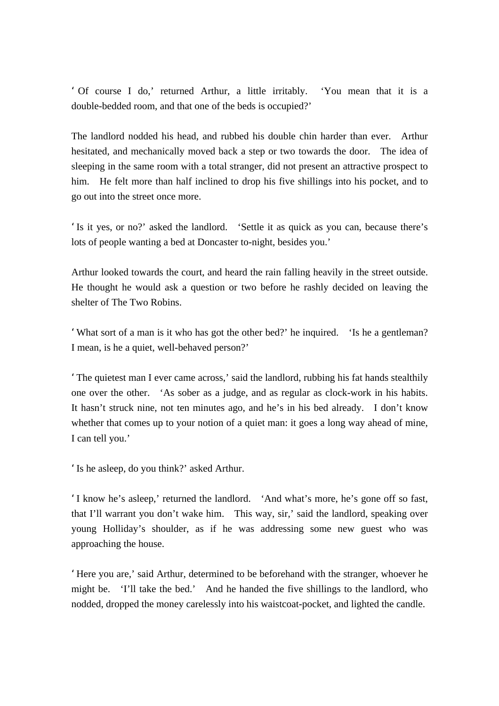' Of course I do,' returned Arthur, a little irritably. 'You mean that it is a double-bedded room, and that one of the beds is occupied?'

The landlord nodded his head, and rubbed his double chin harder than ever. Arthur hesitated, and mechanically moved back a step or two towards the door. The idea of sleeping in the same room with a total stranger, did not present an attractive prospect to him. He felt more than half inclined to drop his five shillings into his pocket, and to go out into the street once more.

'Is it yes, or no?' asked the landlord. 'Settle it as quick as you can, because there's lots of people wanting a bed at Doncaster to-night, besides you.'

Arthur looked towards the court, and heard the rain falling heavily in the street outside. He thought he would ask a question or two before he rashly decided on leaving the shelter of The Two Robins.

'What sort of a man is it who has got the other bed?' he inquired. 'Is he a gentleman? I mean, is he a quiet, well-behaved person?'

'The quietest man I ever came across,' said the landlord, rubbing his fat hands stealthily one over the other. 'As sober as a judge, and as regular as clock-work in his habits. It hasn't struck nine, not ten minutes ago, and he's in his bed already. I don't know whether that comes up to your notion of a quiet man: it goes a long way ahead of mine, I can tell you.'

'Is he asleep, do you think?' asked Arthur.

'I know he's asleep,' returned the landlord. 'And what's more, he's gone off so fast, that I'll warrant you don't wake him. This way, sir,' said the landlord, speaking over young Holliday's shoulder, as if he was addressing some new guest who was approaching the house.

'Here you are,' said Arthur, determined to be beforehand with the stranger, whoever he might be. 'I'll take the bed.' And he handed the five shillings to the landlord, who nodded, dropped the money carelessly into his waistcoat-pocket, and lighted the candle.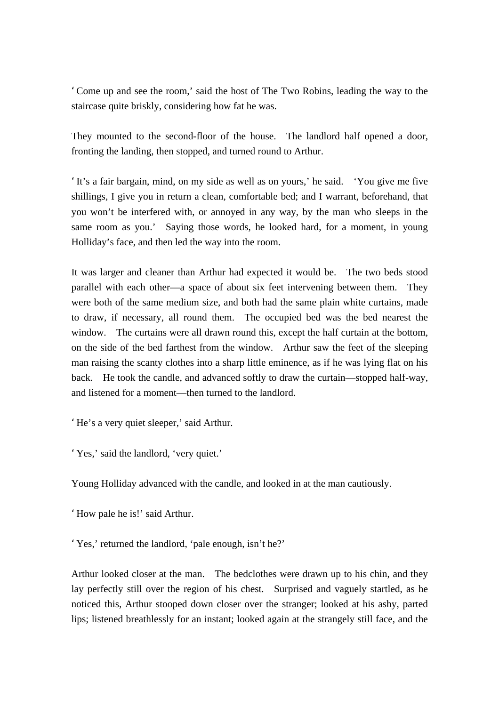'Come up and see the room,' said the host of The Two Robins, leading the way to the staircase quite briskly, considering how fat he was.

They mounted to the second-floor of the house. The landlord half opened a door, fronting the landing, then stopped, and turned round to Arthur.

'It's a fair bargain, mind, on my side as well as on yours,' he said. 'You give me five shillings, I give you in return a clean, comfortable bed; and I warrant, beforehand, that you won't be interfered with, or annoyed in any way, by the man who sleeps in the same room as you.' Saying those words, he looked hard, for a moment, in young Holliday's face, and then led the way into the room.

It was larger and cleaner than Arthur had expected it would be. The two beds stood parallel with each other—a space of about six feet intervening between them. They were both of the same medium size, and both had the same plain white curtains, made to draw, if necessary, all round them. The occupied bed was the bed nearest the window. The curtains were all drawn round this, except the half curtain at the bottom, on the side of the bed farthest from the window. Arthur saw the feet of the sleeping man raising the scanty clothes into a sharp little eminence, as if he was lying flat on his back. He took the candle, and advanced softly to draw the curtain—stopped half-way, and listened for a moment—then turned to the landlord.

'He's a very quiet sleeper,' said Arthur.

'Yes,' said the landlord, 'very quiet.'

Young Holliday advanced with the candle, and looked in at the man cautiously.

'How pale he is!' said Arthur.

'Yes,' returned the landlord, 'pale enough, isn't he?'

Arthur looked closer at the man. The bedclothes were drawn up to his chin, and they lay perfectly still over the region of his chest. Surprised and vaguely startled, as he noticed this, Arthur stooped down closer over the stranger; looked at his ashy, parted lips; listened breathlessly for an instant; looked again at the strangely still face, and the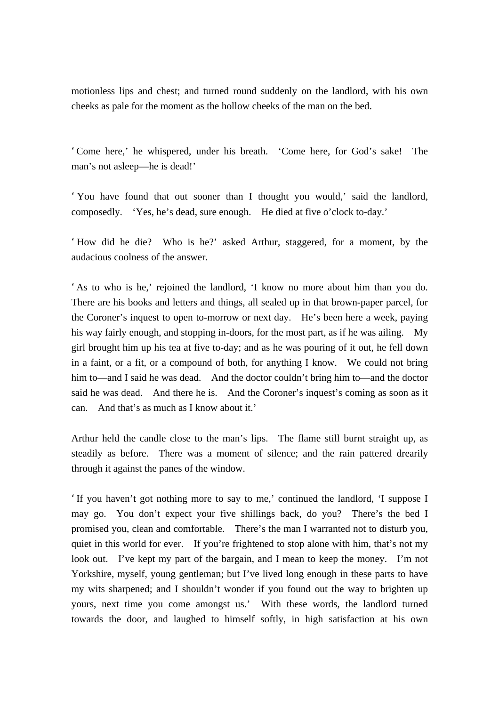motionless lips and chest; and turned round suddenly on the landlord, with his own cheeks as pale for the moment as the hollow cheeks of the man on the bed.

'Come here,' he whispered, under his breath. 'Come here, for God's sake! The man's not asleep—he is dead!'

'You have found that out sooner than I thought you would,' said the landlord, composedly. 'Yes, he's dead, sure enough. He died at five o'clock to-day.'

'How did he die? Who is he?' asked Arthur, staggered, for a moment, by the audacious coolness of the answer.

'As to who is he,' rejoined the landlord, 'I know no more about him than you do. There are his books and letters and things, all sealed up in that brown-paper parcel, for the Coroner's inquest to open to-morrow or next day. He's been here a week, paying his way fairly enough, and stopping in-doors, for the most part, as if he was ailing. My girl brought him up his tea at five to-day; and as he was pouring of it out, he fell down in a faint, or a fit, or a compound of both, for anything I know. We could not bring him to—and I said he was dead. And the doctor couldn't bring him to—and the doctor said he was dead. And there he is. And the Coroner's inquest's coming as soon as it can. And that's as much as I know about it.'

Arthur held the candle close to the man's lips. The flame still burnt straight up, as steadily as before. There was a moment of silence; and the rain pattered drearily through it against the panes of the window.

'If you haven't got nothing more to say to me,' continued the landlord, 'I suppose I may go. You don't expect your five shillings back, do you? There's the bed I promised you, clean and comfortable. There's the man I warranted not to disturb you, quiet in this world for ever. If you're frightened to stop alone with him, that's not my look out. I've kept my part of the bargain, and I mean to keep the money. I'm not Yorkshire, myself, young gentleman; but I've lived long enough in these parts to have my wits sharpened; and I shouldn't wonder if you found out the way to brighten up yours, next time you come amongst us.' With these words, the landlord turned towards the door, and laughed to himself softly, in high satisfaction at his own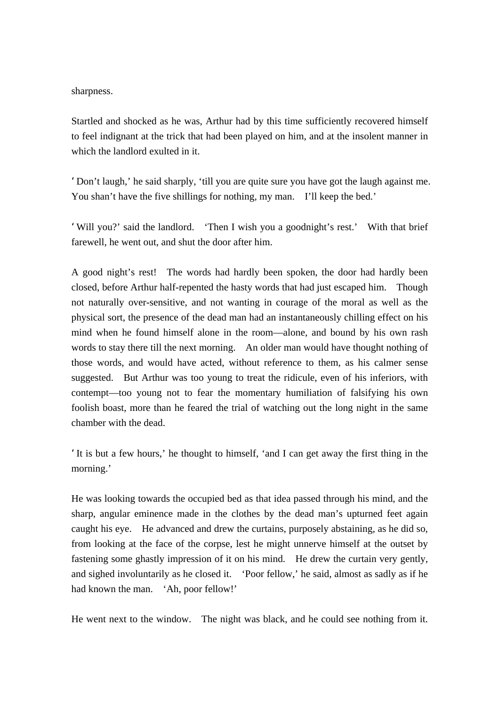sharpness.

Startled and shocked as he was, Arthur had by this time sufficiently recovered himself to feel indignant at the trick that had been played on him, and at the insolent manner in which the landlord exulted in it.

'Don't laugh,' he said sharply, 'till you are quite sure you have got the laugh against me. You shan't have the five shillings for nothing, my man. I'll keep the bed.'

'Will you?' said the landlord. 'Then I wish you a goodnight's rest.' With that brief farewell, he went out, and shut the door after him.

A good night's rest! The words had hardly been spoken, the door had hardly been closed, before Arthur half-repented the hasty words that had just escaped him. Though not naturally over-sensitive, and not wanting in courage of the moral as well as the physical sort, the presence of the dead man had an instantaneously chilling effect on his mind when he found himself alone in the room—alone, and bound by his own rash words to stay there till the next morning. An older man would have thought nothing of those words, and would have acted, without reference to them, as his calmer sense suggested. But Arthur was too young to treat the ridicule, even of his inferiors, with contempt—too young not to fear the momentary humiliation of falsifying his own foolish boast, more than he feared the trial of watching out the long night in the same chamber with the dead.

'It is but a few hours,' he thought to himself, 'and I can get away the first thing in the morning.'

He was looking towards the occupied bed as that idea passed through his mind, and the sharp, angular eminence made in the clothes by the dead man's upturned feet again caught his eye. He advanced and drew the curtains, purposely abstaining, as he did so, from looking at the face of the corpse, lest he might unnerve himself at the outset by fastening some ghastly impression of it on his mind. He drew the curtain very gently, and sighed involuntarily as he closed it. 'Poor fellow,' he said, almost as sadly as if he had known the man. 'Ah, poor fellow!'

He went next to the window. The night was black, and he could see nothing from it.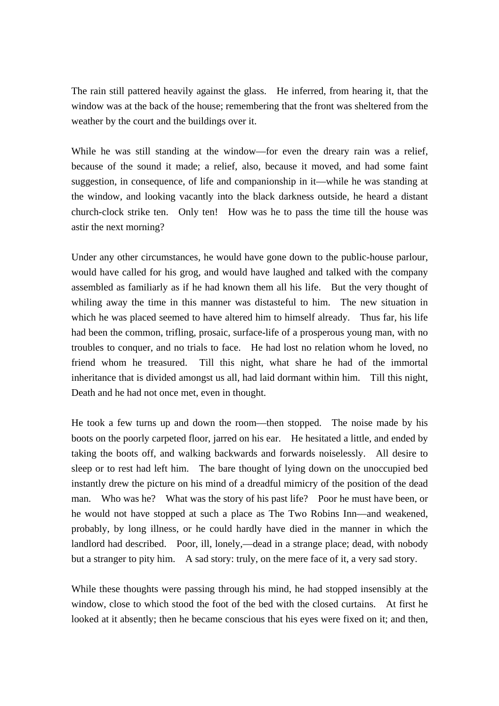The rain still pattered heavily against the glass. He inferred, from hearing it, that the window was at the back of the house; remembering that the front was sheltered from the weather by the court and the buildings over it.

While he was still standing at the window—for even the dreary rain was a relief, because of the sound it made; a relief, also, because it moved, and had some faint suggestion, in consequence, of life and companionship in it—while he was standing at the window, and looking vacantly into the black darkness outside, he heard a distant church-clock strike ten. Only ten! How was he to pass the time till the house was astir the next morning?

Under any other circumstances, he would have gone down to the public-house parlour, would have called for his grog, and would have laughed and talked with the company assembled as familiarly as if he had known them all his life. But the very thought of whiling away the time in this manner was distasteful to him. The new situation in which he was placed seemed to have altered him to himself already. Thus far, his life had been the common, trifling, prosaic, surface-life of a prosperous young man, with no troubles to conquer, and no trials to face. He had lost no relation whom he loved, no friend whom he treasured. Till this night, what share he had of the immortal inheritance that is divided amongst us all, had laid dormant within him. Till this night, Death and he had not once met, even in thought.

He took a few turns up and down the room—then stopped. The noise made by his boots on the poorly carpeted floor, jarred on his ear. He hesitated a little, and ended by taking the boots off, and walking backwards and forwards noiselessly. All desire to sleep or to rest had left him. The bare thought of lying down on the unoccupied bed instantly drew the picture on his mind of a dreadful mimicry of the position of the dead man. Who was he? What was the story of his past life? Poor he must have been, or he would not have stopped at such a place as The Two Robins Inn—and weakened, probably, by long illness, or he could hardly have died in the manner in which the landlord had described. Poor, ill, lonely,—dead in a strange place; dead, with nobody but a stranger to pity him. A sad story: truly, on the mere face of it, a very sad story.

While these thoughts were passing through his mind, he had stopped insensibly at the window, close to which stood the foot of the bed with the closed curtains. At first he looked at it absently; then he became conscious that his eyes were fixed on it; and then,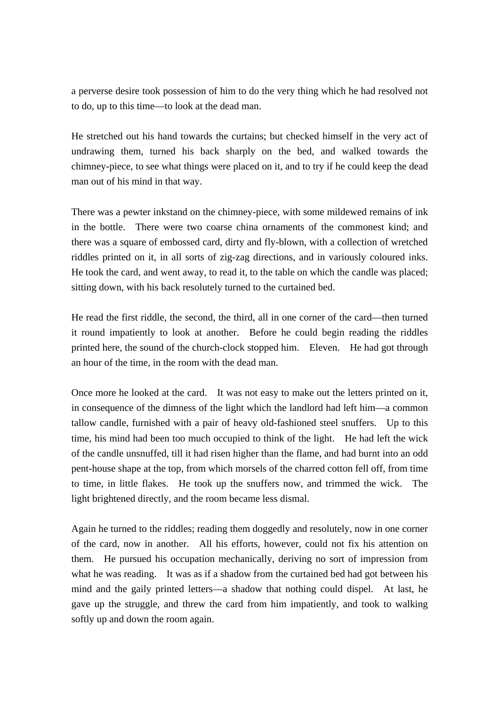a perverse desire took possession of him to do the very thing which he had resolved not to do, up to this time—to look at the dead man.

He stretched out his hand towards the curtains; but checked himself in the very act of undrawing them, turned his back sharply on the bed, and walked towards the chimney-piece, to see what things were placed on it, and to try if he could keep the dead man out of his mind in that way.

There was a pewter inkstand on the chimney-piece, with some mildewed remains of ink in the bottle. There were two coarse china ornaments of the commonest kind; and there was a square of embossed card, dirty and fly-blown, with a collection of wretched riddles printed on it, in all sorts of zig-zag directions, and in variously coloured inks. He took the card, and went away, to read it, to the table on which the candle was placed; sitting down, with his back resolutely turned to the curtained bed.

He read the first riddle, the second, the third, all in one corner of the card—then turned it round impatiently to look at another. Before he could begin reading the riddles printed here, the sound of the church-clock stopped him. Eleven. He had got through an hour of the time, in the room with the dead man.

Once more he looked at the card. It was not easy to make out the letters printed on it, in consequence of the dimness of the light which the landlord had left him—a common tallow candle, furnished with a pair of heavy old-fashioned steel snuffers. Up to this time, his mind had been too much occupied to think of the light. He had left the wick of the candle unsnuffed, till it had risen higher than the flame, and had burnt into an odd pent-house shape at the top, from which morsels of the charred cotton fell off, from time to time, in little flakes. He took up the snuffers now, and trimmed the wick. The light brightened directly, and the room became less dismal.

Again he turned to the riddles; reading them doggedly and resolutely, now in one corner of the card, now in another. All his efforts, however, could not fix his attention on them. He pursued his occupation mechanically, deriving no sort of impression from what he was reading. It was as if a shadow from the curtained bed had got between his mind and the gaily printed letters—a shadow that nothing could dispel. At last, he gave up the struggle, and threw the card from him impatiently, and took to walking softly up and down the room again.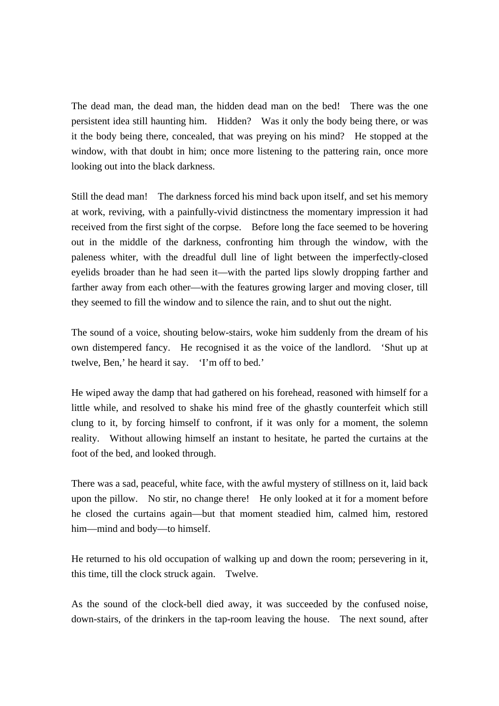The dead man, the dead man, the hidden dead man on the bed! There was the one persistent idea still haunting him. Hidden? Was it only the body being there, or was it the body being there, concealed, that was preying on his mind? He stopped at the window, with that doubt in him; once more listening to the pattering rain, once more looking out into the black darkness.

Still the dead man! The darkness forced his mind back upon itself, and set his memory at work, reviving, with a painfully-vivid distinctness the momentary impression it had received from the first sight of the corpse. Before long the face seemed to be hovering out in the middle of the darkness, confronting him through the window, with the paleness whiter, with the dreadful dull line of light between the imperfectly-closed eyelids broader than he had seen it—with the parted lips slowly dropping farther and farther away from each other—with the features growing larger and moving closer, till they seemed to fill the window and to silence the rain, and to shut out the night.

The sound of a voice, shouting below-stairs, woke him suddenly from the dream of his own distempered fancy. He recognised it as the voice of the landlord. 'Shut up at twelve, Ben,' he heard it say. 'I'm off to bed.'

He wiped away the damp that had gathered on his forehead, reasoned with himself for a little while, and resolved to shake his mind free of the ghastly counterfeit which still clung to it, by forcing himself to confront, if it was only for a moment, the solemn reality. Without allowing himself an instant to hesitate, he parted the curtains at the foot of the bed, and looked through.

There was a sad, peaceful, white face, with the awful mystery of stillness on it, laid back upon the pillow. No stir, no change there! He only looked at it for a moment before he closed the curtains again—but that moment steadied him, calmed him, restored him—mind and body—to himself.

He returned to his old occupation of walking up and down the room; persevering in it, this time, till the clock struck again. Twelve.

As the sound of the clock-bell died away, it was succeeded by the confused noise, down-stairs, of the drinkers in the tap-room leaving the house. The next sound, after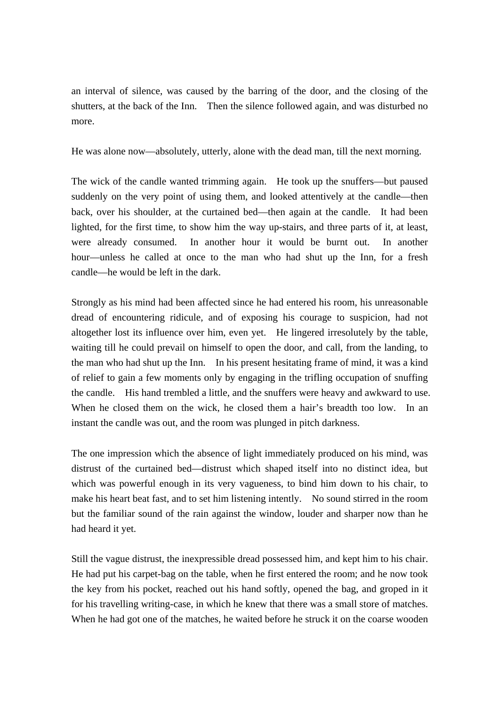an interval of silence, was caused by the barring of the door, and the closing of the shutters, at the back of the Inn. Then the silence followed again, and was disturbed no more.

He was alone now—absolutely, utterly, alone with the dead man, till the next morning.

The wick of the candle wanted trimming again. He took up the snuffers—but paused suddenly on the very point of using them, and looked attentively at the candle—then back, over his shoulder, at the curtained bed—then again at the candle. It had been lighted, for the first time, to show him the way up-stairs, and three parts of it, at least, were already consumed. In another hour it would be burnt out. In another hour—unless he called at once to the man who had shut up the Inn, for a fresh candle—he would be left in the dark.

Strongly as his mind had been affected since he had entered his room, his unreasonable dread of encountering ridicule, and of exposing his courage to suspicion, had not altogether lost its influence over him, even yet. He lingered irresolutely by the table, waiting till he could prevail on himself to open the door, and call, from the landing, to the man who had shut up the Inn. In his present hesitating frame of mind, it was a kind of relief to gain a few moments only by engaging in the trifling occupation of snuffing the candle. His hand trembled a little, and the snuffers were heavy and awkward to use. When he closed them on the wick, he closed them a hair's breadth too low. In an instant the candle was out, and the room was plunged in pitch darkness.

The one impression which the absence of light immediately produced on his mind, was distrust of the curtained bed—distrust which shaped itself into no distinct idea, but which was powerful enough in its very vagueness, to bind him down to his chair, to make his heart beat fast, and to set him listening intently. No sound stirred in the room but the familiar sound of the rain against the window, louder and sharper now than he had heard it yet.

Still the vague distrust, the inexpressible dread possessed him, and kept him to his chair. He had put his carpet-bag on the table, when he first entered the room; and he now took the key from his pocket, reached out his hand softly, opened the bag, and groped in it for his travelling writing-case, in which he knew that there was a small store of matches. When he had got one of the matches, he waited before he struck it on the coarse wooden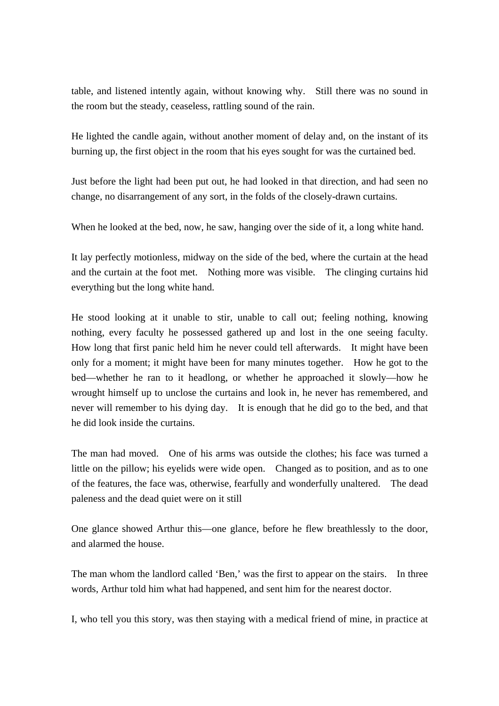table, and listened intently again, without knowing why. Still there was no sound in the room but the steady, ceaseless, rattling sound of the rain.

He lighted the candle again, without another moment of delay and, on the instant of its burning up, the first object in the room that his eyes sought for was the curtained bed.

Just before the light had been put out, he had looked in that direction, and had seen no change, no disarrangement of any sort, in the folds of the closely-drawn curtains.

When he looked at the bed, now, he saw, hanging over the side of it, a long white hand.

It lay perfectly motionless, midway on the side of the bed, where the curtain at the head and the curtain at the foot met. Nothing more was visible. The clinging curtains hid everything but the long white hand.

He stood looking at it unable to stir, unable to call out; feeling nothing, knowing nothing, every faculty he possessed gathered up and lost in the one seeing faculty. How long that first panic held him he never could tell afterwards. It might have been only for a moment; it might have been for many minutes together. How he got to the bed—whether he ran to it headlong, or whether he approached it slowly—how he wrought himself up to unclose the curtains and look in, he never has remembered, and never will remember to his dying day. It is enough that he did go to the bed, and that he did look inside the curtains.

The man had moved. One of his arms was outside the clothes; his face was turned a little on the pillow; his eyelids were wide open. Changed as to position, and as to one of the features, the face was, otherwise, fearfully and wonderfully unaltered. The dead paleness and the dead quiet were on it still

One glance showed Arthur this—one glance, before he flew breathlessly to the door, and alarmed the house.

The man whom the landlord called 'Ben,' was the first to appear on the stairs. In three words, Arthur told him what had happened, and sent him for the nearest doctor.

I, who tell you this story, was then staying with a medical friend of mine, in practice at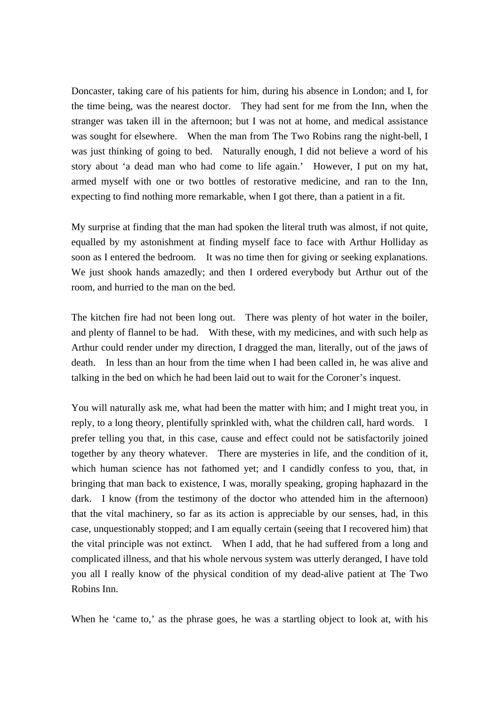Doncaster, taking care of his patients for him, during his absence in London; and I, for the time being, was the nearest doctor. They had sent for me from the Inn, when the stranger was taken ill in the afternoon; but I was not at home, and medical assistance was sought for elsewhere. When the man from The Two Robins rang the night-bell, I was just thinking of going to bed. Naturally enough, I did not believe a word of his story about 'a dead man who had come to life again.' However, I put on my hat, armed myself with one or two bottles of restorative medicine, and ran to the Inn, expecting to find nothing more remarkable, when I got there, than a patient in a fit.

My surprise at finding that the man had spoken the literal truth was almost, if not quite, equalled by my astonishment at finding myself face to face with Arthur Holliday as soon as I entered the bedroom. It was no time then for giving or seeking explanations. We just shook hands amazedly; and then I ordered everybody but Arthur out of the room, and hurried to the man on the bed.

The kitchen fire had not been long out. There was plenty of hot water in the boiler, and plenty of flannel to be had. With these, with my medicines, and with such help as Arthur could render under my direction, I dragged the man, literally, out of the jaws of death. In less than an hour from the time when I had been called in, he was alive and talking in the bed on which he had been laid out to wait for the Coroner's inquest.

You will naturally ask me, what had been the matter with him; and I might treat you, in reply, to a long theory, plentifully sprinkled with, what the children call, hard words. I prefer telling you that, in this case, cause and effect could not be satisfactorily joined together by any theory whatever. There are mysteries in life, and the condition of it, which human science has not fathomed yet; and I candidly confess to you, that, in bringing that man back to existence, I was, morally speaking, groping haphazard in the dark. I know (from the testimony of the doctor who attended him in the afternoon) that the vital machinery, so far as its action is appreciable by our senses, had, in this case, unquestionably stopped; and I am equally certain (seeing that I recovered him) that the vital principle was not extinct. When I add, that he had suffered from a long and complicated illness, and that his whole nervous system was utterly deranged, I have told you all I really know of the physical condition of my dead-alive patient at The Two Robins Inn.

When he 'came to,' as the phrase goes, he was a startling object to look at, with his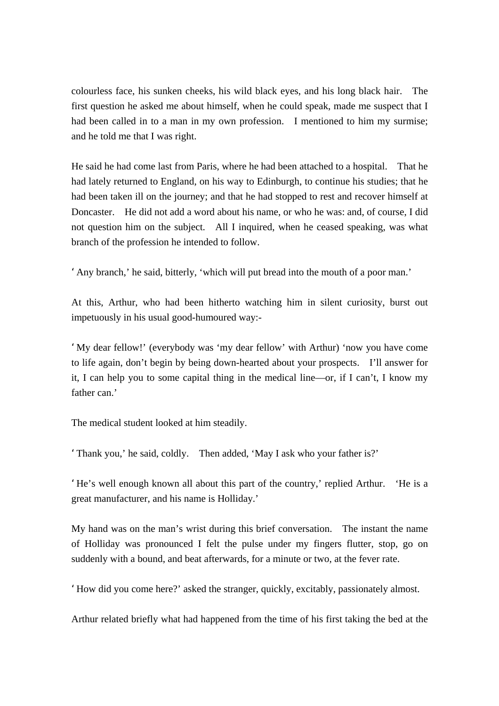colourless face, his sunken cheeks, his wild black eyes, and his long black hair. The first question he asked me about himself, when he could speak, made me suspect that I had been called in to a man in my own profession. I mentioned to him my surmise; and he told me that I was right.

He said he had come last from Paris, where he had been attached to a hospital. That he had lately returned to England, on his way to Edinburgh, to continue his studies; that he had been taken ill on the journey; and that he had stopped to rest and recover himself at Doncaster. He did not add a word about his name, or who he was: and, of course, I did not question him on the subject. All I inquired, when he ceased speaking, was what branch of the profession he intended to follow.

'Any branch,' he said, bitterly, 'which will put bread into the mouth of a poor man.'

At this, Arthur, who had been hitherto watching him in silent curiosity, burst out impetuously in his usual good-humoured way:-

'My dear fellow!' (everybody was 'my dear fellow' with Arthur) 'now you have come to life again, don't begin by being down-hearted about your prospects. I'll answer for it, I can help you to some capital thing in the medical line—or, if I can't, I know my father can<sup>'</sup>

The medical student looked at him steadily.

'Thank you,' he said, coldly. Then added, 'May I ask who your father is?'

'He's well enough known all about this part of the country,' replied Arthur. 'He is a great manufacturer, and his name is Holliday.'

My hand was on the man's wrist during this brief conversation. The instant the name of Holliday was pronounced I felt the pulse under my fingers flutter, stop, go on suddenly with a bound, and beat afterwards, for a minute or two, at the fever rate.

'How did you come here?' asked the stranger, quickly, excitably, passionately almost.

Arthur related briefly what had happened from the time of his first taking the bed at the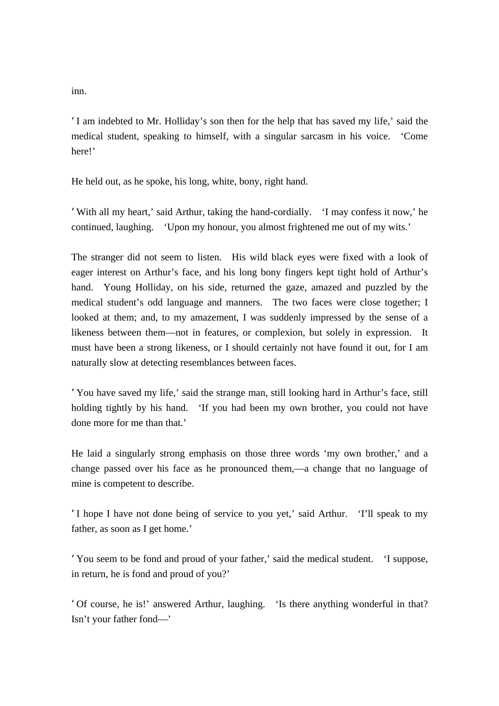inn.

'I am indebted to Mr. Holliday's son then for the help that has saved my life,' said the medical student, speaking to himself, with a singular sarcasm in his voice. 'Come here!'

He held out, as he spoke, his long, white, bony, right hand.

'With all my heart,' said Arthur, taking the hand-cordially. 'I may confess it now,' he continued, laughing. 'Upon my honour, you almost frightened me out of my wits.'

The stranger did not seem to listen. His wild black eyes were fixed with a look of eager interest on Arthur's face, and his long bony fingers kept tight hold of Arthur's hand. Young Holliday, on his side, returned the gaze, amazed and puzzled by the medical student's odd language and manners. The two faces were close together; I looked at them; and, to my amazement, I was suddenly impressed by the sense of a likeness between them—not in features, or complexion, but solely in expression. It must have been a strong likeness, or I should certainly not have found it out, for I am naturally slow at detecting resemblances between faces.

'You have saved my life,' said the strange man, still looking hard in Arthur's face, still holding tightly by his hand. 'If you had been my own brother, you could not have done more for me than that.'

He laid a singularly strong emphasis on those three words 'my own brother,' and a change passed over his face as he pronounced them,—a change that no language of mine is competent to describe.

'I hope I have not done being of service to you yet,' said Arthur. 'I'll speak to my father, as soon as I get home.'

'You seem to be fond and proud of your father,' said the medical student. 'I suppose, in return, he is fond and proud of you?'

'Of course, he is!' answered Arthur, laughing. 'Is there anything wonderful in that? Isn't your father fond—'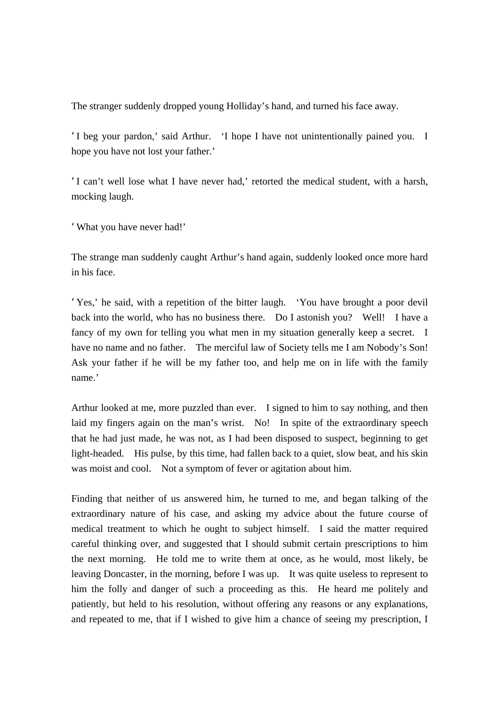The stranger suddenly dropped young Holliday's hand, and turned his face away.

'I beg your pardon,' said Arthur. 'I hope I have not unintentionally pained you. I hope you have not lost your father.'

'I can't well lose what I have never had,' retorted the medical student, with a harsh, mocking laugh.

'What you have never had!'

The strange man suddenly caught Arthur's hand again, suddenly looked once more hard in his face.

'Yes,' he said, with a repetition of the bitter laugh. 'You have brought a poor devil back into the world, who has no business there. Do I astonish you? Well! I have a fancy of my own for telling you what men in my situation generally keep a secret. I have no name and no father. The merciful law of Society tells me I am Nobody's Son! Ask your father if he will be my father too, and help me on in life with the family name.'

Arthur looked at me, more puzzled than ever. I signed to him to say nothing, and then laid my fingers again on the man's wrist. No! In spite of the extraordinary speech that he had just made, he was not, as I had been disposed to suspect, beginning to get light-headed. His pulse, by this time, had fallen back to a quiet, slow beat, and his skin was moist and cool. Not a symptom of fever or agitation about him.

Finding that neither of us answered him, he turned to me, and began talking of the extraordinary nature of his case, and asking my advice about the future course of medical treatment to which he ought to subject himself. I said the matter required careful thinking over, and suggested that I should submit certain prescriptions to him the next morning. He told me to write them at once, as he would, most likely, be leaving Doncaster, in the morning, before I was up. It was quite useless to represent to him the folly and danger of such a proceeding as this. He heard me politely and patiently, but held to his resolution, without offering any reasons or any explanations, and repeated to me, that if I wished to give him a chance of seeing my prescription, I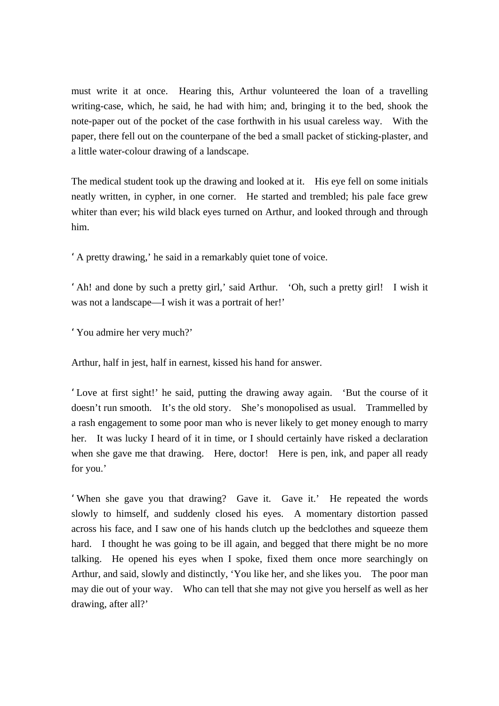must write it at once. Hearing this, Arthur volunteered the loan of a travelling writing-case, which, he said, he had with him; and, bringing it to the bed, shook the note-paper out of the pocket of the case forthwith in his usual careless way. With the paper, there fell out on the counterpane of the bed a small packet of sticking-plaster, and a little water-colour drawing of a landscape.

The medical student took up the drawing and looked at it. His eye fell on some initials neatly written, in cypher, in one corner. He started and trembled; his pale face grew whiter than ever; his wild black eyes turned on Arthur, and looked through and through him.

'A pretty drawing,' he said in a remarkably quiet tone of voice.

'Ah! and done by such a pretty girl,' said Arthur. 'Oh, such a pretty girl! I wish it was not a landscape—I wish it was a portrait of her!'

'You admire her very much?'

Arthur, half in jest, half in earnest, kissed his hand for answer.

'Love at first sight!' he said, putting the drawing away again. 'But the course of it doesn't run smooth. It's the old story. She's monopolised as usual. Trammelled by a rash engagement to some poor man who is never likely to get money enough to marry her. It was lucky I heard of it in time, or I should certainly have risked a declaration when she gave me that drawing. Here, doctor! Here is pen, ink, and paper all ready for you.'

'When she gave you that drawing? Gave it. Gave it.' He repeated the words slowly to himself, and suddenly closed his eyes. A momentary distortion passed across his face, and I saw one of his hands clutch up the bedclothes and squeeze them hard. I thought he was going to be ill again, and begged that there might be no more talking. He opened his eyes when I spoke, fixed them once more searchingly on Arthur, and said, slowly and distinctly, 'You like her, and she likes you. The poor man may die out of your way. Who can tell that she may not give you herself as well as her drawing, after all?'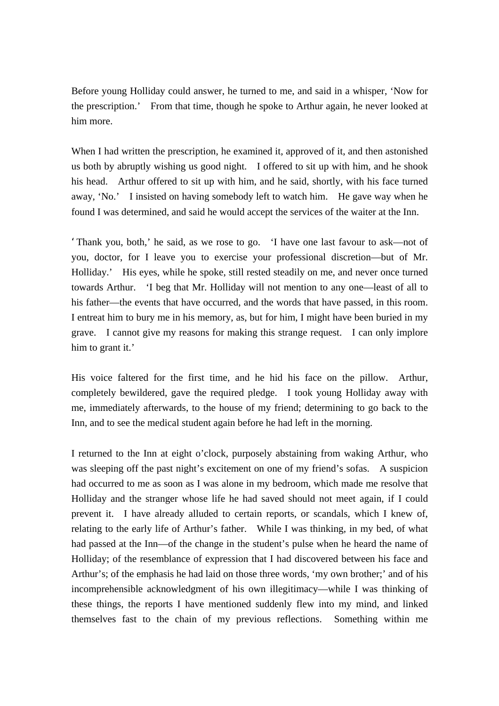Before young Holliday could answer, he turned to me, and said in a whisper, 'Now for the prescription.' From that time, though he spoke to Arthur again, he never looked at him more.

When I had written the prescription, he examined it, approved of it, and then astonished us both by abruptly wishing us good night. I offered to sit up with him, and he shook his head. Arthur offered to sit up with him, and he said, shortly, with his face turned away, 'No.' I insisted on having somebody left to watch him. He gave way when he found I was determined, and said he would accept the services of the waiter at the Inn.

'Thank you, both,' he said, as we rose to go. 'I have one last favour to ask—not of you, doctor, for I leave you to exercise your professional discretion—but of Mr. Holliday.' His eyes, while he spoke, still rested steadily on me, and never once turned towards Arthur. 'I beg that Mr. Holliday will not mention to any one—least of all to his father—the events that have occurred, and the words that have passed, in this room. I entreat him to bury me in his memory, as, but for him, I might have been buried in my grave. I cannot give my reasons for making this strange request. I can only implore him to grant it.'

His voice faltered for the first time, and he hid his face on the pillow. Arthur, completely bewildered, gave the required pledge. I took young Holliday away with me, immediately afterwards, to the house of my friend; determining to go back to the Inn, and to see the medical student again before he had left in the morning.

I returned to the Inn at eight o'clock, purposely abstaining from waking Arthur, who was sleeping off the past night's excitement on one of my friend's sofas. A suspicion had occurred to me as soon as I was alone in my bedroom, which made me resolve that Holliday and the stranger whose life he had saved should not meet again, if I could prevent it. I have already alluded to certain reports, or scandals, which I knew of, relating to the early life of Arthur's father. While I was thinking, in my bed, of what had passed at the Inn—of the change in the student's pulse when he heard the name of Holliday; of the resemblance of expression that I had discovered between his face and Arthur's; of the emphasis he had laid on those three words, 'my own brother;' and of his incomprehensible acknowledgment of his own illegitimacy—while I was thinking of these things, the reports I have mentioned suddenly flew into my mind, and linked themselves fast to the chain of my previous reflections. Something within me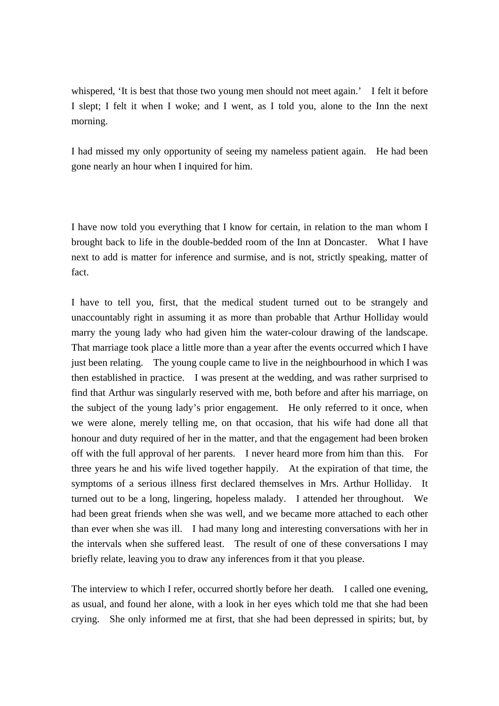whispered, 'It is best that those two young men should not meet again.' I felt it before I slept; I felt it when I woke; and I went, as I told you, alone to the Inn the next morning.

I had missed my only opportunity of seeing my nameless patient again. He had been gone nearly an hour when I inquired for him.

I have now told you everything that I know for certain, in relation to the man whom I brought back to life in the double-bedded room of the Inn at Doncaster. What I have next to add is matter for inference and surmise, and is not, strictly speaking, matter of fact.

I have to tell you, first, that the medical student turned out to be strangely and unaccountably right in assuming it as more than probable that Arthur Holliday would marry the young lady who had given him the water-colour drawing of the landscape. That marriage took place a little more than a year after the events occurred which I have just been relating. The young couple came to live in the neighbourhood in which I was then established in practice. I was present at the wedding, and was rather surprised to find that Arthur was singularly reserved with me, both before and after his marriage, on the subject of the young lady's prior engagement. He only referred to it once, when we were alone, merely telling me, on that occasion, that his wife had done all that honour and duty required of her in the matter, and that the engagement had been broken off with the full approval of her parents. I never heard more from him than this. For three years he and his wife lived together happily. At the expiration of that time, the symptoms of a serious illness first declared themselves in Mrs. Arthur Holliday. It turned out to be a long, lingering, hopeless malady. I attended her throughout. We had been great friends when she was well, and we became more attached to each other than ever when she was ill. I had many long and interesting conversations with her in the intervals when she suffered least. The result of one of these conversations I may briefly relate, leaving you to draw any inferences from it that you please.

The interview to which I refer, occurred shortly before her death. I called one evening, as usual, and found her alone, with a look in her eyes which told me that she had been crying. She only informed me at first, that she had been depressed in spirits; but, by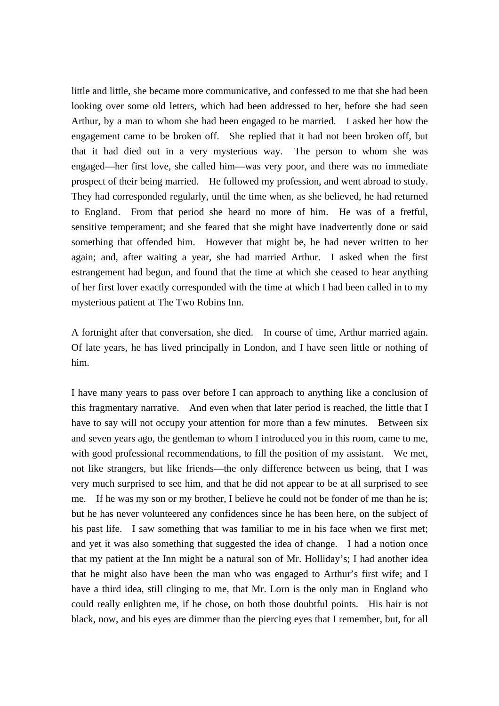little and little, she became more communicative, and confessed to me that she had been looking over some old letters, which had been addressed to her, before she had seen Arthur, by a man to whom she had been engaged to be married. I asked her how the engagement came to be broken off. She replied that it had not been broken off, but that it had died out in a very mysterious way. The person to whom she was engaged—her first love, she called him—was very poor, and there was no immediate prospect of their being married. He followed my profession, and went abroad to study. They had corresponded regularly, until the time when, as she believed, he had returned to England. From that period she heard no more of him. He was of a fretful, sensitive temperament; and she feared that she might have inadvertently done or said something that offended him. However that might be, he had never written to her again; and, after waiting a year, she had married Arthur. I asked when the first estrangement had begun, and found that the time at which she ceased to hear anything of her first lover exactly corresponded with the time at which I had been called in to my mysterious patient at The Two Robins Inn.

A fortnight after that conversation, she died. In course of time, Arthur married again. Of late years, he has lived principally in London, and I have seen little or nothing of him.

I have many years to pass over before I can approach to anything like a conclusion of this fragmentary narrative. And even when that later period is reached, the little that I have to say will not occupy your attention for more than a few minutes. Between six and seven years ago, the gentleman to whom I introduced you in this room, came to me, with good professional recommendations, to fill the position of my assistant. We met, not like strangers, but like friends—the only difference between us being, that I was very much surprised to see him, and that he did not appear to be at all surprised to see me. If he was my son or my brother, I believe he could not be fonder of me than he is; but he has never volunteered any confidences since he has been here, on the subject of his past life. I saw something that was familiar to me in his face when we first met; and yet it was also something that suggested the idea of change. I had a notion once that my patient at the Inn might be a natural son of Mr. Holliday's; I had another idea that he might also have been the man who was engaged to Arthur's first wife; and I have a third idea, still clinging to me, that Mr. Lorn is the only man in England who could really enlighten me, if he chose, on both those doubtful points. His hair is not black, now, and his eyes are dimmer than the piercing eyes that I remember, but, for all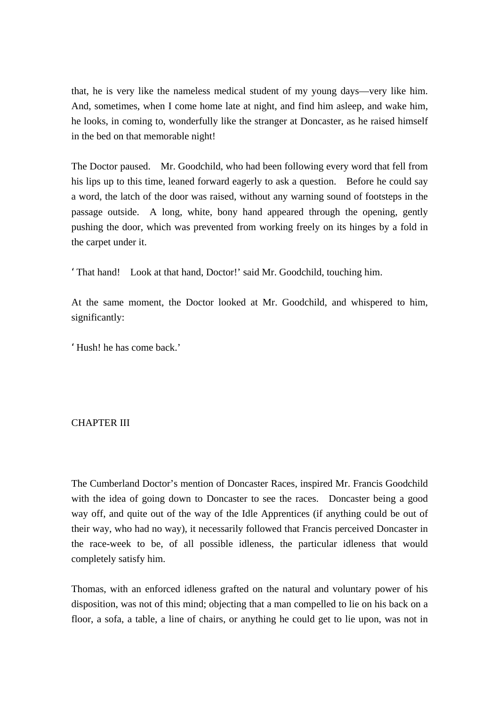that, he is very like the nameless medical student of my young days—very like him. And, sometimes, when I come home late at night, and find him asleep, and wake him, he looks, in coming to, wonderfully like the stranger at Doncaster, as he raised himself in the bed on that memorable night!

The Doctor paused. Mr. Goodchild, who had been following every word that fell from his lips up to this time, leaned forward eagerly to ask a question. Before he could say a word, the latch of the door was raised, without any warning sound of footsteps in the passage outside. A long, white, bony hand appeared through the opening, gently pushing the door, which was prevented from working freely on its hinges by a fold in the carpet under it.

'That hand! Look at that hand, Doctor!' said Mr. Goodchild, touching him.

At the same moment, the Doctor looked at Mr. Goodchild, and whispered to him, significantly:

'Hush! he has come back.'

## CHAPTER III

The Cumberland Doctor's mention of Doncaster Races, inspired Mr. Francis Goodchild with the idea of going down to Doncaster to see the races. Doncaster being a good way off, and quite out of the way of the Idle Apprentices (if anything could be out of their way, who had no way), it necessarily followed that Francis perceived Doncaster in the race-week to be, of all possible idleness, the particular idleness that would completely satisfy him.

Thomas, with an enforced idleness grafted on the natural and voluntary power of his disposition, was not of this mind; objecting that a man compelled to lie on his back on a floor, a sofa, a table, a line of chairs, or anything he could get to lie upon, was not in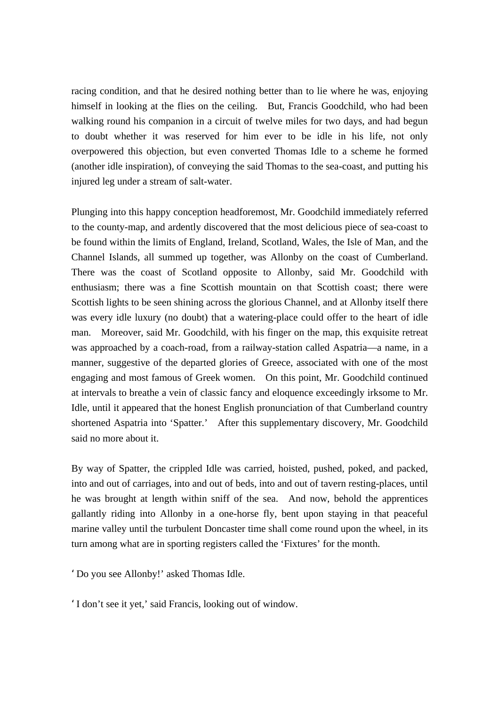racing condition, and that he desired nothing better than to lie where he was, enjoying himself in looking at the flies on the ceiling. But, Francis Goodchild, who had been walking round his companion in a circuit of twelve miles for two days, and had begun to doubt whether it was reserved for him ever to be idle in his life, not only overpowered this objection, but even converted Thomas Idle to a scheme he formed (another idle inspiration), of conveying the said Thomas to the sea-coast, and putting his injured leg under a stream of salt-water.

Plunging into this happy conception headforemost, Mr. Goodchild immediately referred to the county-map, and ardently discovered that the most delicious piece of sea-coast to be found within the limits of England, Ireland, Scotland, Wales, the Isle of Man, and the Channel Islands, all summed up together, was Allonby on the coast of Cumberland. There was the coast of Scotland opposite to Allonby, said Mr. Goodchild with enthusiasm; there was a fine Scottish mountain on that Scottish coast; there were Scottish lights to be seen shining across the glorious Channel, and at Allonby itself there was every idle luxury (no doubt) that a watering-place could offer to the heart of idle man. Moreover, said Mr. Goodchild, with his finger on the map, this exquisite retreat was approached by a coach-road, from a railway-station called Aspatria—a name, in a manner, suggestive of the departed glories of Greece, associated with one of the most engaging and most famous of Greek women. On this point, Mr. Goodchild continued at intervals to breathe a vein of classic fancy and eloquence exceedingly irksome to Mr. Idle, until it appeared that the honest English pronunciation of that Cumberland country shortened Aspatria into 'Spatter.' After this supplementary discovery, Mr. Goodchild said no more about it.

By way of Spatter, the crippled Idle was carried, hoisted, pushed, poked, and packed, into and out of carriages, into and out of beds, into and out of tavern resting-places, until he was brought at length within sniff of the sea. And now, behold the apprentices gallantly riding into Allonby in a one-horse fly, bent upon staying in that peaceful marine valley until the turbulent Doncaster time shall come round upon the wheel, in its turn among what are in sporting registers called the 'Fixtures' for the month.

'Do you see Allonby!' asked Thomas Idle.

'I don't see it yet,' said Francis, looking out of window.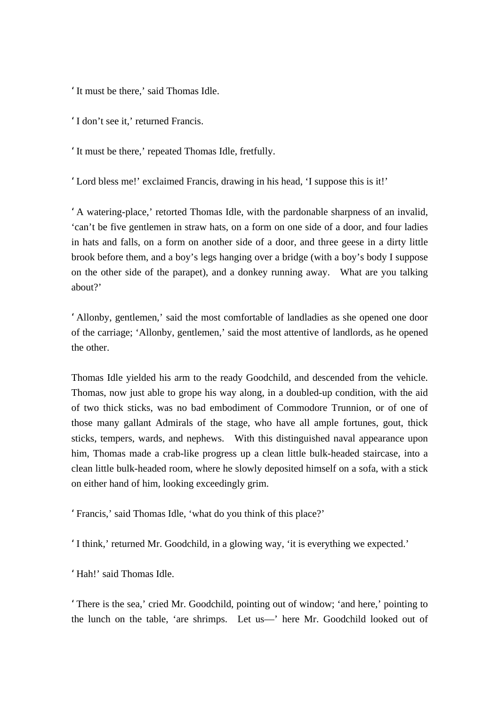'It must be there,' said Thomas Idle.

'I don't see it,' returned Francis.

'It must be there,' repeated Thomas Idle, fretfully.

'Lord bless me!' exclaimed Francis, drawing in his head, 'I suppose this is it!'

'A watering-place,' retorted Thomas Idle, with the pardonable sharpness of an invalid, 'can't be five gentlemen in straw hats, on a form on one side of a door, and four ladies in hats and falls, on a form on another side of a door, and three geese in a dirty little brook before them, and a boy's legs hanging over a bridge (with a boy's body I suppose on the other side of the parapet), and a donkey running away. What are you talking about?'

'Allonby, gentlemen,' said the most comfortable of landladies as she opened one door of the carriage; 'Allonby, gentlemen,' said the most attentive of landlords, as he opened the other.

Thomas Idle yielded his arm to the ready Goodchild, and descended from the vehicle. Thomas, now just able to grope his way along, in a doubled-up condition, with the aid of two thick sticks, was no bad embodiment of Commodore Trunnion, or of one of those many gallant Admirals of the stage, who have all ample fortunes, gout, thick sticks, tempers, wards, and nephews. With this distinguished naval appearance upon him, Thomas made a crab-like progress up a clean little bulk-headed staircase, into a clean little bulk-headed room, where he slowly deposited himself on a sofa, with a stick on either hand of him, looking exceedingly grim.

'Francis,' said Thomas Idle, 'what do you think of this place?'

'I think,' returned Mr. Goodchild, in a glowing way, 'it is everything we expected.'

'Hah!' said Thomas Idle.

'There is the sea,' cried Mr. Goodchild, pointing out of window; 'and here,' pointing to the lunch on the table, 'are shrimps. Let us—' here Mr. Goodchild looked out of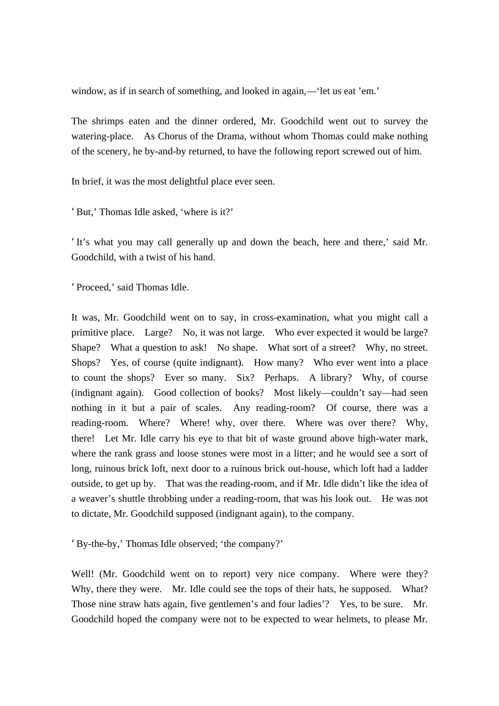window, as if in search of something, and looked in again,—'let us eat 'em.'

The shrimps eaten and the dinner ordered, Mr. Goodchild went out to survey the watering-place. As Chorus of the Drama, without whom Thomas could make nothing of the scenery, he by-and-by returned, to have the following report screwed out of him.

In brief, it was the most delightful place ever seen.

'But,' Thomas Idle asked, 'where is it?'

'It's what you may call generally up and down the beach, here and there,' said Mr. Goodchild, with a twist of his hand.

'Proceed,' said Thomas Idle.

It was, Mr. Goodchild went on to say, in cross-examination, what you might call a primitive place. Large? No, it was not large. Who ever expected it would be large? Shape? What a question to ask! No shape. What sort of a street? Why, no street. Shops? Yes, of course (quite indignant). How many? Who ever went into a place to count the shops? Ever so many. Six? Perhaps. A library? Why, of course (indignant again). Good collection of books? Most likely—couldn't say—had seen nothing in it but a pair of scales. Any reading-room? Of course, there was a reading-room. Where? Where! why, over there. Where was over there? Why, there! Let Mr. Idle carry his eye to that bit of waste ground above high-water mark, where the rank grass and loose stones were most in a litter; and he would see a sort of long, ruinous brick loft, next door to a ruinous brick out-house, which loft had a ladder outside, to get up by. That was the reading-room, and if Mr. Idle didn't like the idea of a weaver's shuttle throbbing under a reading-room, that was his look out. He was not to dictate, Mr. Goodchild supposed (indignant again), to the company.

'By-the-by,' Thomas Idle observed; 'the company?'

Well! (Mr. Goodchild went on to report) very nice company. Where were they? Why, there they were. Mr. Idle could see the tops of their hats, he supposed. What? Those nine straw hats again, five gentlemen's and four ladies'? Yes, to be sure. Mr. Goodchild hoped the company were not to be expected to wear helmets, to please Mr.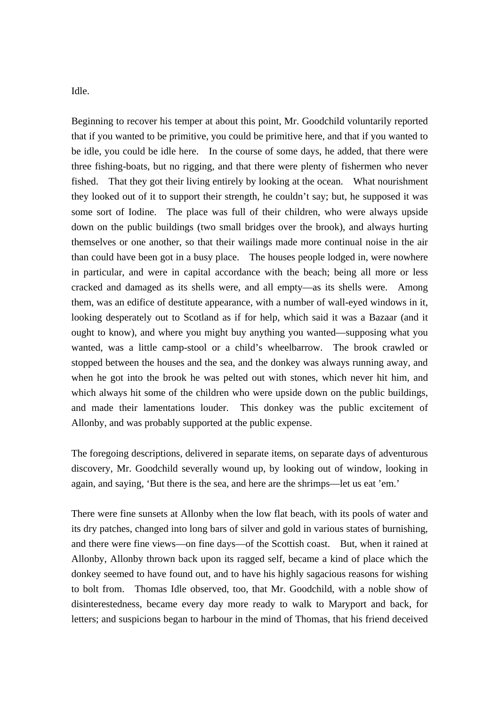Idle.

Beginning to recover his temper at about this point, Mr. Goodchild voluntarily reported that if you wanted to be primitive, you could be primitive here, and that if you wanted to be idle, you could be idle here. In the course of some days, he added, that there were three fishing-boats, but no rigging, and that there were plenty of fishermen who never fished. That they got their living entirely by looking at the ocean. What nourishment they looked out of it to support their strength, he couldn't say; but, he supposed it was some sort of Iodine. The place was full of their children, who were always upside down on the public buildings (two small bridges over the brook), and always hurting themselves or one another, so that their wailings made more continual noise in the air than could have been got in a busy place. The houses people lodged in, were nowhere in particular, and were in capital accordance with the beach; being all more or less cracked and damaged as its shells were, and all empty—as its shells were. Among them, was an edifice of destitute appearance, with a number of wall-eyed windows in it, looking desperately out to Scotland as if for help, which said it was a Bazaar (and it ought to know), and where you might buy anything you wanted—supposing what you wanted, was a little camp-stool or a child's wheelbarrow. The brook crawled or stopped between the houses and the sea, and the donkey was always running away, and when he got into the brook he was pelted out with stones, which never hit him, and which always hit some of the children who were upside down on the public buildings, and made their lamentations louder. This donkey was the public excitement of Allonby, and was probably supported at the public expense.

The foregoing descriptions, delivered in separate items, on separate days of adventurous discovery, Mr. Goodchild severally wound up, by looking out of window, looking in again, and saying, 'But there is the sea, and here are the shrimps—let us eat 'em.'

There were fine sunsets at Allonby when the low flat beach, with its pools of water and its dry patches, changed into long bars of silver and gold in various states of burnishing, and there were fine views—on fine days—of the Scottish coast. But, when it rained at Allonby, Allonby thrown back upon its ragged self, became a kind of place which the donkey seemed to have found out, and to have his highly sagacious reasons for wishing to bolt from. Thomas Idle observed, too, that Mr. Goodchild, with a noble show of disinterestedness, became every day more ready to walk to Maryport and back, for letters; and suspicions began to harbour in the mind of Thomas, that his friend deceived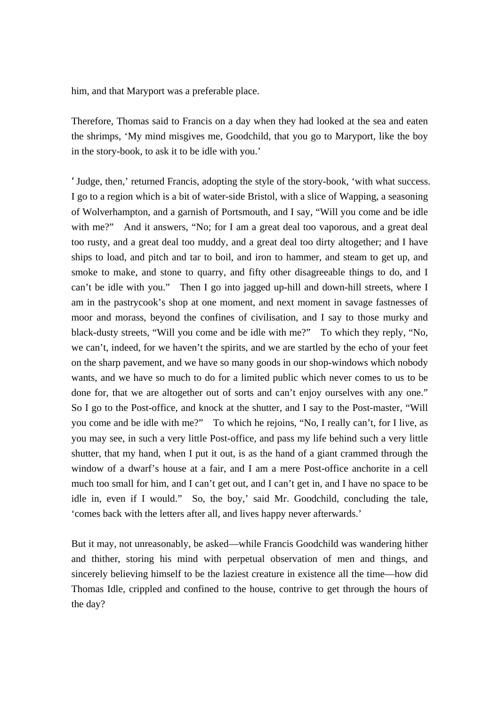him, and that Maryport was a preferable place.

Therefore, Thomas said to Francis on a day when they had looked at the sea and eaten the shrimps, 'My mind misgives me, Goodchild, that you go to Maryport, like the boy in the story-book, to ask it to be idle with you.'

'Judge, then,' returned Francis, adopting the style of the story-book, 'with what success. I go to a region which is a bit of water-side Bristol, with a slice of Wapping, a seasoning of Wolverhampton, and a garnish of Portsmouth, and I say, "Will you come and be idle with me?" And it answers, "No; for I am a great deal too vaporous, and a great deal too rusty, and a great deal too muddy, and a great deal too dirty altogether; and I have ships to load, and pitch and tar to boil, and iron to hammer, and steam to get up, and smoke to make, and stone to quarry, and fifty other disagreeable things to do, and I can't be idle with you." Then I go into jagged up-hill and down-hill streets, where I am in the pastrycook's shop at one moment, and next moment in savage fastnesses of moor and morass, beyond the confines of civilisation, and I say to those murky and black-dusty streets, "Will you come and be idle with me?" To which they reply, "No, we can't, indeed, for we haven't the spirits, and we are startled by the echo of your feet on the sharp pavement, and we have so many goods in our shop-windows which nobody wants, and we have so much to do for a limited public which never comes to us to be done for, that we are altogether out of sorts and can't enjoy ourselves with any one." So I go to the Post-office, and knock at the shutter, and I say to the Post-master, "Will you come and be idle with me?" To which he rejoins, "No, I really can't, for I live, as you may see, in such a very little Post-office, and pass my life behind such a very little shutter, that my hand, when I put it out, is as the hand of a giant crammed through the window of a dwarf's house at a fair, and I am a mere Post-office anchorite in a cell much too small for him, and I can't get out, and I can't get in, and I have no space to be idle in, even if I would." So, the boy,' said Mr. Goodchild, concluding the tale, 'comes back with the letters after all, and lives happy never afterwards.'

But it may, not unreasonably, be asked—while Francis Goodchild was wandering hither and thither, storing his mind with perpetual observation of men and things, and sincerely believing himself to be the laziest creature in existence all the time—how did Thomas Idle, crippled and confined to the house, contrive to get through the hours of the day?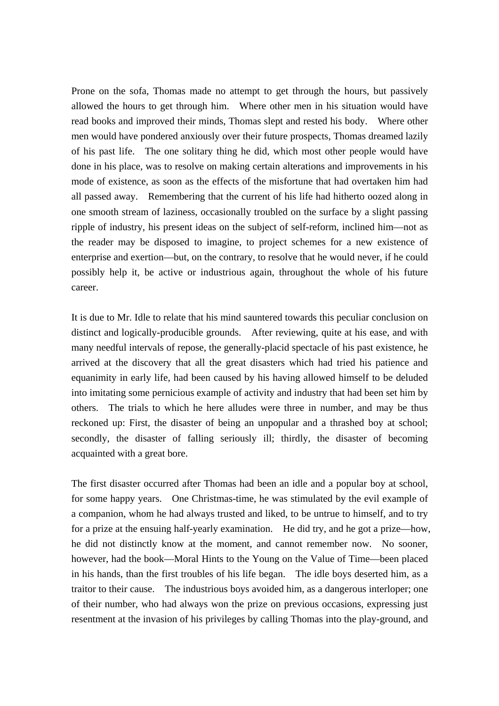Prone on the sofa, Thomas made no attempt to get through the hours, but passively allowed the hours to get through him. Where other men in his situation would have read books and improved their minds, Thomas slept and rested his body. Where other men would have pondered anxiously over their future prospects, Thomas dreamed lazily of his past life. The one solitary thing he did, which most other people would have done in his place, was to resolve on making certain alterations and improvements in his mode of existence, as soon as the effects of the misfortune that had overtaken him had all passed away. Remembering that the current of his life had hitherto oozed along in one smooth stream of laziness, occasionally troubled on the surface by a slight passing ripple of industry, his present ideas on the subject of self-reform, inclined him—not as the reader may be disposed to imagine, to project schemes for a new existence of enterprise and exertion—but, on the contrary, to resolve that he would never, if he could possibly help it, be active or industrious again, throughout the whole of his future career.

It is due to Mr. Idle to relate that his mind sauntered towards this peculiar conclusion on distinct and logically-producible grounds. After reviewing, quite at his ease, and with many needful intervals of repose, the generally-placid spectacle of his past existence, he arrived at the discovery that all the great disasters which had tried his patience and equanimity in early life, had been caused by his having allowed himself to be deluded into imitating some pernicious example of activity and industry that had been set him by others. The trials to which he here alludes were three in number, and may be thus reckoned up: First, the disaster of being an unpopular and a thrashed boy at school; secondly, the disaster of falling seriously ill; thirdly, the disaster of becoming acquainted with a great bore.

The first disaster occurred after Thomas had been an idle and a popular boy at school, for some happy years. One Christmas-time, he was stimulated by the evil example of a companion, whom he had always trusted and liked, to be untrue to himself, and to try for a prize at the ensuing half-yearly examination. He did try, and he got a prize—how, he did not distinctly know at the moment, and cannot remember now. No sooner, however, had the book—Moral Hints to the Young on the Value of Time—been placed in his hands, than the first troubles of his life began. The idle boys deserted him, as a traitor to their cause. The industrious boys avoided him, as a dangerous interloper; one of their number, who had always won the prize on previous occasions, expressing just resentment at the invasion of his privileges by calling Thomas into the play-ground, and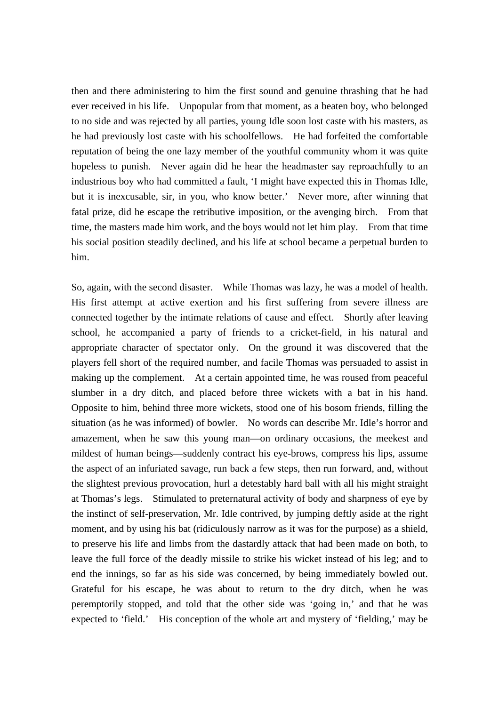then and there administering to him the first sound and genuine thrashing that he had ever received in his life. Unpopular from that moment, as a beaten boy, who belonged to no side and was rejected by all parties, young Idle soon lost caste with his masters, as he had previously lost caste with his schoolfellows. He had forfeited the comfortable reputation of being the one lazy member of the youthful community whom it was quite hopeless to punish. Never again did he hear the headmaster say reproachfully to an industrious boy who had committed a fault, 'I might have expected this in Thomas Idle, but it is inexcusable, sir, in you, who know better.' Never more, after winning that fatal prize, did he escape the retributive imposition, or the avenging birch. From that time, the masters made him work, and the boys would not let him play. From that time his social position steadily declined, and his life at school became a perpetual burden to him.

So, again, with the second disaster. While Thomas was lazy, he was a model of health. His first attempt at active exertion and his first suffering from severe illness are connected together by the intimate relations of cause and effect. Shortly after leaving school, he accompanied a party of friends to a cricket-field, in his natural and appropriate character of spectator only. On the ground it was discovered that the players fell short of the required number, and facile Thomas was persuaded to assist in making up the complement. At a certain appointed time, he was roused from peaceful slumber in a dry ditch, and placed before three wickets with a bat in his hand. Opposite to him, behind three more wickets, stood one of his bosom friends, filling the situation (as he was informed) of bowler. No words can describe Mr. Idle's horror and amazement, when he saw this young man—on ordinary occasions, the meekest and mildest of human beings—suddenly contract his eye-brows, compress his lips, assume the aspect of an infuriated savage, run back a few steps, then run forward, and, without the slightest previous provocation, hurl a detestably hard ball with all his might straight at Thomas's legs. Stimulated to preternatural activity of body and sharpness of eye by the instinct of self-preservation, Mr. Idle contrived, by jumping deftly aside at the right moment, and by using his bat (ridiculously narrow as it was for the purpose) as a shield, to preserve his life and limbs from the dastardly attack that had been made on both, to leave the full force of the deadly missile to strike his wicket instead of his leg; and to end the innings, so far as his side was concerned, by being immediately bowled out. Grateful for his escape, he was about to return to the dry ditch, when he was peremptorily stopped, and told that the other side was 'going in,' and that he was expected to 'field.' His conception of the whole art and mystery of 'fielding,' may be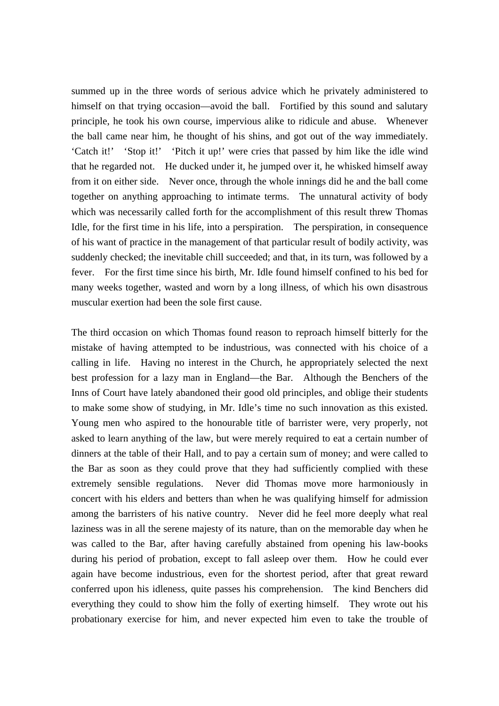summed up in the three words of serious advice which he privately administered to himself on that trying occasion—avoid the ball. Fortified by this sound and salutary principle, he took his own course, impervious alike to ridicule and abuse. Whenever the ball came near him, he thought of his shins, and got out of the way immediately. 'Catch it!' 'Stop it!' 'Pitch it up!' were cries that passed by him like the idle wind that he regarded not. He ducked under it, he jumped over it, he whisked himself away from it on either side. Never once, through the whole innings did he and the ball come together on anything approaching to intimate terms. The unnatural activity of body which was necessarily called forth for the accomplishment of this result threw Thomas Idle, for the first time in his life, into a perspiration. The perspiration, in consequence of his want of practice in the management of that particular result of bodily activity, was suddenly checked; the inevitable chill succeeded; and that, in its turn, was followed by a fever. For the first time since his birth, Mr. Idle found himself confined to his bed for many weeks together, wasted and worn by a long illness, of which his own disastrous muscular exertion had been the sole first cause.

The third occasion on which Thomas found reason to reproach himself bitterly for the mistake of having attempted to be industrious, was connected with his choice of a calling in life. Having no interest in the Church, he appropriately selected the next best profession for a lazy man in England—the Bar. Although the Benchers of the Inns of Court have lately abandoned their good old principles, and oblige their students to make some show of studying, in Mr. Idle's time no such innovation as this existed. Young men who aspired to the honourable title of barrister were, very properly, not asked to learn anything of the law, but were merely required to eat a certain number of dinners at the table of their Hall, and to pay a certain sum of money; and were called to the Bar as soon as they could prove that they had sufficiently complied with these extremely sensible regulations. Never did Thomas move more harmoniously in concert with his elders and betters than when he was qualifying himself for admission among the barristers of his native country. Never did he feel more deeply what real laziness was in all the serene majesty of its nature, than on the memorable day when he was called to the Bar, after having carefully abstained from opening his law-books during his period of probation, except to fall asleep over them. How he could ever again have become industrious, even for the shortest period, after that great reward conferred upon his idleness, quite passes his comprehension. The kind Benchers did everything they could to show him the folly of exerting himself. They wrote out his probationary exercise for him, and never expected him even to take the trouble of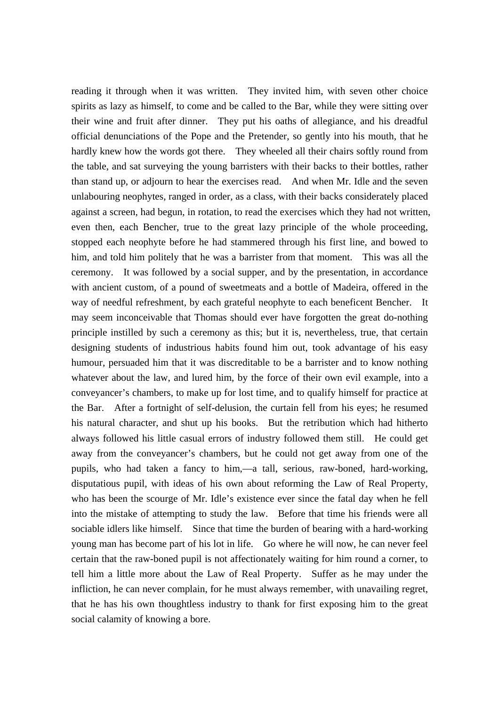reading it through when it was written. They invited him, with seven other choice spirits as lazy as himself, to come and be called to the Bar, while they were sitting over their wine and fruit after dinner. They put his oaths of allegiance, and his dreadful official denunciations of the Pope and the Pretender, so gently into his mouth, that he hardly knew how the words got there. They wheeled all their chairs softly round from the table, and sat surveying the young barristers with their backs to their bottles, rather than stand up, or adjourn to hear the exercises read. And when Mr. Idle and the seven unlabouring neophytes, ranged in order, as a class, with their backs considerately placed against a screen, had begun, in rotation, to read the exercises which they had not written, even then, each Bencher, true to the great lazy principle of the whole proceeding, stopped each neophyte before he had stammered through his first line, and bowed to him, and told him politely that he was a barrister from that moment. This was all the ceremony. It was followed by a social supper, and by the presentation, in accordance with ancient custom, of a pound of sweetmeats and a bottle of Madeira, offered in the way of needful refreshment, by each grateful neophyte to each beneficent Bencher. It may seem inconceivable that Thomas should ever have forgotten the great do-nothing principle instilled by such a ceremony as this; but it is, nevertheless, true, that certain designing students of industrious habits found him out, took advantage of his easy humour, persuaded him that it was discreditable to be a barrister and to know nothing whatever about the law, and lured him, by the force of their own evil example, into a conveyancer's chambers, to make up for lost time, and to qualify himself for practice at the Bar. After a fortnight of self-delusion, the curtain fell from his eyes; he resumed his natural character, and shut up his books. But the retribution which had hitherto always followed his little casual errors of industry followed them still. He could get away from the conveyancer's chambers, but he could not get away from one of the pupils, who had taken a fancy to him,—a tall, serious, raw-boned, hard-working, disputatious pupil, with ideas of his own about reforming the Law of Real Property, who has been the scourge of Mr. Idle's existence ever since the fatal day when he fell into the mistake of attempting to study the law. Before that time his friends were all sociable idlers like himself. Since that time the burden of bearing with a hard-working young man has become part of his lot in life. Go where he will now, he can never feel certain that the raw-boned pupil is not affectionately waiting for him round a corner, to tell him a little more about the Law of Real Property. Suffer as he may under the infliction, he can never complain, for he must always remember, with unavailing regret, that he has his own thoughtless industry to thank for first exposing him to the great social calamity of knowing a bore.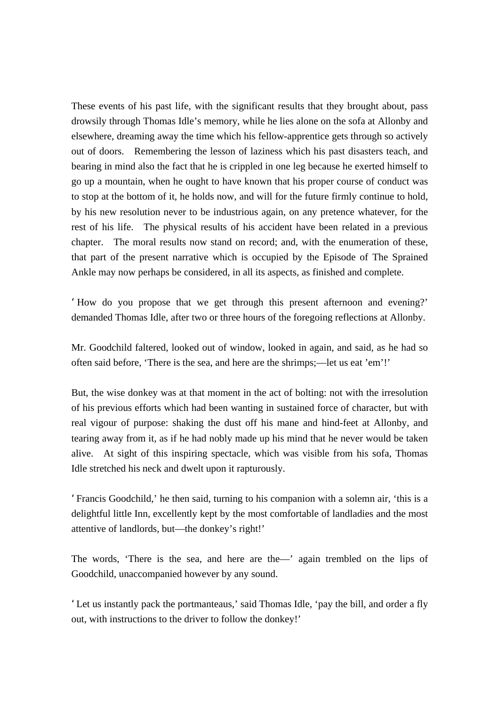These events of his past life, with the significant results that they brought about, pass drowsily through Thomas Idle's memory, while he lies alone on the sofa at Allonby and elsewhere, dreaming away the time which his fellow-apprentice gets through so actively out of doors. Remembering the lesson of laziness which his past disasters teach, and bearing in mind also the fact that he is crippled in one leg because he exerted himself to go up a mountain, when he ought to have known that his proper course of conduct was to stop at the bottom of it, he holds now, and will for the future firmly continue to hold, by his new resolution never to be industrious again, on any pretence whatever, for the rest of his life. The physical results of his accident have been related in a previous chapter. The moral results now stand on record; and, with the enumeration of these, that part of the present narrative which is occupied by the Episode of The Sprained Ankle may now perhaps be considered, in all its aspects, as finished and complete.

'How do you propose that we get through this present afternoon and evening?' demanded Thomas Idle, after two or three hours of the foregoing reflections at Allonby.

Mr. Goodchild faltered, looked out of window, looked in again, and said, as he had so often said before, 'There is the sea, and here are the shrimps;—let us eat 'em'!'

But, the wise donkey was at that moment in the act of bolting: not with the irresolution of his previous efforts which had been wanting in sustained force of character, but with real vigour of purpose: shaking the dust off his mane and hind-feet at Allonby, and tearing away from it, as if he had nobly made up his mind that he never would be taken alive. At sight of this inspiring spectacle, which was visible from his sofa, Thomas Idle stretched his neck and dwelt upon it rapturously.

'Francis Goodchild,' he then said, turning to his companion with a solemn air, 'this is a delightful little Inn, excellently kept by the most comfortable of landladies and the most attentive of landlords, but—the donkey's right!'

The words, 'There is the sea, and here are the—' again trembled on the lips of Goodchild, unaccompanied however by any sound.

'Let us instantly pack the portmanteaus,' said Thomas Idle, 'pay the bill, and order a fly out, with instructions to the driver to follow the donkey!'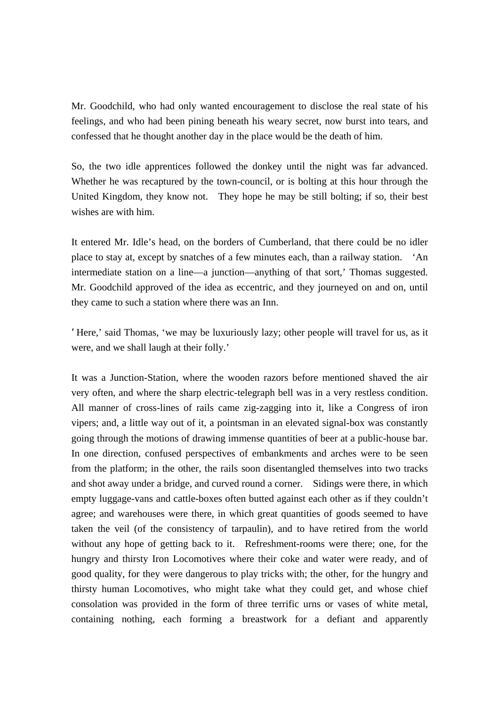Mr. Goodchild, who had only wanted encouragement to disclose the real state of his feelings, and who had been pining beneath his weary secret, now burst into tears, and confessed that he thought another day in the place would be the death of him.

So, the two idle apprentices followed the donkey until the night was far advanced. Whether he was recaptured by the town-council, or is bolting at this hour through the United Kingdom, they know not. They hope he may be still bolting; if so, their best wishes are with him.

It entered Mr. Idle's head, on the borders of Cumberland, that there could be no idler place to stay at, except by snatches of a few minutes each, than a railway station. 'An intermediate station on a line—a junction—anything of that sort,' Thomas suggested. Mr. Goodchild approved of the idea as eccentric, and they journeyed on and on, until they came to such a station where there was an Inn.

'Here,' said Thomas, 'we may be luxuriously lazy; other people will travel for us, as it were, and we shall laugh at their folly.'

It was a Junction-Station, where the wooden razors before mentioned shaved the air very often, and where the sharp electric-telegraph bell was in a very restless condition. All manner of cross-lines of rails came zig-zagging into it, like a Congress of iron vipers; and, a little way out of it, a pointsman in an elevated signal-box was constantly going through the motions of drawing immense quantities of beer at a public-house bar. In one direction, confused perspectives of embankments and arches were to be seen from the platform; in the other, the rails soon disentangled themselves into two tracks and shot away under a bridge, and curved round a corner. Sidings were there, in which empty luggage-vans and cattle-boxes often butted against each other as if they couldn't agree; and warehouses were there, in which great quantities of goods seemed to have taken the veil (of the consistency of tarpaulin), and to have retired from the world without any hope of getting back to it. Refreshment-rooms were there; one, for the hungry and thirsty Iron Locomotives where their coke and water were ready, and of good quality, for they were dangerous to play tricks with; the other, for the hungry and thirsty human Locomotives, who might take what they could get, and whose chief consolation was provided in the form of three terrific urns or vases of white metal, containing nothing, each forming a breastwork for a defiant and apparently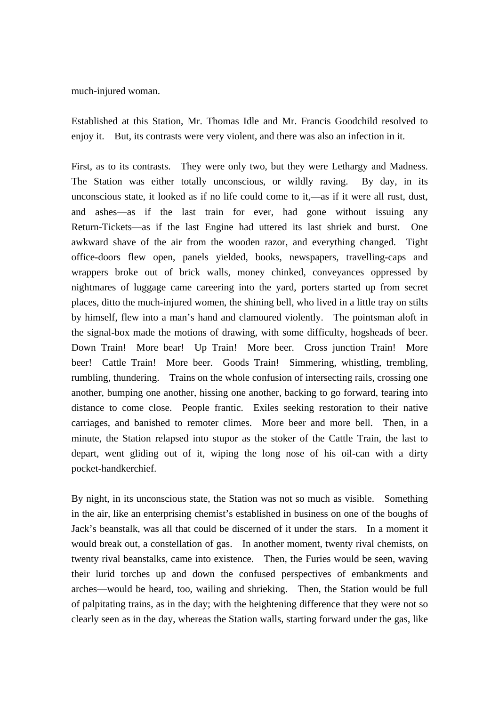much-injured woman.

Established at this Station, Mr. Thomas Idle and Mr. Francis Goodchild resolved to enjoy it. But, its contrasts were very violent, and there was also an infection in it.

First, as to its contrasts. They were only two, but they were Lethargy and Madness. The Station was either totally unconscious, or wildly raving. By day, in its unconscious state, it looked as if no life could come to it,—as if it were all rust, dust, and ashes—as if the last train for ever, had gone without issuing any Return-Tickets—as if the last Engine had uttered its last shriek and burst. One awkward shave of the air from the wooden razor, and everything changed. Tight office-doors flew open, panels yielded, books, newspapers, travelling-caps and wrappers broke out of brick walls, money chinked, conveyances oppressed by nightmares of luggage came careering into the yard, porters started up from secret places, ditto the much-injured women, the shining bell, who lived in a little tray on stilts by himself, flew into a man's hand and clamoured violently. The pointsman aloft in the signal-box made the motions of drawing, with some difficulty, hogsheads of beer. Down Train! More bear! Up Train! More beer. Cross junction Train! More beer! Cattle Train! More beer. Goods Train! Simmering, whistling, trembling, rumbling, thundering. Trains on the whole confusion of intersecting rails, crossing one another, bumping one another, hissing one another, backing to go forward, tearing into distance to come close. People frantic. Exiles seeking restoration to their native carriages, and banished to remoter climes. More beer and more bell. Then, in a minute, the Station relapsed into stupor as the stoker of the Cattle Train, the last to depart, went gliding out of it, wiping the long nose of his oil-can with a dirty pocket-handkerchief.

By night, in its unconscious state, the Station was not so much as visible. Something in the air, like an enterprising chemist's established in business on one of the boughs of Jack's beanstalk, was all that could be discerned of it under the stars. In a moment it would break out, a constellation of gas. In another moment, twenty rival chemists, on twenty rival beanstalks, came into existence. Then, the Furies would be seen, waving their lurid torches up and down the confused perspectives of embankments and arches—would be heard, too, wailing and shrieking. Then, the Station would be full of palpitating trains, as in the day; with the heightening difference that they were not so clearly seen as in the day, whereas the Station walls, starting forward under the gas, like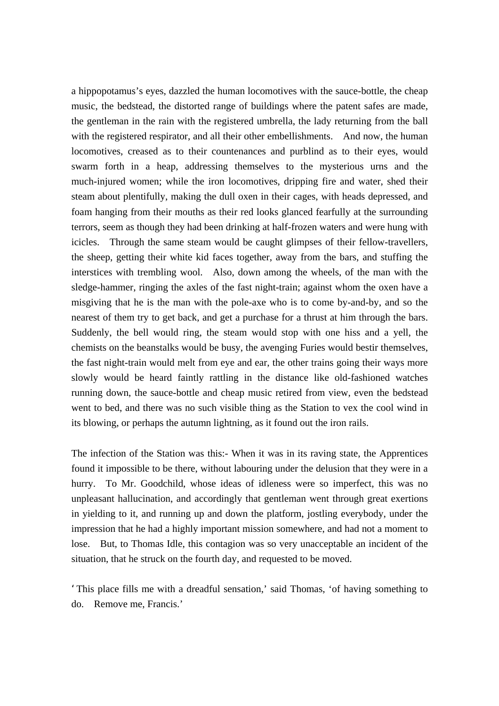a hippopotamus's eyes, dazzled the human locomotives with the sauce-bottle, the cheap music, the bedstead, the distorted range of buildings where the patent safes are made, the gentleman in the rain with the registered umbrella, the lady returning from the ball with the registered respirator, and all their other embellishments. And now, the human locomotives, creased as to their countenances and purblind as to their eyes, would swarm forth in a heap, addressing themselves to the mysterious urns and the much-injured women; while the iron locomotives, dripping fire and water, shed their steam about plentifully, making the dull oxen in their cages, with heads depressed, and foam hanging from their mouths as their red looks glanced fearfully at the surrounding terrors, seem as though they had been drinking at half-frozen waters and were hung with icicles. Through the same steam would be caught glimpses of their fellow-travellers, the sheep, getting their white kid faces together, away from the bars, and stuffing the interstices with trembling wool. Also, down among the wheels, of the man with the sledge-hammer, ringing the axles of the fast night-train; against whom the oxen have a misgiving that he is the man with the pole-axe who is to come by-and-by, and so the nearest of them try to get back, and get a purchase for a thrust at him through the bars. Suddenly, the bell would ring, the steam would stop with one hiss and a yell, the chemists on the beanstalks would be busy, the avenging Furies would bestir themselves, the fast night-train would melt from eye and ear, the other trains going their ways more slowly would be heard faintly rattling in the distance like old-fashioned watches running down, the sauce-bottle and cheap music retired from view, even the bedstead went to bed, and there was no such visible thing as the Station to vex the cool wind in its blowing, or perhaps the autumn lightning, as it found out the iron rails.

The infection of the Station was this:- When it was in its raving state, the Apprentices found it impossible to be there, without labouring under the delusion that they were in a hurry. To Mr. Goodchild, whose ideas of idleness were so imperfect, this was no unpleasant hallucination, and accordingly that gentleman went through great exertions in yielding to it, and running up and down the platform, jostling everybody, under the impression that he had a highly important mission somewhere, and had not a moment to lose. But, to Thomas Idle, this contagion was so very unacceptable an incident of the situation, that he struck on the fourth day, and requested to be moved.

'This place fills me with a dreadful sensation,' said Thomas, 'of having something to do. Remove me, Francis.'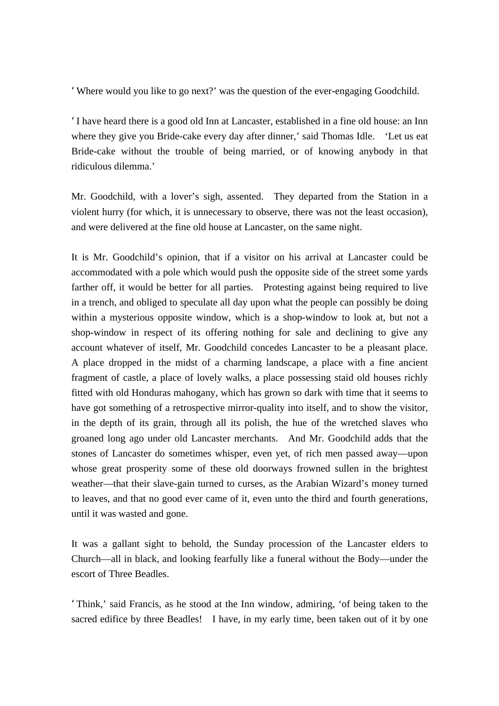'Where would you like to go next?' was the question of the ever-engaging Goodchild.

'I have heard there is a good old Inn at Lancaster, established in a fine old house: an Inn where they give you Bride-cake every day after dinner,' said Thomas Idle. 'Let us eat Bride-cake without the trouble of being married, or of knowing anybody in that ridiculous dilemma.'

Mr. Goodchild, with a lover's sigh, assented. They departed from the Station in a violent hurry (for which, it is unnecessary to observe, there was not the least occasion), and were delivered at the fine old house at Lancaster, on the same night.

It is Mr. Goodchild's opinion, that if a visitor on his arrival at Lancaster could be accommodated with a pole which would push the opposite side of the street some yards farther off, it would be better for all parties. Protesting against being required to live in a trench, and obliged to speculate all day upon what the people can possibly be doing within a mysterious opposite window, which is a shop-window to look at, but not a shop-window in respect of its offering nothing for sale and declining to give any account whatever of itself, Mr. Goodchild concedes Lancaster to be a pleasant place. A place dropped in the midst of a charming landscape, a place with a fine ancient fragment of castle, a place of lovely walks, a place possessing staid old houses richly fitted with old Honduras mahogany, which has grown so dark with time that it seems to have got something of a retrospective mirror-quality into itself, and to show the visitor, in the depth of its grain, through all its polish, the hue of the wretched slaves who groaned long ago under old Lancaster merchants. And Mr. Goodchild adds that the stones of Lancaster do sometimes whisper, even yet, of rich men passed away—upon whose great prosperity some of these old doorways frowned sullen in the brightest weather—that their slave-gain turned to curses, as the Arabian Wizard's money turned to leaves, and that no good ever came of it, even unto the third and fourth generations, until it was wasted and gone.

It was a gallant sight to behold, the Sunday procession of the Lancaster elders to Church—all in black, and looking fearfully like a funeral without the Body—under the escort of Three Beadles.

'Think,' said Francis, as he stood at the Inn window, admiring, 'of being taken to the sacred edifice by three Beadles! I have, in my early time, been taken out of it by one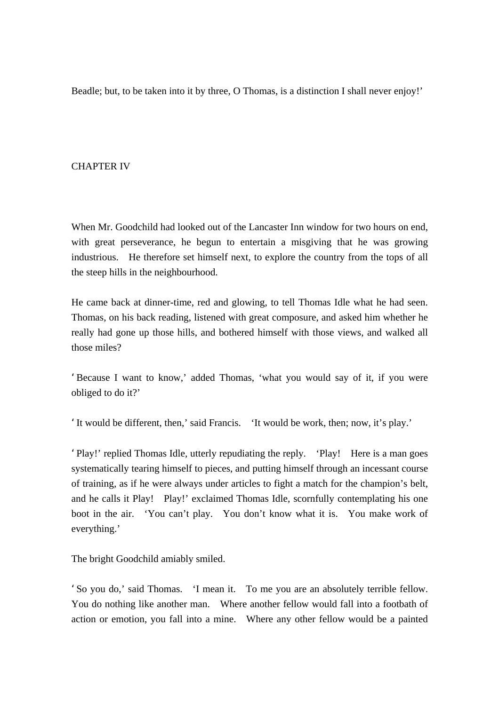Beadle; but, to be taken into it by three, O Thomas, is a distinction I shall never enjoy!'

## CHAPTER IV

When Mr. Goodchild had looked out of the Lancaster Inn window for two hours on end, with great perseverance, he begun to entertain a misgiving that he was growing industrious. He therefore set himself next, to explore the country from the tops of all the steep hills in the neighbourhood.

He came back at dinner-time, red and glowing, to tell Thomas Idle what he had seen. Thomas, on his back reading, listened with great composure, and asked him whether he really had gone up those hills, and bothered himself with those views, and walked all those miles?

'Because I want to know,' added Thomas, 'what you would say of it, if you were obliged to do it?'

'It would be different, then,' said Francis. 'It would be work, then; now, it's play.'

'Play!' replied Thomas Idle, utterly repudiating the reply. 'Play! Here is a man goes systematically tearing himself to pieces, and putting himself through an incessant course of training, as if he were always under articles to fight a match for the champion's belt, and he calls it Play! Play!' exclaimed Thomas Idle, scornfully contemplating his one boot in the air. 'You can't play. You don't know what it is. You make work of everything.'

The bright Goodchild amiably smiled.

'So you do,' said Thomas. 'I mean it. To me you are an absolutely terrible fellow. You do nothing like another man. Where another fellow would fall into a footbath of action or emotion, you fall into a mine. Where any other fellow would be a painted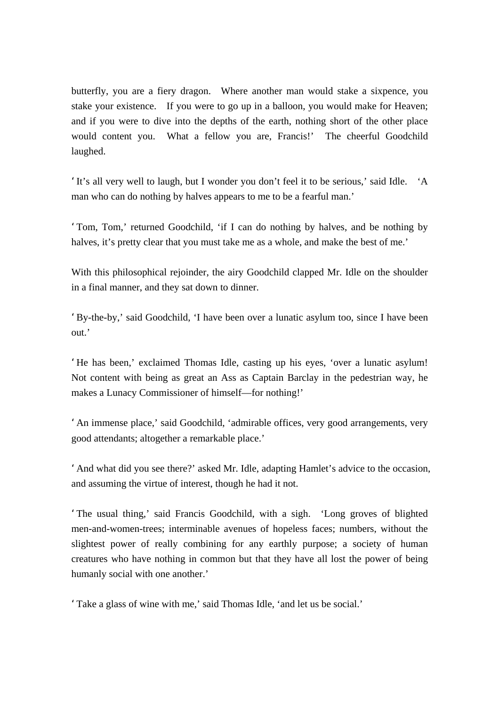butterfly, you are a fiery dragon. Where another man would stake a sixpence, you stake your existence. If you were to go up in a balloon, you would make for Heaven; and if you were to dive into the depths of the earth, nothing short of the other place would content you. What a fellow you are, Francis!' The cheerful Goodchild laughed.

'It's all very well to laugh, but I wonder you don't feel it to be serious,' said Idle. 'A man who can do nothing by halves appears to me to be a fearful man.'

'Tom, Tom,' returned Goodchild, 'if I can do nothing by halves, and be nothing by halves, it's pretty clear that you must take me as a whole, and make the best of me.'

With this philosophical rejoinder, the airy Goodchild clapped Mr. Idle on the shoulder in a final manner, and they sat down to dinner.

'By-the-by,' said Goodchild, 'I have been over a lunatic asylum too, since I have been out.'

'He has been,' exclaimed Thomas Idle, casting up his eyes, 'over a lunatic asylum! Not content with being as great an Ass as Captain Barclay in the pedestrian way, he makes a Lunacy Commissioner of himself—for nothing!'

'An immense place,' said Goodchild, 'admirable offices, very good arrangements, very good attendants; altogether a remarkable place.'

'And what did you see there?' asked Mr. Idle, adapting Hamlet's advice to the occasion, and assuming the virtue of interest, though he had it not.

'The usual thing,' said Francis Goodchild, with a sigh. 'Long groves of blighted men-and-women-trees; interminable avenues of hopeless faces; numbers, without the slightest power of really combining for any earthly purpose; a society of human creatures who have nothing in common but that they have all lost the power of being humanly social with one another.'

'Take a glass of wine with me,' said Thomas Idle, 'and let us be social.'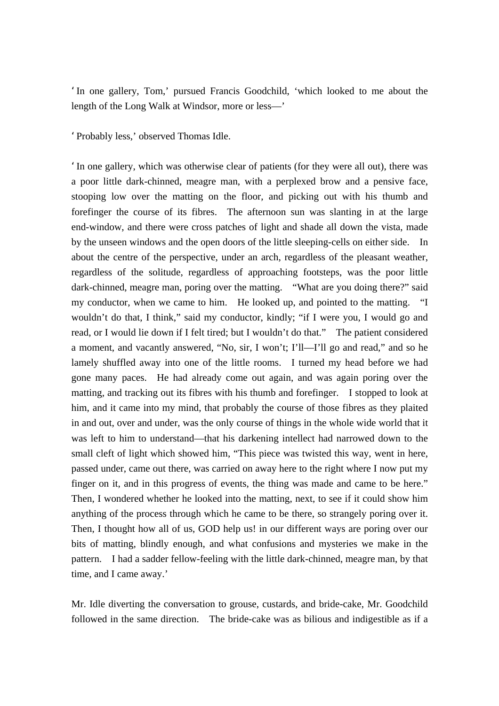'In one gallery, Tom,' pursued Francis Goodchild, 'which looked to me about the length of the Long Walk at Windsor, more or less—'

'Probably less,' observed Thomas Idle.

'In one gallery, which was otherwise clear of patients (for they were all out), there was a poor little dark-chinned, meagre man, with a perplexed brow and a pensive face, stooping low over the matting on the floor, and picking out with his thumb and forefinger the course of its fibres. The afternoon sun was slanting in at the large end-window, and there were cross patches of light and shade all down the vista, made by the unseen windows and the open doors of the little sleeping-cells on either side. In about the centre of the perspective, under an arch, regardless of the pleasant weather, regardless of the solitude, regardless of approaching footsteps, was the poor little dark-chinned, meagre man, poring over the matting. "What are you doing there?" said my conductor, when we came to him. He looked up, and pointed to the matting. "I wouldn't do that, I think," said my conductor, kindly; "if I were you, I would go and read, or I would lie down if I felt tired; but I wouldn't do that." The patient considered a moment, and vacantly answered, "No, sir, I won't; I'll—I'll go and read," and so he lamely shuffled away into one of the little rooms. I turned my head before we had gone many paces. He had already come out again, and was again poring over the matting, and tracking out its fibres with his thumb and forefinger. I stopped to look at him, and it came into my mind, that probably the course of those fibres as they plaited in and out, over and under, was the only course of things in the whole wide world that it was left to him to understand—that his darkening intellect had narrowed down to the small cleft of light which showed him, "This piece was twisted this way, went in here, passed under, came out there, was carried on away here to the right where I now put my finger on it, and in this progress of events, the thing was made and came to be here." Then, I wondered whether he looked into the matting, next, to see if it could show him anything of the process through which he came to be there, so strangely poring over it. Then, I thought how all of us, GOD help us! in our different ways are poring over our bits of matting, blindly enough, and what confusions and mysteries we make in the pattern. I had a sadder fellow-feeling with the little dark-chinned, meagre man, by that time, and I came away.'

Mr. Idle diverting the conversation to grouse, custards, and bride-cake, Mr. Goodchild followed in the same direction. The bride-cake was as bilious and indigestible as if a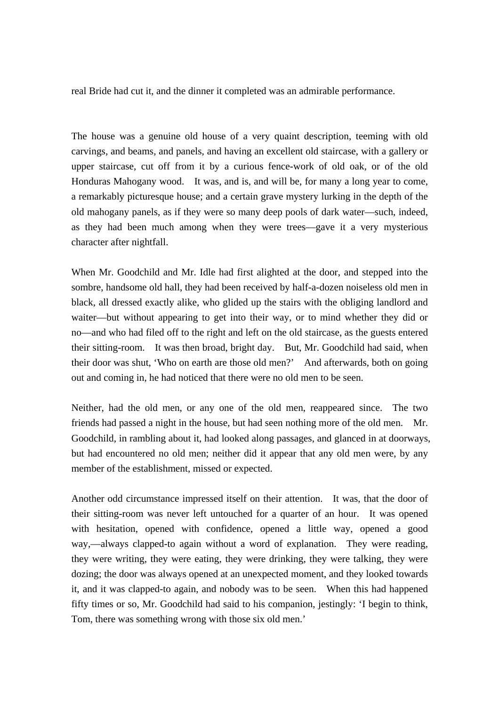real Bride had cut it, and the dinner it completed was an admirable performance.

The house was a genuine old house of a very quaint description, teeming with old carvings, and beams, and panels, and having an excellent old staircase, with a gallery or upper staircase, cut off from it by a curious fence-work of old oak, or of the old Honduras Mahogany wood. It was, and is, and will be, for many a long year to come, a remarkably picturesque house; and a certain grave mystery lurking in the depth of the old mahogany panels, as if they were so many deep pools of dark water—such, indeed, as they had been much among when they were trees—gave it a very mysterious character after nightfall.

When Mr. Goodchild and Mr. Idle had first alighted at the door, and stepped into the sombre, handsome old hall, they had been received by half-a-dozen noiseless old men in black, all dressed exactly alike, who glided up the stairs with the obliging landlord and waiter—but without appearing to get into their way, or to mind whether they did or no—and who had filed off to the right and left on the old staircase, as the guests entered their sitting-room. It was then broad, bright day. But, Mr. Goodchild had said, when their door was shut, 'Who on earth are those old men?' And afterwards, both on going out and coming in, he had noticed that there were no old men to be seen.

Neither, had the old men, or any one of the old men, reappeared since. The two friends had passed a night in the house, but had seen nothing more of the old men. Mr. Goodchild, in rambling about it, had looked along passages, and glanced in at doorways, but had encountered no old men; neither did it appear that any old men were, by any member of the establishment, missed or expected.

Another odd circumstance impressed itself on their attention. It was, that the door of their sitting-room was never left untouched for a quarter of an hour. It was opened with hesitation, opened with confidence, opened a little way, opened a good way,—always clapped-to again without a word of explanation. They were reading, they were writing, they were eating, they were drinking, they were talking, they were dozing; the door was always opened at an unexpected moment, and they looked towards it, and it was clapped-to again, and nobody was to be seen. When this had happened fifty times or so, Mr. Goodchild had said to his companion, jestingly: 'I begin to think, Tom, there was something wrong with those six old men.'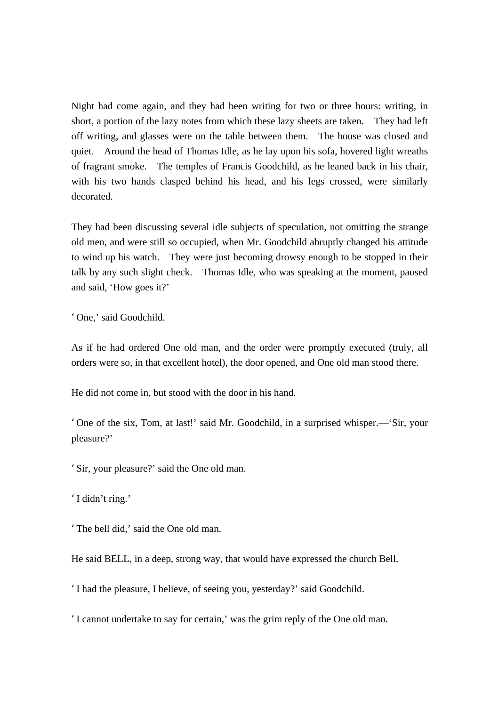Night had come again, and they had been writing for two or three hours: writing, in short, a portion of the lazy notes from which these lazy sheets are taken. They had left off writing, and glasses were on the table between them. The house was closed and quiet. Around the head of Thomas Idle, as he lay upon his sofa, hovered light wreaths of fragrant smoke. The temples of Francis Goodchild, as he leaned back in his chair, with his two hands clasped behind his head, and his legs crossed, were similarly decorated.

They had been discussing several idle subjects of speculation, not omitting the strange old men, and were still so occupied, when Mr. Goodchild abruptly changed his attitude to wind up his watch. They were just becoming drowsy enough to be stopped in their talk by any such slight check. Thomas Idle, who was speaking at the moment, paused and said, 'How goes it?'

'One,' said Goodchild.

As if he had ordered One old man, and the order were promptly executed (truly, all orders were so, in that excellent hotel), the door opened, and One old man stood there.

He did not come in, but stood with the door in his hand.

'One of the six, Tom, at last!' said Mr. Goodchild, in a surprised whisper.—'Sir, your pleasure?'

'Sir, your pleasure?' said the One old man.

'I didn't ring.'

'The bell did,' said the One old man.

He said BELL, in a deep, strong way, that would have expressed the church Bell.

'I had the pleasure, I believe, of seeing you, yesterday?' said Goodchild.

'I cannot undertake to say for certain,' was the grim reply of the One old man.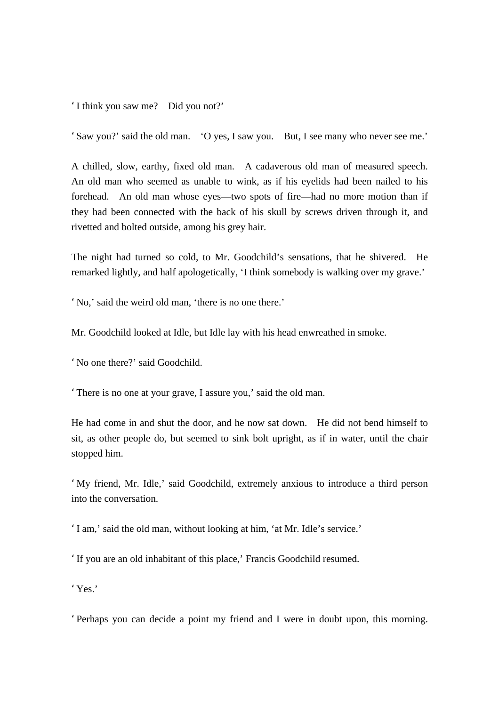'I think you saw me? Did you not?'

'Saw you?' said the old man. 'O yes, I saw you. But, I see many who never see me.'

A chilled, slow, earthy, fixed old man. A cadaverous old man of measured speech. An old man who seemed as unable to wink, as if his eyelids had been nailed to his forehead. An old man whose eyes—two spots of fire—had no more motion than if they had been connected with the back of his skull by screws driven through it, and rivetted and bolted outside, among his grey hair.

The night had turned so cold, to Mr. Goodchild's sensations, that he shivered. He remarked lightly, and half apologetically, 'I think somebody is walking over my grave.'

'No,' said the weird old man, 'there is no one there.'

Mr. Goodchild looked at Idle, but Idle lay with his head enwreathed in smoke.

'No one there?' said Goodchild.

'There is no one at your grave, I assure you,' said the old man.

He had come in and shut the door, and he now sat down. He did not bend himself to sit, as other people do, but seemed to sink bolt upright, as if in water, until the chair stopped him.

'My friend, Mr. Idle,' said Goodchild, extremely anxious to introduce a third person into the conversation.

'I am,' said the old man, without looking at him, 'at Mr. Idle's service.'

'If you are an old inhabitant of this place,' Francis Goodchild resumed.

'Yes.'

'Perhaps you can decide a point my friend and I were in doubt upon, this morning.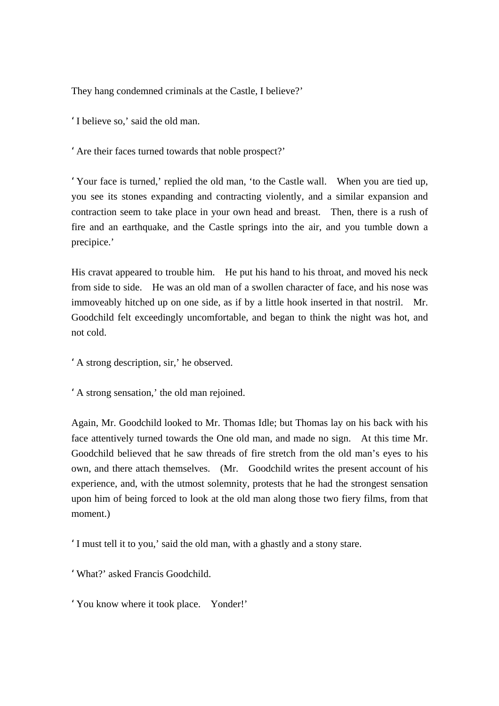They hang condemned criminals at the Castle, I believe?'

'I believe so,' said the old man.

'Are their faces turned towards that noble prospect?'

'Your face is turned,' replied the old man, 'to the Castle wall. When you are tied up, you see its stones expanding and contracting violently, and a similar expansion and contraction seem to take place in your own head and breast. Then, there is a rush of fire and an earthquake, and the Castle springs into the air, and you tumble down a precipice.'

His cravat appeared to trouble him. He put his hand to his throat, and moved his neck from side to side. He was an old man of a swollen character of face, and his nose was immoveably hitched up on one side, as if by a little hook inserted in that nostril. Mr. Goodchild felt exceedingly uncomfortable, and began to think the night was hot, and not cold.

'A strong description, sir,' he observed.

'A strong sensation,' the old man rejoined.

Again, Mr. Goodchild looked to Mr. Thomas Idle; but Thomas lay on his back with his face attentively turned towards the One old man, and made no sign. At this time Mr. Goodchild believed that he saw threads of fire stretch from the old man's eyes to his own, and there attach themselves. (Mr. Goodchild writes the present account of his experience, and, with the utmost solemnity, protests that he had the strongest sensation upon him of being forced to look at the old man along those two fiery films, from that moment.)

'I must tell it to you,' said the old man, with a ghastly and a stony stare.

'What?' asked Francis Goodchild.

'You know where it took place. Yonder!'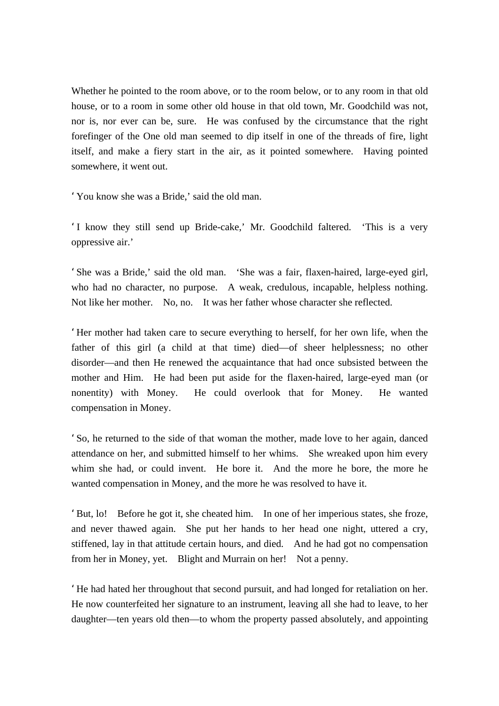Whether he pointed to the room above, or to the room below, or to any room in that old house, or to a room in some other old house in that old town, Mr. Goodchild was not, nor is, nor ever can be, sure. He was confused by the circumstance that the right forefinger of the One old man seemed to dip itself in one of the threads of fire, light itself, and make a fiery start in the air, as it pointed somewhere. Having pointed somewhere, it went out.

'You know she was a Bride,' said the old man.

'I know they still send up Bride-cake,' Mr. Goodchild faltered. 'This is a very oppressive air.'

'She was a Bride,' said the old man. 'She was a fair, flaxen-haired, large-eyed girl, who had no character, no purpose. A weak, credulous, incapable, helpless nothing. Not like her mother. No, no. It was her father whose character she reflected.

'Her mother had taken care to secure everything to herself, for her own life, when the father of this girl (a child at that time) died—of sheer helplessness; no other disorder—and then He renewed the acquaintance that had once subsisted between the mother and Him. He had been put aside for the flaxen-haired, large-eyed man (or nonentity) with Money. He could overlook that for Money. He wanted compensation in Money.

'So, he returned to the side of that woman the mother, made love to her again, danced attendance on her, and submitted himself to her whims. She wreaked upon him every whim she had, or could invent. He bore it. And the more he bore, the more he wanted compensation in Money, and the more he was resolved to have it.

'But, lo! Before he got it, she cheated him. In one of her imperious states, she froze, and never thawed again. She put her hands to her head one night, uttered a cry, stiffened, lay in that attitude certain hours, and died. And he had got no compensation from her in Money, yet. Blight and Murrain on her! Not a penny.

'He had hated her throughout that second pursuit, and had longed for retaliation on her. He now counterfeited her signature to an instrument, leaving all she had to leave, to her daughter—ten years old then—to whom the property passed absolutely, and appointing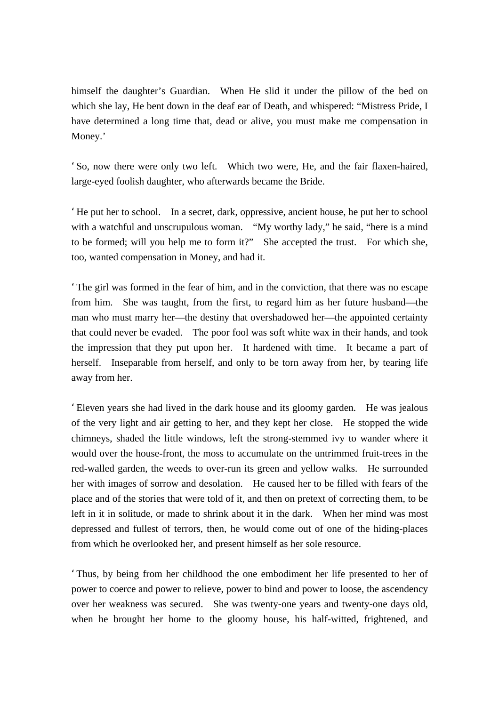himself the daughter's Guardian. When He slid it under the pillow of the bed on which she lay, He bent down in the deaf ear of Death, and whispered: "Mistress Pride, I have determined a long time that, dead or alive, you must make me compensation in Money.'

'So, now there were only two left. Which two were, He, and the fair flaxen-haired, large-eyed foolish daughter, who afterwards became the Bride.

'He put her to school. In a secret, dark, oppressive, ancient house, he put her to school with a watchful and unscrupulous woman. "My worthy lady," he said, "here is a mind to be formed; will you help me to form it?" She accepted the trust. For which she, too, wanted compensation in Money, and had it.

'The girl was formed in the fear of him, and in the conviction, that there was no escape from him. She was taught, from the first, to regard him as her future husband—the man who must marry her—the destiny that overshadowed her—the appointed certainty that could never be evaded. The poor fool was soft white wax in their hands, and took the impression that they put upon her. It hardened with time. It became a part of herself. Inseparable from herself, and only to be torn away from her, by tearing life away from her.

'Eleven years she had lived in the dark house and its gloomy garden. He was jealous of the very light and air getting to her, and they kept her close. He stopped the wide chimneys, shaded the little windows, left the strong-stemmed ivy to wander where it would over the house-front, the moss to accumulate on the untrimmed fruit-trees in the red-walled garden, the weeds to over-run its green and yellow walks. He surrounded her with images of sorrow and desolation. He caused her to be filled with fears of the place and of the stories that were told of it, and then on pretext of correcting them, to be left in it in solitude, or made to shrink about it in the dark. When her mind was most depressed and fullest of terrors, then, he would come out of one of the hiding-places from which he overlooked her, and present himself as her sole resource.

'Thus, by being from her childhood the one embodiment her life presented to her of power to coerce and power to relieve, power to bind and power to loose, the ascendency over her weakness was secured. She was twenty-one years and twenty-one days old, when he brought her home to the gloomy house, his half-witted, frightened, and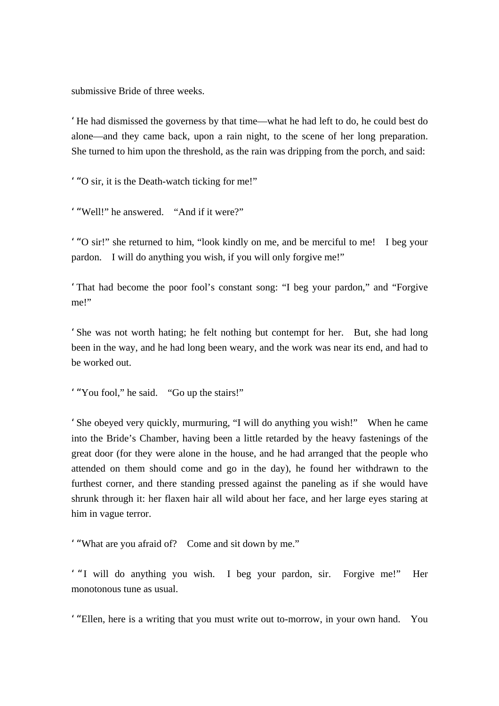submissive Bride of three weeks.

'He had dismissed the governess by that time—what he had left to do, he could best do alone—and they came back, upon a rain night, to the scene of her long preparation. She turned to him upon the threshold, as the rain was dripping from the porch, and said:

'"O sir, it is the Death-watch ticking for me!"

'"Well!" he answered. "And if it were?"

'"O sir!" she returned to him, "look kindly on me, and be merciful to me! I beg your pardon. I will do anything you wish, if you will only forgive me!"

'That had become the poor fool's constant song: "I beg your pardon," and "Forgive me!"

'She was not worth hating; he felt nothing but contempt for her. But, she had long been in the way, and he had long been weary, and the work was near its end, and had to be worked out.

'"You fool," he said. "Go up the stairs!"

'She obeyed very quickly, murmuring, "I will do anything you wish!" When he came into the Bride's Chamber, having been a little retarded by the heavy fastenings of the great door (for they were alone in the house, and he had arranged that the people who attended on them should come and go in the day), he found her withdrawn to the furthest corner, and there standing pressed against the paneling as if she would have shrunk through it: her flaxen hair all wild about her face, and her large eyes staring at him in vague terror.

'"What are you afraid of? Come and sit down by me."

' "I will do anything you wish. I beg your pardon, sir. Forgive me!" Her monotonous tune as usual.

'"Ellen, here is a writing that you must write out to-morrow, in your own hand. You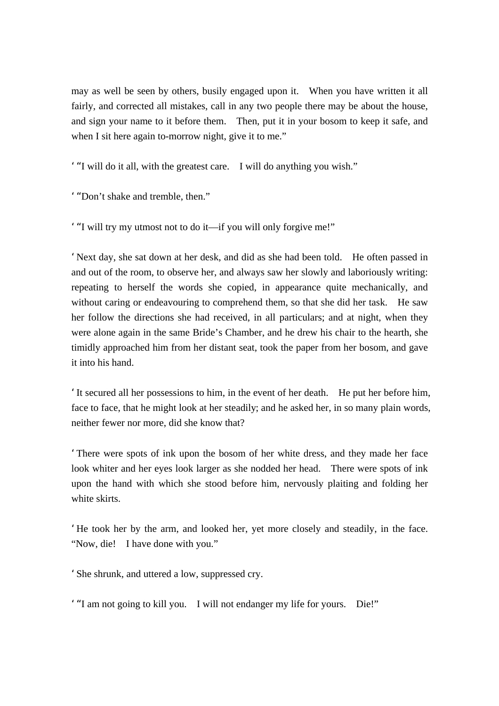may as well be seen by others, busily engaged upon it. When you have written it all fairly, and corrected all mistakes, call in any two people there may be about the house, and sign your name to it before them. Then, put it in your bosom to keep it safe, and when I sit here again to-morrow night, give it to me."

'"I will do it all, with the greatest care. I will do anything you wish."

'"Don't shake and tremble, then."

'"I will try my utmost not to do it—if you will only forgive me!"

'Next day, she sat down at her desk, and did as she had been told. He often passed in and out of the room, to observe her, and always saw her slowly and laboriously writing: repeating to herself the words she copied, in appearance quite mechanically, and without caring or endeavouring to comprehend them, so that she did her task. He saw her follow the directions she had received, in all particulars; and at night, when they were alone again in the same Bride's Chamber, and he drew his chair to the hearth, she timidly approached him from her distant seat, took the paper from her bosom, and gave it into his hand.

'It secured all her possessions to him, in the event of her death. He put her before him, face to face, that he might look at her steadily; and he asked her, in so many plain words, neither fewer nor more, did she know that?

'There were spots of ink upon the bosom of her white dress, and they made her face look whiter and her eyes look larger as she nodded her head. There were spots of ink upon the hand with which she stood before him, nervously plaiting and folding her white skirts.

'He took her by the arm, and looked her, yet more closely and steadily, in the face. "Now, die! I have done with you."

'She shrunk, and uttered a low, suppressed cry.

'"I am not going to kill you. I will not endanger my life for yours. Die!"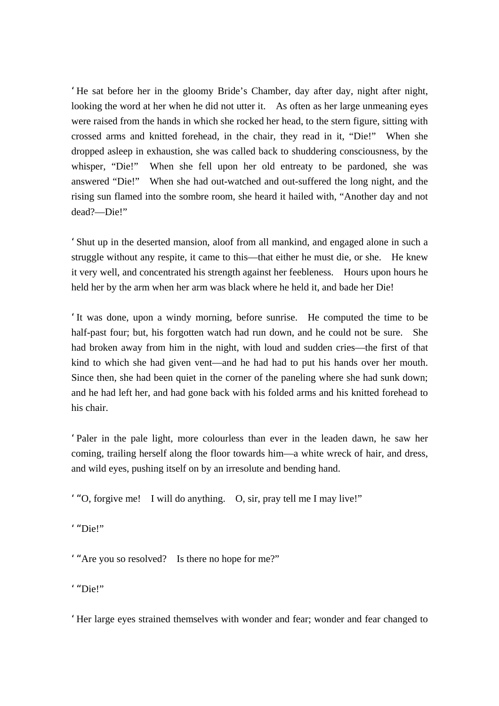'He sat before her in the gloomy Bride's Chamber, day after day, night after night, looking the word at her when he did not utter it. As often as her large unmeaning eyes were raised from the hands in which she rocked her head, to the stern figure, sitting with crossed arms and knitted forehead, in the chair, they read in it, "Die!" When she dropped asleep in exhaustion, she was called back to shuddering consciousness, by the whisper, "Die!" When she fell upon her old entreaty to be pardoned, she was answered "Die!" When she had out-watched and out-suffered the long night, and the rising sun flamed into the sombre room, she heard it hailed with, "Another day and not dead?—Die!"

'Shut up in the deserted mansion, aloof from all mankind, and engaged alone in such a struggle without any respite, it came to this—that either he must die, or she. He knew it very well, and concentrated his strength against her feebleness. Hours upon hours he held her by the arm when her arm was black where he held it, and bade her Die!

'It was done, upon a windy morning, before sunrise. He computed the time to be half-past four; but, his forgotten watch had run down, and he could not be sure. She had broken away from him in the night, with loud and sudden cries—the first of that kind to which she had given vent—and he had had to put his hands over her mouth. Since then, she had been quiet in the corner of the paneling where she had sunk down; and he had left her, and had gone back with his folded arms and his knitted forehead to his chair.

'Paler in the pale light, more colourless than ever in the leaden dawn, he saw her coming, trailing herself along the floor towards him—a white wreck of hair, and dress, and wild eyes, pushing itself on by an irresolute and bending hand.

'"O, forgive me! I will do anything. O, sir, pray tell me I may live!"

'"Die!"

'"Are you so resolved? Is there no hope for me?"

'"Die!"

'Her large eyes strained themselves with wonder and fear; wonder and fear changed to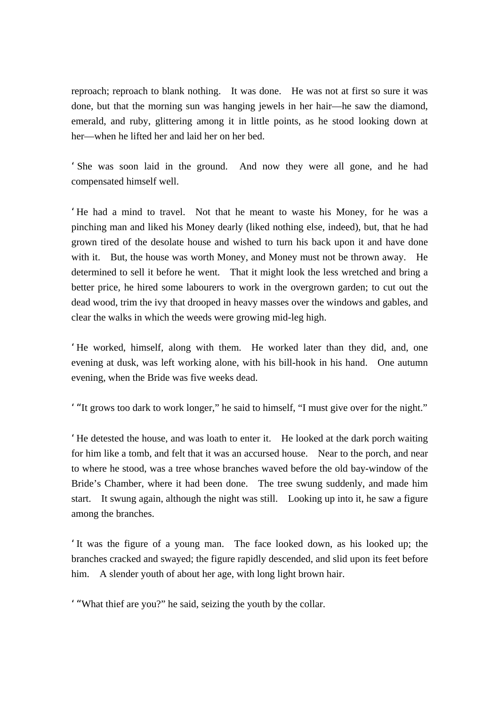reproach; reproach to blank nothing. It was done. He was not at first so sure it was done, but that the morning sun was hanging jewels in her hair—he saw the diamond, emerald, and ruby, glittering among it in little points, as he stood looking down at her—when he lifted her and laid her on her bed.

'She was soon laid in the ground. And now they were all gone, and he had compensated himself well.

'He had a mind to travel. Not that he meant to waste his Money, for he was a pinching man and liked his Money dearly (liked nothing else, indeed), but, that he had grown tired of the desolate house and wished to turn his back upon it and have done with it. But, the house was worth Money, and Money must not be thrown away. He determined to sell it before he went. That it might look the less wretched and bring a better price, he hired some labourers to work in the overgrown garden; to cut out the dead wood, trim the ivy that drooped in heavy masses over the windows and gables, and clear the walks in which the weeds were growing mid-leg high.

'He worked, himself, along with them. He worked later than they did, and, one evening at dusk, was left working alone, with his bill-hook in his hand. One autumn evening, when the Bride was five weeks dead.

'"It grows too dark to work longer," he said to himself, "I must give over for the night."

'He detested the house, and was loath to enter it. He looked at the dark porch waiting for him like a tomb, and felt that it was an accursed house. Near to the porch, and near to where he stood, was a tree whose branches waved before the old bay-window of the Bride's Chamber, where it had been done. The tree swung suddenly, and made him start. It swung again, although the night was still. Looking up into it, he saw a figure among the branches.

'It was the figure of a young man. The face looked down, as his looked up; the branches cracked and swayed; the figure rapidly descended, and slid upon its feet before him. A slender youth of about her age, with long light brown hair.

'"What thief are you?" he said, seizing the youth by the collar.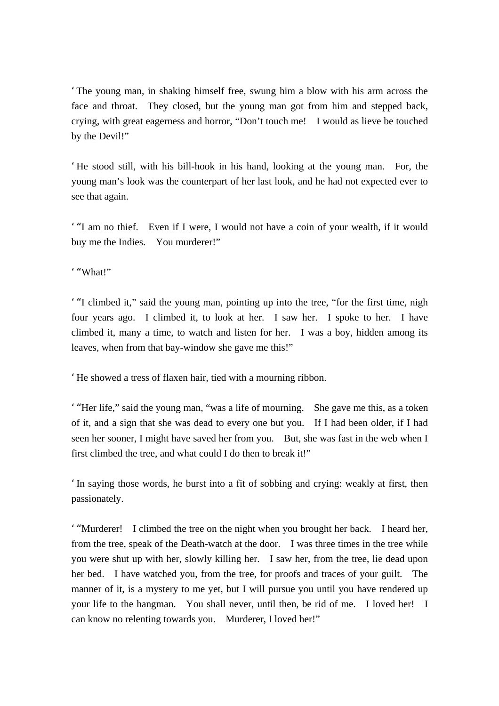'The young man, in shaking himself free, swung him a blow with his arm across the face and throat. They closed, but the young man got from him and stepped back, crying, with great eagerness and horror, "Don't touch me! I would as lieve be touched by the Devil!"

'He stood still, with his bill-hook in his hand, looking at the young man. For, the young man's look was the counterpart of her last look, and he had not expected ever to see that again.

'"I am no thief. Even if I were, I would not have a coin of your wealth, if it would buy me the Indies. You murderer!"

'"What!"

'"I climbed it," said the young man, pointing up into the tree, "for the first time, nigh four years ago. I climbed it, to look at her. I saw her. I spoke to her. I have climbed it, many a time, to watch and listen for her. I was a boy, hidden among its leaves, when from that bay-window she gave me this!"

'He showed a tress of flaxen hair, tied with a mourning ribbon.

'"Her life," said the young man, "was a life of mourning. She gave me this, as a token of it, and a sign that she was dead to every one but you. If I had been older, if I had seen her sooner, I might have saved her from you. But, she was fast in the web when I first climbed the tree, and what could I do then to break it!"

'In saying those words, he burst into a fit of sobbing and crying: weakly at first, then passionately.

'"Murderer! I climbed the tree on the night when you brought her back. I heard her, from the tree, speak of the Death-watch at the door. I was three times in the tree while you were shut up with her, slowly killing her. I saw her, from the tree, lie dead upon her bed. I have watched you, from the tree, for proofs and traces of your guilt. The manner of it, is a mystery to me yet, but I will pursue you until you have rendered up your life to the hangman. You shall never, until then, be rid of me. I loved her! I can know no relenting towards you. Murderer, I loved her!"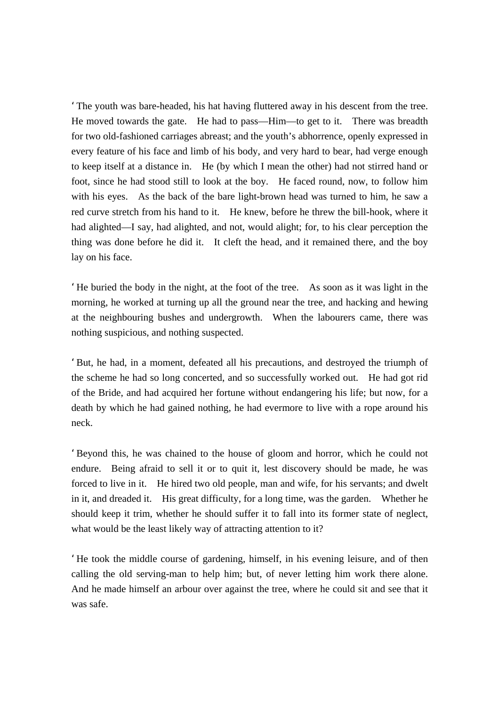'The youth was bare-headed, his hat having fluttered away in his descent from the tree. He moved towards the gate. He had to pass—Him—to get to it. There was breadth for two old-fashioned carriages abreast; and the youth's abhorrence, openly expressed in every feature of his face and limb of his body, and very hard to bear, had verge enough to keep itself at a distance in. He (by which I mean the other) had not stirred hand or foot, since he had stood still to look at the boy. He faced round, now, to follow him with his eyes. As the back of the bare light-brown head was turned to him, he saw a red curve stretch from his hand to it. He knew, before he threw the bill-hook, where it had alighted—I say, had alighted, and not, would alight; for, to his clear perception the thing was done before he did it. It cleft the head, and it remained there, and the boy lay on his face.

'He buried the body in the night, at the foot of the tree. As soon as it was light in the morning, he worked at turning up all the ground near the tree, and hacking and hewing at the neighbouring bushes and undergrowth. When the labourers came, there was nothing suspicious, and nothing suspected.

'But, he had, in a moment, defeated all his precautions, and destroyed the triumph of the scheme he had so long concerted, and so successfully worked out. He had got rid of the Bride, and had acquired her fortune without endangering his life; but now, for a death by which he had gained nothing, he had evermore to live with a rope around his neck.

'Beyond this, he was chained to the house of gloom and horror, which he could not endure. Being afraid to sell it or to quit it, lest discovery should be made, he was forced to live in it. He hired two old people, man and wife, for his servants; and dwelt in it, and dreaded it. His great difficulty, for a long time, was the garden. Whether he should keep it trim, whether he should suffer it to fall into its former state of neglect, what would be the least likely way of attracting attention to it?

'He took the middle course of gardening, himself, in his evening leisure, and of then calling the old serving-man to help him; but, of never letting him work there alone. And he made himself an arbour over against the tree, where he could sit and see that it was safe.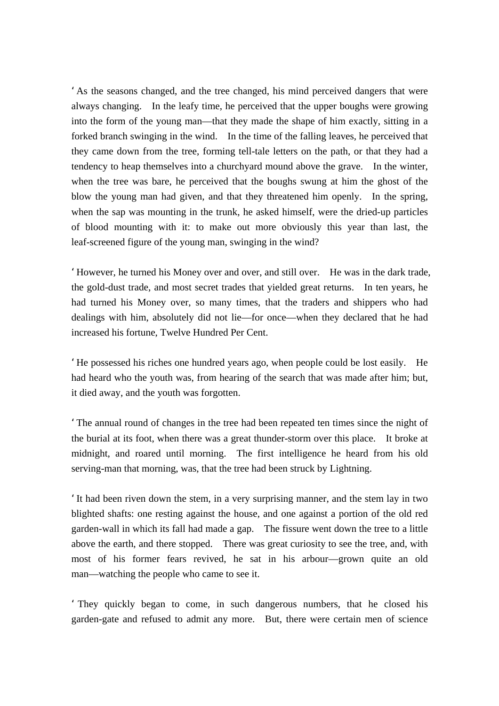'As the seasons changed, and the tree changed, his mind perceived dangers that were always changing. In the leafy time, he perceived that the upper boughs were growing into the form of the young man—that they made the shape of him exactly, sitting in a forked branch swinging in the wind. In the time of the falling leaves, he perceived that they came down from the tree, forming tell-tale letters on the path, or that they had a tendency to heap themselves into a churchyard mound above the grave. In the winter, when the tree was bare, he perceived that the boughs swung at him the ghost of the blow the young man had given, and that they threatened him openly. In the spring, when the sap was mounting in the trunk, he asked himself, were the dried-up particles of blood mounting with it: to make out more obviously this year than last, the leaf-screened figure of the young man, swinging in the wind?

'However, he turned his Money over and over, and still over. He was in the dark trade, the gold-dust trade, and most secret trades that yielded great returns. In ten years, he had turned his Money over, so many times, that the traders and shippers who had dealings with him, absolutely did not lie—for once—when they declared that he had increased his fortune, Twelve Hundred Per Cent.

'He possessed his riches one hundred years ago, when people could be lost easily. He had heard who the youth was, from hearing of the search that was made after him; but, it died away, and the youth was forgotten.

'The annual round of changes in the tree had been repeated ten times since the night of the burial at its foot, when there was a great thunder-storm over this place. It broke at midnight, and roared until morning. The first intelligence he heard from his old serving-man that morning, was, that the tree had been struck by Lightning.

'It had been riven down the stem, in a very surprising manner, and the stem lay in two blighted shafts: one resting against the house, and one against a portion of the old red garden-wall in which its fall had made a gap. The fissure went down the tree to a little above the earth, and there stopped. There was great curiosity to see the tree, and, with most of his former fears revived, he sat in his arbour—grown quite an old man—watching the people who came to see it.

'They quickly began to come, in such dangerous numbers, that he closed his garden-gate and refused to admit any more. But, there were certain men of science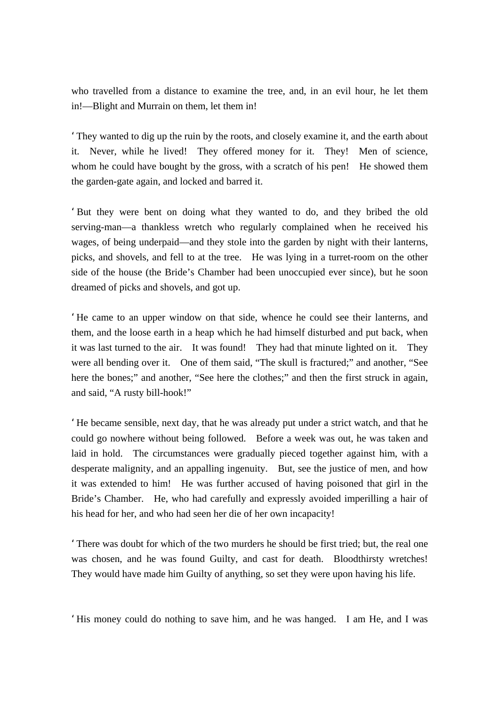who travelled from a distance to examine the tree, and, in an evil hour, he let them in!—Blight and Murrain on them, let them in!

'They wanted to dig up the ruin by the roots, and closely examine it, and the earth about it. Never, while he lived! They offered money for it. They! Men of science, whom he could have bought by the gross, with a scratch of his pen! He showed them the garden-gate again, and locked and barred it.

'But they were bent on doing what they wanted to do, and they bribed the old serving-man—a thankless wretch who regularly complained when he received his wages, of being underpaid—and they stole into the garden by night with their lanterns, picks, and shovels, and fell to at the tree. He was lying in a turret-room on the other side of the house (the Bride's Chamber had been unoccupied ever since), but he soon dreamed of picks and shovels, and got up.

'He came to an upper window on that side, whence he could see their lanterns, and them, and the loose earth in a heap which he had himself disturbed and put back, when it was last turned to the air. It was found! They had that minute lighted on it. They were all bending over it. One of them said, "The skull is fractured;" and another, "See here the bones;" and another, "See here the clothes;" and then the first struck in again, and said, "A rusty bill-hook!"

'He became sensible, next day, that he was already put under a strict watch, and that he could go nowhere without being followed. Before a week was out, he was taken and laid in hold. The circumstances were gradually pieced together against him, with a desperate malignity, and an appalling ingenuity. But, see the justice of men, and how it was extended to him! He was further accused of having poisoned that girl in the Bride's Chamber. He, who had carefully and expressly avoided imperilling a hair of his head for her, and who had seen her die of her own incapacity!

'There was doubt for which of the two murders he should be first tried; but, the real one was chosen, and he was found Guilty, and cast for death. Bloodthirsty wretches! They would have made him Guilty of anything, so set they were upon having his life.

'His money could do nothing to save him, and he was hanged. I am He, and I was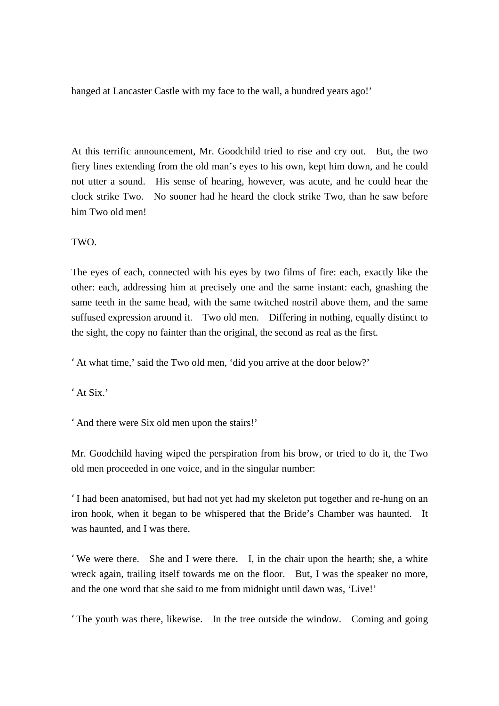hanged at Lancaster Castle with my face to the wall, a hundred years ago!'

At this terrific announcement, Mr. Goodchild tried to rise and cry out. But, the two fiery lines extending from the old man's eyes to his own, kept him down, and he could not utter a sound. His sense of hearing, however, was acute, and he could hear the clock strike Two. No sooner had he heard the clock strike Two, than he saw before him Two old men!

TWO.

The eyes of each, connected with his eyes by two films of fire: each, exactly like the other: each, addressing him at precisely one and the same instant: each, gnashing the same teeth in the same head, with the same twitched nostril above them, and the same suffused expression around it. Two old men. Differing in nothing, equally distinct to the sight, the copy no fainter than the original, the second as real as the first.

'At what time,' said the Two old men, 'did you arrive at the door below?'

' At Six<sup>'</sup>

'And there were Six old men upon the stairs!'

Mr. Goodchild having wiped the perspiration from his brow, or tried to do it, the Two old men proceeded in one voice, and in the singular number:

'I had been anatomised, but had not yet had my skeleton put together and re-hung on an iron hook, when it began to be whispered that the Bride's Chamber was haunted. It was haunted, and I was there.

'We were there. She and I were there. I, in the chair upon the hearth; she, a white wreck again, trailing itself towards me on the floor. But, I was the speaker no more, and the one word that she said to me from midnight until dawn was, 'Live!'

'The youth was there, likewise. In the tree outside the window. Coming and going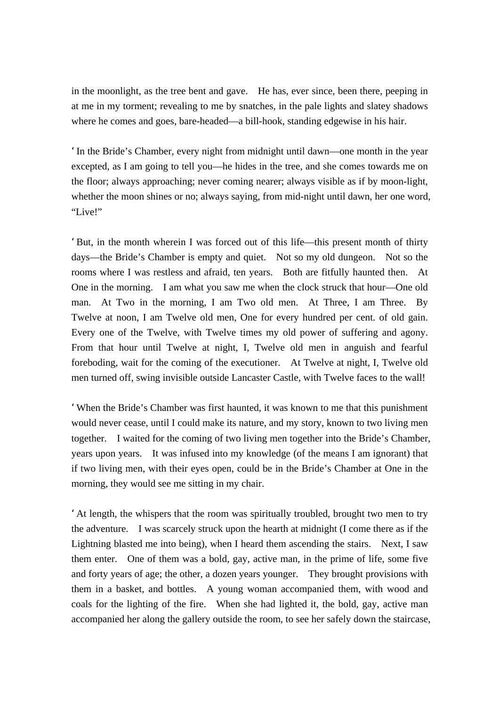in the moonlight, as the tree bent and gave. He has, ever since, been there, peeping in at me in my torment; revealing to me by snatches, in the pale lights and slatey shadows where he comes and goes, bare-headed—a bill-hook, standing edgewise in his hair.

'In the Bride's Chamber, every night from midnight until dawn—one month in the year excepted, as I am going to tell you—he hides in the tree, and she comes towards me on the floor; always approaching; never coming nearer; always visible as if by moon-light, whether the moon shines or no; always saying, from mid-night until dawn, her one word, "Live!"

'But, in the month wherein I was forced out of this life—this present month of thirty days—the Bride's Chamber is empty and quiet. Not so my old dungeon. Not so the rooms where I was restless and afraid, ten years. Both are fitfully haunted then. At One in the morning. I am what you saw me when the clock struck that hour—One old man. At Two in the morning, I am Two old men. At Three, I am Three. By Twelve at noon, I am Twelve old men, One for every hundred per cent. of old gain. Every one of the Twelve, with Twelve times my old power of suffering and agony. From that hour until Twelve at night, I, Twelve old men in anguish and fearful foreboding, wait for the coming of the executioner. At Twelve at night, I, Twelve old men turned off, swing invisible outside Lancaster Castle, with Twelve faces to the wall!

'When the Bride's Chamber was first haunted, it was known to me that this punishment would never cease, until I could make its nature, and my story, known to two living men together. I waited for the coming of two living men together into the Bride's Chamber, years upon years. It was infused into my knowledge (of the means I am ignorant) that if two living men, with their eyes open, could be in the Bride's Chamber at One in the morning, they would see me sitting in my chair.

'At length, the whispers that the room was spiritually troubled, brought two men to try the adventure. I was scarcely struck upon the hearth at midnight (I come there as if the Lightning blasted me into being), when I heard them ascending the stairs. Next, I saw them enter. One of them was a bold, gay, active man, in the prime of life, some five and forty years of age; the other, a dozen years younger. They brought provisions with them in a basket, and bottles. A young woman accompanied them, with wood and coals for the lighting of the fire. When she had lighted it, the bold, gay, active man accompanied her along the gallery outside the room, to see her safely down the staircase,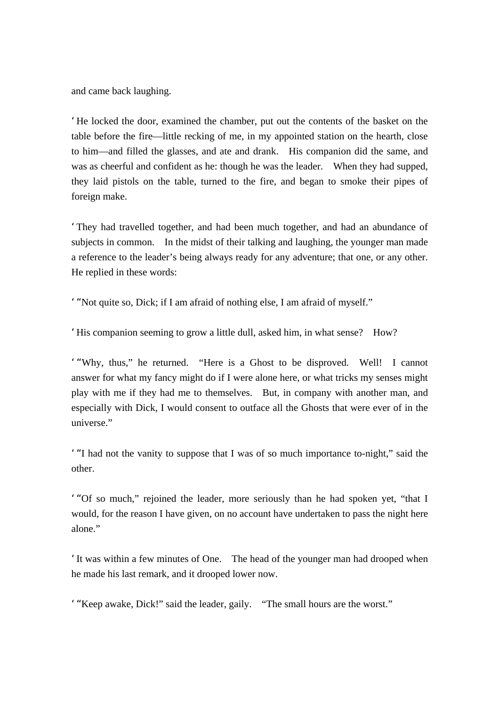and came back laughing.

'He locked the door, examined the chamber, put out the contents of the basket on the table before the fire—little recking of me, in my appointed station on the hearth, close to him—and filled the glasses, and ate and drank. His companion did the same, and was as cheerful and confident as he: though he was the leader. When they had supped, they laid pistols on the table, turned to the fire, and began to smoke their pipes of foreign make.

'They had travelled together, and had been much together, and had an abundance of subjects in common. In the midst of their talking and laughing, the younger man made a reference to the leader's being always ready for any adventure; that one, or any other. He replied in these words:

'"Not quite so, Dick; if I am afraid of nothing else, I am afraid of myself."

'His companion seeming to grow a little dull, asked him, in what sense? How?

'"Why, thus," he returned. "Here is a Ghost to be disproved. Well! I cannot answer for what my fancy might do if I were alone here, or what tricks my senses might play with me if they had me to themselves. But, in company with another man, and especially with Dick, I would consent to outface all the Ghosts that were ever of in the universe."

'"I had not the vanity to suppose that I was of so much importance to-night," said the other.

'"Of so much," rejoined the leader, more seriously than he had spoken yet, "that I would, for the reason I have given, on no account have undertaken to pass the night here alone."

'It was within a few minutes of One. The head of the younger man had drooped when he made his last remark, and it drooped lower now.

'"Keep awake, Dick!" said the leader, gaily. "The small hours are the worst."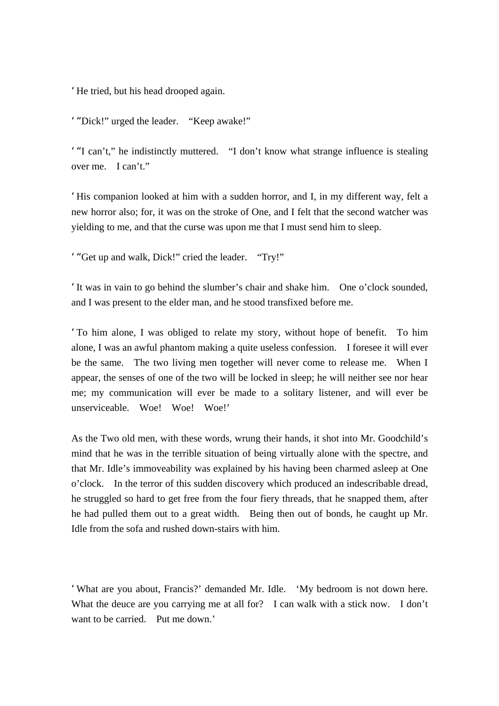'He tried, but his head drooped again.

'"Dick!" urged the leader. "Keep awake!"

'"I can't," he indistinctly muttered. "I don't know what strange influence is stealing over me. I can't."

'His companion looked at him with a sudden horror, and I, in my different way, felt a new horror also; for, it was on the stroke of One, and I felt that the second watcher was yielding to me, and that the curse was upon me that I must send him to sleep.

'"Get up and walk, Dick!" cried the leader. "Try!"

'It was in vain to go behind the slumber's chair and shake him. One o'clock sounded, and I was present to the elder man, and he stood transfixed before me.

'To him alone, I was obliged to relate my story, without hope of benefit. To him alone, I was an awful phantom making a quite useless confession. I foresee it will ever be the same. The two living men together will never come to release me. When I appear, the senses of one of the two will be locked in sleep; he will neither see nor hear me; my communication will ever be made to a solitary listener, and will ever be unserviceable. Woe! Woe! Woe!'

As the Two old men, with these words, wrung their hands, it shot into Mr. Goodchild's mind that he was in the terrible situation of being virtually alone with the spectre, and that Mr. Idle's immoveability was explained by his having been charmed asleep at One o'clock. In the terror of this sudden discovery which produced an indescribable dread, he struggled so hard to get free from the four fiery threads, that he snapped them, after he had pulled them out to a great width. Being then out of bonds, he caught up Mr. Idle from the sofa and rushed down-stairs with him.

'What are you about, Francis?' demanded Mr. Idle. 'My bedroom is not down here. What the deuce are you carrying me at all for? I can walk with a stick now. I don't want to be carried. Put me down.'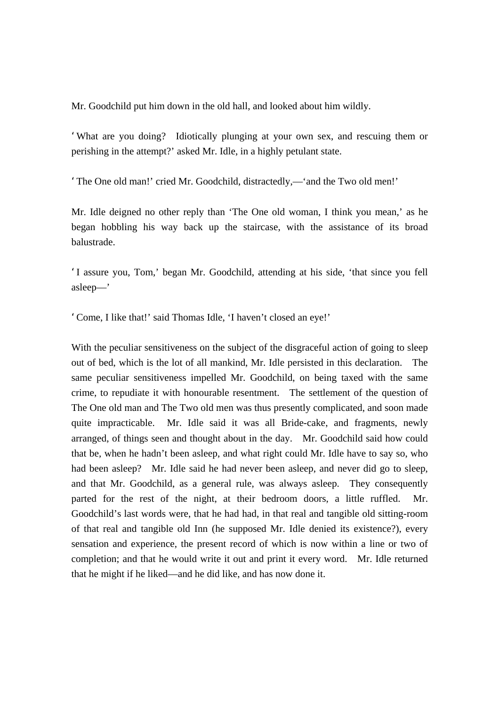Mr. Goodchild put him down in the old hall, and looked about him wildly.

'What are you doing? Idiotically plunging at your own sex, and rescuing them or perishing in the attempt?' asked Mr. Idle, in a highly petulant state.

'The One old man!' cried Mr. Goodchild, distractedly,—'and the Two old men!'

Mr. Idle deigned no other reply than 'The One old woman, I think you mean,' as he began hobbling his way back up the staircase, with the assistance of its broad balustrade.

'I assure you, Tom,' began Mr. Goodchild, attending at his side, 'that since you fell asleep—'

'Come, I like that!' said Thomas Idle, 'I haven't closed an eye!'

With the peculiar sensitiveness on the subject of the disgraceful action of going to sleep out of bed, which is the lot of all mankind, Mr. Idle persisted in this declaration. The same peculiar sensitiveness impelled Mr. Goodchild, on being taxed with the same crime, to repudiate it with honourable resentment. The settlement of the question of The One old man and The Two old men was thus presently complicated, and soon made quite impracticable. Mr. Idle said it was all Bride-cake, and fragments, newly arranged, of things seen and thought about in the day. Mr. Goodchild said how could that be, when he hadn't been asleep, and what right could Mr. Idle have to say so, who had been asleep? Mr. Idle said he had never been asleep, and never did go to sleep, and that Mr. Goodchild, as a general rule, was always asleep. They consequently parted for the rest of the night, at their bedroom doors, a little ruffled. Mr. Goodchild's last words were, that he had had, in that real and tangible old sitting-room of that real and tangible old Inn (he supposed Mr. Idle denied its existence?), every sensation and experience, the present record of which is now within a line or two of completion; and that he would write it out and print it every word. Mr. Idle returned that he might if he liked—and he did like, and has now done it.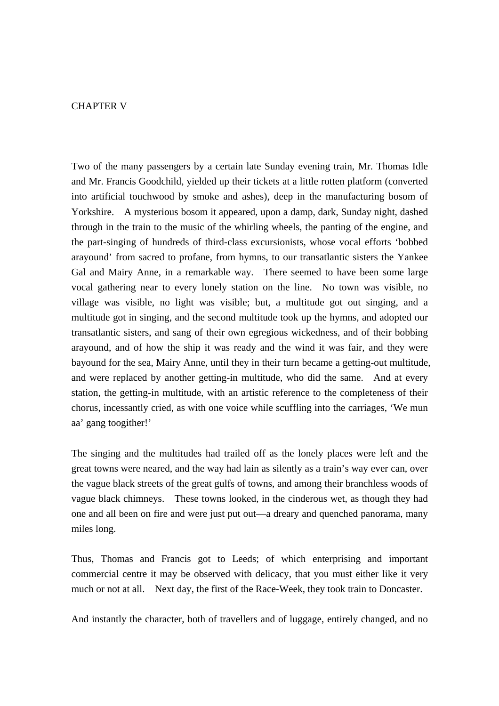## CHAPTER V

Two of the many passengers by a certain late Sunday evening train, Mr. Thomas Idle and Mr. Francis Goodchild, yielded up their tickets at a little rotten platform (converted into artificial touchwood by smoke and ashes), deep in the manufacturing bosom of Yorkshire. A mysterious bosom it appeared, upon a damp, dark, Sunday night, dashed through in the train to the music of the whirling wheels, the panting of the engine, and the part-singing of hundreds of third-class excursionists, whose vocal efforts 'bobbed arayound' from sacred to profane, from hymns, to our transatlantic sisters the Yankee Gal and Mairy Anne, in a remarkable way. There seemed to have been some large vocal gathering near to every lonely station on the line. No town was visible, no village was visible, no light was visible; but, a multitude got out singing, and a multitude got in singing, and the second multitude took up the hymns, and adopted our transatlantic sisters, and sang of their own egregious wickedness, and of their bobbing arayound, and of how the ship it was ready and the wind it was fair, and they were bayound for the sea, Mairy Anne, until they in their turn became a getting-out multitude, and were replaced by another getting-in multitude, who did the same. And at every station, the getting-in multitude, with an artistic reference to the completeness of their chorus, incessantly cried, as with one voice while scuffling into the carriages, 'We mun aa' gang toogither!'

The singing and the multitudes had trailed off as the lonely places were left and the great towns were neared, and the way had lain as silently as a train's way ever can, over the vague black streets of the great gulfs of towns, and among their branchless woods of vague black chimneys. These towns looked, in the cinderous wet, as though they had one and all been on fire and were just put out—a dreary and quenched panorama, many miles long.

Thus, Thomas and Francis got to Leeds; of which enterprising and important commercial centre it may be observed with delicacy, that you must either like it very much or not at all. Next day, the first of the Race-Week, they took train to Doncaster.

And instantly the character, both of travellers and of luggage, entirely changed, and no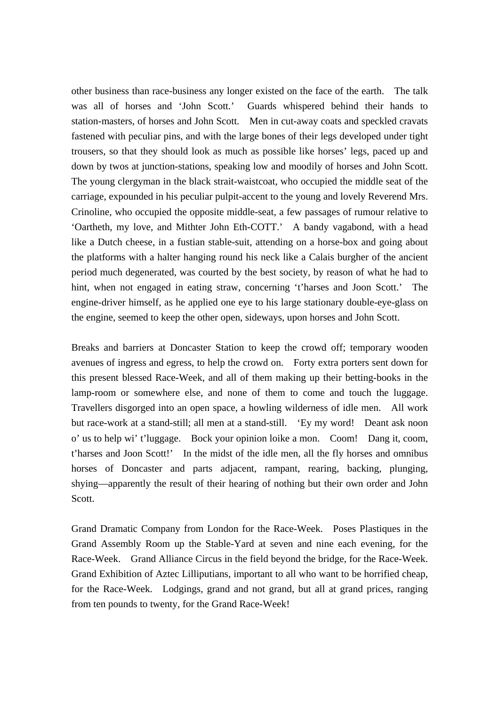other business than race-business any longer existed on the face of the earth. The talk was all of horses and 'John Scott.' Guards whispered behind their hands to station-masters, of horses and John Scott. Men in cut-away coats and speckled cravats fastened with peculiar pins, and with the large bones of their legs developed under tight trousers, so that they should look as much as possible like horses' legs, paced up and down by twos at junction-stations, speaking low and moodily of horses and John Scott. The young clergyman in the black strait-waistcoat, who occupied the middle seat of the carriage, expounded in his peculiar pulpit-accent to the young and lovely Reverend Mrs. Crinoline, who occupied the opposite middle-seat, a few passages of rumour relative to 'Oartheth, my love, and Mithter John Eth-COTT.' A bandy vagabond, with a head like a Dutch cheese, in a fustian stable-suit, attending on a horse-box and going about the platforms with a halter hanging round his neck like a Calais burgher of the ancient period much degenerated, was courted by the best society, by reason of what he had to hint, when not engaged in eating straw, concerning 't'harses and Joon Scott.' The engine-driver himself, as he applied one eye to his large stationary double-eye-glass on the engine, seemed to keep the other open, sideways, upon horses and John Scott.

Breaks and barriers at Doncaster Station to keep the crowd off; temporary wooden avenues of ingress and egress, to help the crowd on. Forty extra porters sent down for this present blessed Race-Week, and all of them making up their betting-books in the lamp-room or somewhere else, and none of them to come and touch the luggage. Travellers disgorged into an open space, a howling wilderness of idle men. All work but race-work at a stand-still; all men at a stand-still. 'Ey my word! Deant ask noon o' us to help wi' t'luggage. Bock your opinion loike a mon. Coom! Dang it, coom, t'harses and Joon Scott!' In the midst of the idle men, all the fly horses and omnibus horses of Doncaster and parts adjacent, rampant, rearing, backing, plunging, shying—apparently the result of their hearing of nothing but their own order and John Scott.

Grand Dramatic Company from London for the Race-Week. Poses Plastiques in the Grand Assembly Room up the Stable-Yard at seven and nine each evening, for the Race-Week. Grand Alliance Circus in the field beyond the bridge, for the Race-Week. Grand Exhibition of Aztec Lilliputians, important to all who want to be horrified cheap, for the Race-Week. Lodgings, grand and not grand, but all at grand prices, ranging from ten pounds to twenty, for the Grand Race-Week!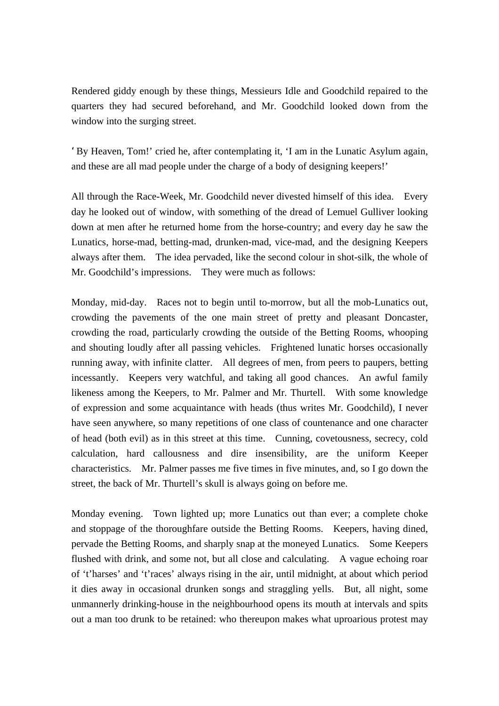Rendered giddy enough by these things, Messieurs Idle and Goodchild repaired to the quarters they had secured beforehand, and Mr. Goodchild looked down from the window into the surging street.

'By Heaven, Tom!' cried he, after contemplating it, 'I am in the Lunatic Asylum again, and these are all mad people under the charge of a body of designing keepers!'

All through the Race-Week, Mr. Goodchild never divested himself of this idea. Every day he looked out of window, with something of the dread of Lemuel Gulliver looking down at men after he returned home from the horse-country; and every day he saw the Lunatics, horse-mad, betting-mad, drunken-mad, vice-mad, and the designing Keepers always after them. The idea pervaded, like the second colour in shot-silk, the whole of Mr. Goodchild's impressions. They were much as follows:

Monday, mid-day. Races not to begin until to-morrow, but all the mob-Lunatics out, crowding the pavements of the one main street of pretty and pleasant Doncaster, crowding the road, particularly crowding the outside of the Betting Rooms, whooping and shouting loudly after all passing vehicles. Frightened lunatic horses occasionally running away, with infinite clatter. All degrees of men, from peers to paupers, betting incessantly. Keepers very watchful, and taking all good chances. An awful family likeness among the Keepers, to Mr. Palmer and Mr. Thurtell. With some knowledge of expression and some acquaintance with heads (thus writes Mr. Goodchild), I never have seen anywhere, so many repetitions of one class of countenance and one character of head (both evil) as in this street at this time. Cunning, covetousness, secrecy, cold calculation, hard callousness and dire insensibility, are the uniform Keeper characteristics. Mr. Palmer passes me five times in five minutes, and, so I go down the street, the back of Mr. Thurtell's skull is always going on before me.

Monday evening. Town lighted up; more Lunatics out than ever; a complete choke and stoppage of the thoroughfare outside the Betting Rooms. Keepers, having dined, pervade the Betting Rooms, and sharply snap at the moneyed Lunatics. Some Keepers flushed with drink, and some not, but all close and calculating. A vague echoing roar of 't'harses' and 't'races' always rising in the air, until midnight, at about which period it dies away in occasional drunken songs and straggling yells. But, all night, some unmannerly drinking-house in the neighbourhood opens its mouth at intervals and spits out a man too drunk to be retained: who thereupon makes what uproarious protest may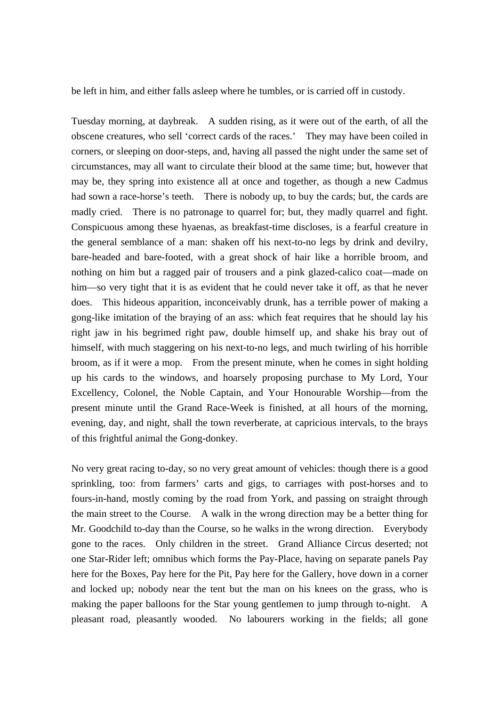be left in him, and either falls asleep where he tumbles, or is carried off in custody.

Tuesday morning, at daybreak. A sudden rising, as it were out of the earth, of all the obscene creatures, who sell 'correct cards of the races.' They may have been coiled in corners, or sleeping on door-steps, and, having all passed the night under the same set of circumstances, may all want to circulate their blood at the same time; but, however that may be, they spring into existence all at once and together, as though a new Cadmus had sown a race-horse's teeth. There is nobody up, to buy the cards; but, the cards are madly cried. There is no patronage to quarrel for; but, they madly quarrel and fight. Conspicuous among these hyaenas, as breakfast-time discloses, is a fearful creature in the general semblance of a man: shaken off his next-to-no legs by drink and devilry, bare-headed and bare-footed, with a great shock of hair like a horrible broom, and nothing on him but a ragged pair of trousers and a pink glazed-calico coat—made on him—so very tight that it is as evident that he could never take it off, as that he never does. This hideous apparition, inconceivably drunk, has a terrible power of making a gong-like imitation of the braying of an ass: which feat requires that he should lay his right jaw in his begrimed right paw, double himself up, and shake his bray out of himself, with much staggering on his next-to-no legs, and much twirling of his horrible broom, as if it were a mop. From the present minute, when he comes in sight holding up his cards to the windows, and hoarsely proposing purchase to My Lord, Your Excellency, Colonel, the Noble Captain, and Your Honourable Worship—from the present minute until the Grand Race-Week is finished, at all hours of the morning, evening, day, and night, shall the town reverberate, at capricious intervals, to the brays of this frightful animal the Gong-donkey.

No very great racing to-day, so no very great amount of vehicles: though there is a good sprinkling, too: from farmers' carts and gigs, to carriages with post-horses and to fours-in-hand, mostly coming by the road from York, and passing on straight through the main street to the Course. A walk in the wrong direction may be a better thing for Mr. Goodchild to-day than the Course, so he walks in the wrong direction. Everybody gone to the races. Only children in the street. Grand Alliance Circus deserted; not one Star-Rider left; omnibus which forms the Pay-Place, having on separate panels Pay here for the Boxes, Pay here for the Pit, Pay here for the Gallery, hove down in a corner and locked up; nobody near the tent but the man on his knees on the grass, who is making the paper balloons for the Star young gentlemen to jump through to-night. A pleasant road, pleasantly wooded. No labourers working in the fields; all gone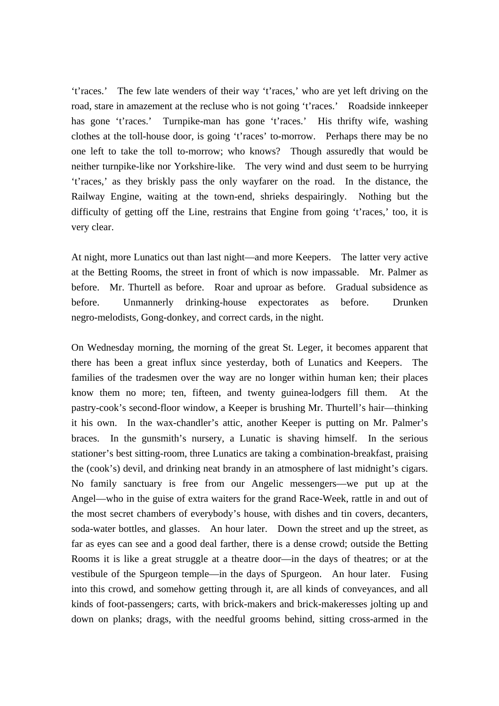't'races.' The few late wenders of their way 't'races,' who are yet left driving on the road, stare in amazement at the recluse who is not going 't'races.' Roadside innkeeper has gone 't'races.' Turnpike-man has gone 't'races.' His thrifty wife, washing clothes at the toll-house door, is going 't'races' to-morrow. Perhaps there may be no one left to take the toll to-morrow; who knows? Though assuredly that would be neither turnpike-like nor Yorkshire-like. The very wind and dust seem to be hurrying 't'races,' as they briskly pass the only wayfarer on the road. In the distance, the Railway Engine, waiting at the town-end, shrieks despairingly. Nothing but the difficulty of getting off the Line, restrains that Engine from going 't'races,' too, it is very clear.

At night, more Lunatics out than last night—and more Keepers. The latter very active at the Betting Rooms, the street in front of which is now impassable. Mr. Palmer as before. Mr. Thurtell as before. Roar and uproar as before. Gradual subsidence as before. Unmannerly drinking-house expectorates as before. Drunken negro-melodists, Gong-donkey, and correct cards, in the night.

On Wednesday morning, the morning of the great St. Leger, it becomes apparent that there has been a great influx since yesterday, both of Lunatics and Keepers. The families of the tradesmen over the way are no longer within human ken; their places know them no more; ten, fifteen, and twenty guinea-lodgers fill them. At the pastry-cook's second-floor window, a Keeper is brushing Mr. Thurtell's hair—thinking it his own. In the wax-chandler's attic, another Keeper is putting on Mr. Palmer's braces. In the gunsmith's nursery, a Lunatic is shaving himself. In the serious stationer's best sitting-room, three Lunatics are taking a combination-breakfast, praising the (cook's) devil, and drinking neat brandy in an atmosphere of last midnight's cigars. No family sanctuary is free from our Angelic messengers—we put up at the Angel—who in the guise of extra waiters for the grand Race-Week, rattle in and out of the most secret chambers of everybody's house, with dishes and tin covers, decanters, soda-water bottles, and glasses. An hour later. Down the street and up the street, as far as eyes can see and a good deal farther, there is a dense crowd; outside the Betting Rooms it is like a great struggle at a theatre door—in the days of theatres; or at the vestibule of the Spurgeon temple—in the days of Spurgeon. An hour later. Fusing into this crowd, and somehow getting through it, are all kinds of conveyances, and all kinds of foot-passengers; carts, with brick-makers and brick-makeresses jolting up and down on planks; drags, with the needful grooms behind, sitting cross-armed in the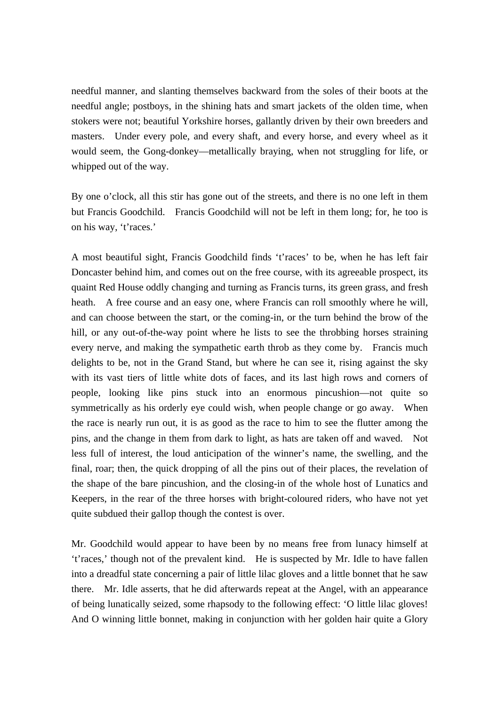needful manner, and slanting themselves backward from the soles of their boots at the needful angle; postboys, in the shining hats and smart jackets of the olden time, when stokers were not; beautiful Yorkshire horses, gallantly driven by their own breeders and masters. Under every pole, and every shaft, and every horse, and every wheel as it would seem, the Gong-donkey—metallically braying, when not struggling for life, or whipped out of the way.

By one o'clock, all this stir has gone out of the streets, and there is no one left in them but Francis Goodchild. Francis Goodchild will not be left in them long; for, he too is on his way, 't'races.'

A most beautiful sight, Francis Goodchild finds 't'races' to be, when he has left fair Doncaster behind him, and comes out on the free course, with its agreeable prospect, its quaint Red House oddly changing and turning as Francis turns, its green grass, and fresh heath. A free course and an easy one, where Francis can roll smoothly where he will, and can choose between the start, or the coming-in, or the turn behind the brow of the hill, or any out-of-the-way point where he lists to see the throbbing horses straining every nerve, and making the sympathetic earth throb as they come by. Francis much delights to be, not in the Grand Stand, but where he can see it, rising against the sky with its vast tiers of little white dots of faces, and its last high rows and corners of people, looking like pins stuck into an enormous pincushion—not quite so symmetrically as his orderly eye could wish, when people change or go away. When the race is nearly run out, it is as good as the race to him to see the flutter among the pins, and the change in them from dark to light, as hats are taken off and waved. Not less full of interest, the loud anticipation of the winner's name, the swelling, and the final, roar; then, the quick dropping of all the pins out of their places, the revelation of the shape of the bare pincushion, and the closing-in of the whole host of Lunatics and Keepers, in the rear of the three horses with bright-coloured riders, who have not yet quite subdued their gallop though the contest is over.

Mr. Goodchild would appear to have been by no means free from lunacy himself at 't'races,' though not of the prevalent kind. He is suspected by Mr. Idle to have fallen into a dreadful state concerning a pair of little lilac gloves and a little bonnet that he saw there. Mr. Idle asserts, that he did afterwards repeat at the Angel, with an appearance of being lunatically seized, some rhapsody to the following effect: 'O little lilac gloves! And O winning little bonnet, making in conjunction with her golden hair quite a Glory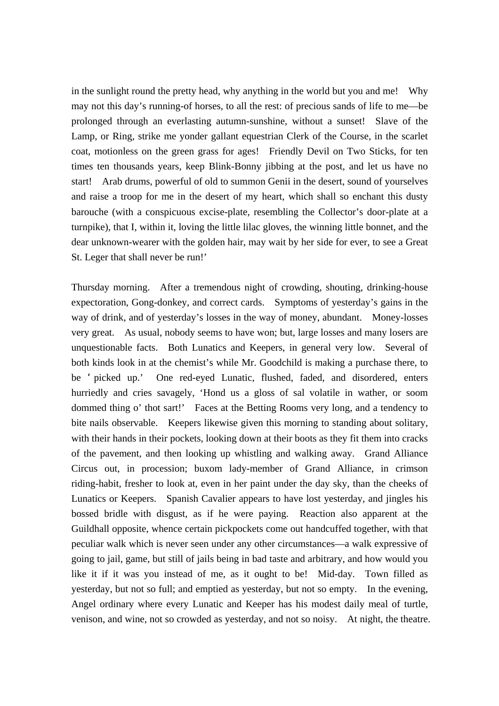in the sunlight round the pretty head, why anything in the world but you and me! Why may not this day's running-of horses, to all the rest: of precious sands of life to me—be prolonged through an everlasting autumn-sunshine, without a sunset! Slave of the Lamp, or Ring, strike me yonder gallant equestrian Clerk of the Course, in the scarlet coat, motionless on the green grass for ages! Friendly Devil on Two Sticks, for ten times ten thousands years, keep Blink-Bonny jibbing at the post, and let us have no start! Arab drums, powerful of old to summon Genii in the desert, sound of yourselves and raise a troop for me in the desert of my heart, which shall so enchant this dusty barouche (with a conspicuous excise-plate, resembling the Collector's door-plate at a turnpike), that I, within it, loving the little lilac gloves, the winning little bonnet, and the dear unknown-wearer with the golden hair, may wait by her side for ever, to see a Great St. Leger that shall never be run!'

Thursday morning. After a tremendous night of crowding, shouting, drinking-house expectoration, Gong-donkey, and correct cards. Symptoms of yesterday's gains in the way of drink, and of yesterday's losses in the way of money, abundant. Money-losses very great. As usual, nobody seems to have won; but, large losses and many losers are unquestionable facts. Both Lunatics and Keepers, in general very low. Several of both kinds look in at the chemist's while Mr. Goodchild is making a purchase there, to be ' picked up.' One red-eyed Lunatic, flushed, faded, and disordered, enters hurriedly and cries savagely, 'Hond us a gloss of sal volatile in wather, or soom dommed thing o' thot sart!' Faces at the Betting Rooms very long, and a tendency to bite nails observable. Keepers likewise given this morning to standing about solitary, with their hands in their pockets, looking down at their boots as they fit them into cracks of the pavement, and then looking up whistling and walking away. Grand Alliance Circus out, in procession; buxom lady-member of Grand Alliance, in crimson riding-habit, fresher to look at, even in her paint under the day sky, than the cheeks of Lunatics or Keepers. Spanish Cavalier appears to have lost yesterday, and jingles his bossed bridle with disgust, as if he were paying. Reaction also apparent at the Guildhall opposite, whence certain pickpockets come out handcuffed together, with that peculiar walk which is never seen under any other circumstances—a walk expressive of going to jail, game, but still of jails being in bad taste and arbitrary, and how would you like it if it was you instead of me, as it ought to be! Mid-day. Town filled as yesterday, but not so full; and emptied as yesterday, but not so empty. In the evening, Angel ordinary where every Lunatic and Keeper has his modest daily meal of turtle, venison, and wine, not so crowded as yesterday, and not so noisy. At night, the theatre.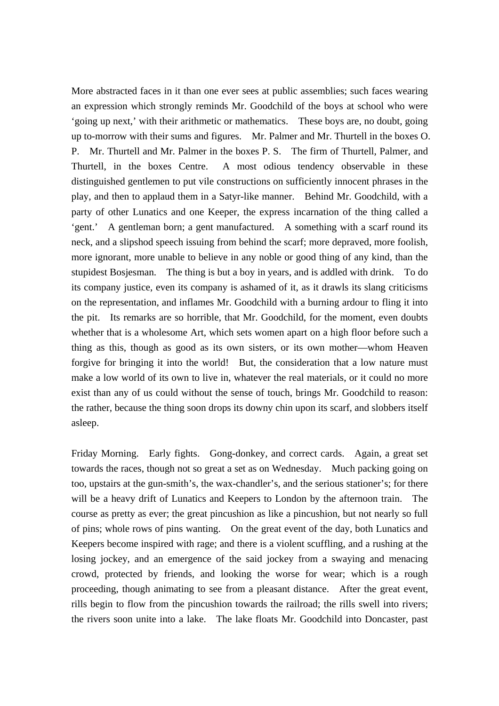More abstracted faces in it than one ever sees at public assemblies; such faces wearing an expression which strongly reminds Mr. Goodchild of the boys at school who were 'going up next,' with their arithmetic or mathematics. These boys are, no doubt, going up to-morrow with their sums and figures. Mr. Palmer and Mr. Thurtell in the boxes O. P. Mr. Thurtell and Mr. Palmer in the boxes P. S. The firm of Thurtell, Palmer, and Thurtell, in the boxes Centre. A most odious tendency observable in these distinguished gentlemen to put vile constructions on sufficiently innocent phrases in the play, and then to applaud them in a Satyr-like manner. Behind Mr. Goodchild, with a party of other Lunatics and one Keeper, the express incarnation of the thing called a 'gent.' A gentleman born; a gent manufactured. A something with a scarf round its neck, and a slipshod speech issuing from behind the scarf; more depraved, more foolish, more ignorant, more unable to believe in any noble or good thing of any kind, than the stupidest Bosjesman. The thing is but a boy in years, and is addled with drink. To do its company justice, even its company is ashamed of it, as it drawls its slang criticisms on the representation, and inflames Mr. Goodchild with a burning ardour to fling it into the pit. Its remarks are so horrible, that Mr. Goodchild, for the moment, even doubts whether that is a wholesome Art, which sets women apart on a high floor before such a thing as this, though as good as its own sisters, or its own mother—whom Heaven forgive for bringing it into the world! But, the consideration that a low nature must make a low world of its own to live in, whatever the real materials, or it could no more exist than any of us could without the sense of touch, brings Mr. Goodchild to reason: the rather, because the thing soon drops its downy chin upon its scarf, and slobbers itself asleep.

Friday Morning. Early fights. Gong-donkey, and correct cards. Again, a great set towards the races, though not so great a set as on Wednesday. Much packing going on too, upstairs at the gun-smith's, the wax-chandler's, and the serious stationer's; for there will be a heavy drift of Lunatics and Keepers to London by the afternoon train. The course as pretty as ever; the great pincushion as like a pincushion, but not nearly so full of pins; whole rows of pins wanting. On the great event of the day, both Lunatics and Keepers become inspired with rage; and there is a violent scuffling, and a rushing at the losing jockey, and an emergence of the said jockey from a swaying and menacing crowd, protected by friends, and looking the worse for wear; which is a rough proceeding, though animating to see from a pleasant distance. After the great event, rills begin to flow from the pincushion towards the railroad; the rills swell into rivers; the rivers soon unite into a lake. The lake floats Mr. Goodchild into Doncaster, past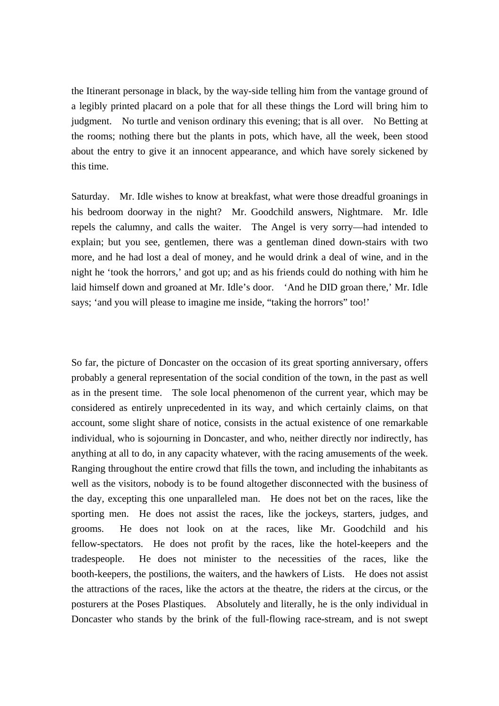the Itinerant personage in black, by the way-side telling him from the vantage ground of a legibly printed placard on a pole that for all these things the Lord will bring him to judgment. No turtle and venison ordinary this evening; that is all over. No Betting at the rooms; nothing there but the plants in pots, which have, all the week, been stood about the entry to give it an innocent appearance, and which have sorely sickened by this time.

Saturday. Mr. Idle wishes to know at breakfast, what were those dreadful groanings in his bedroom doorway in the night? Mr. Goodchild answers, Nightmare. Mr. Idle repels the calumny, and calls the waiter. The Angel is very sorry—had intended to explain; but you see, gentlemen, there was a gentleman dined down-stairs with two more, and he had lost a deal of money, and he would drink a deal of wine, and in the night he 'took the horrors,' and got up; and as his friends could do nothing with him he laid himself down and groaned at Mr. Idle's door. 'And he DID groan there,' Mr. Idle says; 'and you will please to imagine me inside, "taking the horrors" too!"

So far, the picture of Doncaster on the occasion of its great sporting anniversary, offers probably a general representation of the social condition of the town, in the past as well as in the present time. The sole local phenomenon of the current year, which may be considered as entirely unprecedented in its way, and which certainly claims, on that account, some slight share of notice, consists in the actual existence of one remarkable individual, who is sojourning in Doncaster, and who, neither directly nor indirectly, has anything at all to do, in any capacity whatever, with the racing amusements of the week. Ranging throughout the entire crowd that fills the town, and including the inhabitants as well as the visitors, nobody is to be found altogether disconnected with the business of the day, excepting this one unparalleled man. He does not bet on the races, like the sporting men. He does not assist the races, like the jockeys, starters, judges, and grooms. He does not look on at the races, like Mr. Goodchild and his fellow-spectators. He does not profit by the races, like the hotel-keepers and the tradespeople. He does not minister to the necessities of the races, like the booth-keepers, the postilions, the waiters, and the hawkers of Lists. He does not assist the attractions of the races, like the actors at the theatre, the riders at the circus, or the posturers at the Poses Plastiques. Absolutely and literally, he is the only individual in Doncaster who stands by the brink of the full-flowing race-stream, and is not swept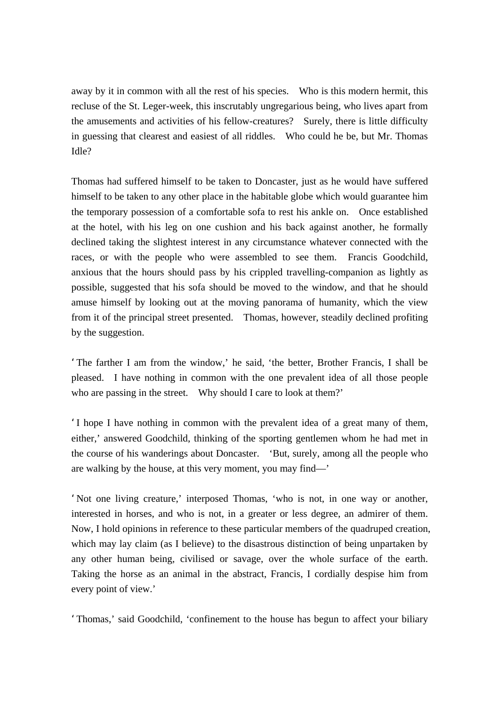away by it in common with all the rest of his species. Who is this modern hermit, this recluse of the St. Leger-week, this inscrutably ungregarious being, who lives apart from the amusements and activities of his fellow-creatures? Surely, there is little difficulty in guessing that clearest and easiest of all riddles. Who could he be, but Mr. Thomas Idle?

Thomas had suffered himself to be taken to Doncaster, just as he would have suffered himself to be taken to any other place in the habitable globe which would guarantee him the temporary possession of a comfortable sofa to rest his ankle on. Once established at the hotel, with his leg on one cushion and his back against another, he formally declined taking the slightest interest in any circumstance whatever connected with the races, or with the people who were assembled to see them. Francis Goodchild, anxious that the hours should pass by his crippled travelling-companion as lightly as possible, suggested that his sofa should be moved to the window, and that he should amuse himself by looking out at the moving panorama of humanity, which the view from it of the principal street presented. Thomas, however, steadily declined profiting by the suggestion.

'The farther I am from the window,' he said, 'the better, Brother Francis, I shall be pleased. I have nothing in common with the one prevalent idea of all those people who are passing in the street. Why should I care to look at them?'

'I hope I have nothing in common with the prevalent idea of a great many of them, either,' answered Goodchild, thinking of the sporting gentlemen whom he had met in the course of his wanderings about Doncaster. 'But, surely, among all the people who are walking by the house, at this very moment, you may find—'

'Not one living creature,' interposed Thomas, 'who is not, in one way or another, interested in horses, and who is not, in a greater or less degree, an admirer of them. Now, I hold opinions in reference to these particular members of the quadruped creation, which may lay claim (as I believe) to the disastrous distinction of being unpartaken by any other human being, civilised or savage, over the whole surface of the earth. Taking the horse as an animal in the abstract, Francis, I cordially despise him from every point of view.'

'Thomas,' said Goodchild, 'confinement to the house has begun to affect your biliary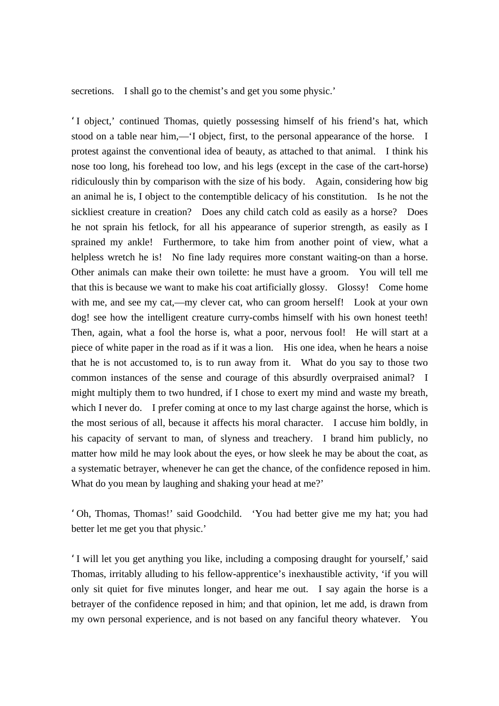secretions. I shall go to the chemist's and get you some physic.'

'I object,' continued Thomas, quietly possessing himself of his friend's hat, which stood on a table near him,—'I object, first, to the personal appearance of the horse. I protest against the conventional idea of beauty, as attached to that animal. I think his nose too long, his forehead too low, and his legs (except in the case of the cart-horse) ridiculously thin by comparison with the size of his body. Again, considering how big an animal he is, I object to the contemptible delicacy of his constitution. Is he not the sickliest creature in creation? Does any child catch cold as easily as a horse? Does he not sprain his fetlock, for all his appearance of superior strength, as easily as I sprained my ankle! Furthermore, to take him from another point of view, what a helpless wretch he is! No fine lady requires more constant waiting-on than a horse. Other animals can make their own toilette: he must have a groom. You will tell me that this is because we want to make his coat artificially glossy. Glossy! Come home with me, and see my cat,—my clever cat, who can groom herself! Look at your own dog! see how the intelligent creature curry-combs himself with his own honest teeth! Then, again, what a fool the horse is, what a poor, nervous fool! He will start at a piece of white paper in the road as if it was a lion. His one idea, when he hears a noise that he is not accustomed to, is to run away from it. What do you say to those two common instances of the sense and courage of this absurdly overpraised animal? I might multiply them to two hundred, if I chose to exert my mind and waste my breath, which I never do. I prefer coming at once to my last charge against the horse, which is the most serious of all, because it affects his moral character. I accuse him boldly, in his capacity of servant to man, of slyness and treachery. I brand him publicly, no matter how mild he may look about the eyes, or how sleek he may be about the coat, as a systematic betrayer, whenever he can get the chance, of the confidence reposed in him. What do you mean by laughing and shaking your head at me?'

'Oh, Thomas, Thomas!' said Goodchild. 'You had better give me my hat; you had better let me get you that physic.'

'I will let you get anything you like, including a composing draught for yourself,' said Thomas, irritably alluding to his fellow-apprentice's inexhaustible activity, 'if you will only sit quiet for five minutes longer, and hear me out. I say again the horse is a betrayer of the confidence reposed in him; and that opinion, let me add, is drawn from my own personal experience, and is not based on any fanciful theory whatever. You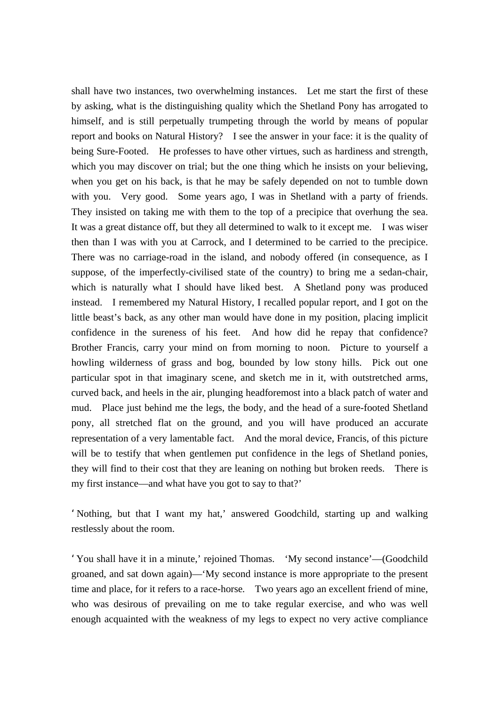shall have two instances, two overwhelming instances. Let me start the first of these by asking, what is the distinguishing quality which the Shetland Pony has arrogated to himself, and is still perpetually trumpeting through the world by means of popular report and books on Natural History? I see the answer in your face: it is the quality of being Sure-Footed. He professes to have other virtues, such as hardiness and strength, which you may discover on trial; but the one thing which he insists on your believing, when you get on his back, is that he may be safely depended on not to tumble down with you. Very good. Some years ago, I was in Shetland with a party of friends. They insisted on taking me with them to the top of a precipice that overhung the sea. It was a great distance off, but they all determined to walk to it except me. I was wiser then than I was with you at Carrock, and I determined to be carried to the precipice. There was no carriage-road in the island, and nobody offered (in consequence, as I suppose, of the imperfectly-civilised state of the country) to bring me a sedan-chair, which is naturally what I should have liked best. A Shetland pony was produced instead. I remembered my Natural History, I recalled popular report, and I got on the little beast's back, as any other man would have done in my position, placing implicit confidence in the sureness of his feet. And how did he repay that confidence? Brother Francis, carry your mind on from morning to noon. Picture to yourself a howling wilderness of grass and bog, bounded by low stony hills. Pick out one particular spot in that imaginary scene, and sketch me in it, with outstretched arms, curved back, and heels in the air, plunging headforemost into a black patch of water and mud. Place just behind me the legs, the body, and the head of a sure-footed Shetland pony, all stretched flat on the ground, and you will have produced an accurate representation of a very lamentable fact. And the moral device, Francis, of this picture will be to testify that when gentlemen put confidence in the legs of Shetland ponies, they will find to their cost that they are leaning on nothing but broken reeds. There is my first instance—and what have you got to say to that?'

'Nothing, but that I want my hat,' answered Goodchild, starting up and walking restlessly about the room.

'You shall have it in a minute,' rejoined Thomas. 'My second instance'—(Goodchild groaned, and sat down again)—'My second instance is more appropriate to the present time and place, for it refers to a race-horse. Two years ago an excellent friend of mine, who was desirous of prevailing on me to take regular exercise, and who was well enough acquainted with the weakness of my legs to expect no very active compliance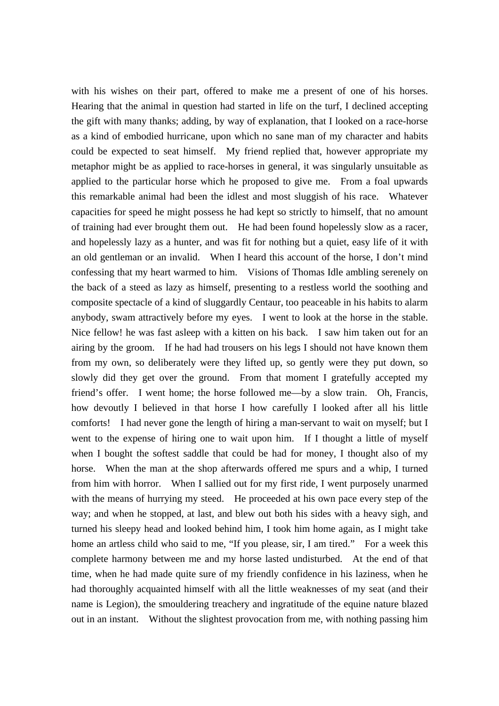with his wishes on their part, offered to make me a present of one of his horses. Hearing that the animal in question had started in life on the turf, I declined accepting the gift with many thanks; adding, by way of explanation, that I looked on a race-horse as a kind of embodied hurricane, upon which no sane man of my character and habits could be expected to seat himself. My friend replied that, however appropriate my metaphor might be as applied to race-horses in general, it was singularly unsuitable as applied to the particular horse which he proposed to give me. From a foal upwards this remarkable animal had been the idlest and most sluggish of his race. Whatever capacities for speed he might possess he had kept so strictly to himself, that no amount of training had ever brought them out. He had been found hopelessly slow as a racer, and hopelessly lazy as a hunter, and was fit for nothing but a quiet, easy life of it with an old gentleman or an invalid. When I heard this account of the horse, I don't mind confessing that my heart warmed to him. Visions of Thomas Idle ambling serenely on the back of a steed as lazy as himself, presenting to a restless world the soothing and composite spectacle of a kind of sluggardly Centaur, too peaceable in his habits to alarm anybody, swam attractively before my eyes. I went to look at the horse in the stable. Nice fellow! he was fast asleep with a kitten on his back. I saw him taken out for an airing by the groom. If he had had trousers on his legs I should not have known them from my own, so deliberately were they lifted up, so gently were they put down, so slowly did they get over the ground. From that moment I gratefully accepted my friend's offer. I went home; the horse followed me—by a slow train. Oh, Francis, how devoutly I believed in that horse I how carefully I looked after all his little comforts! I had never gone the length of hiring a man-servant to wait on myself; but I went to the expense of hiring one to wait upon him. If I thought a little of myself when I bought the softest saddle that could be had for money, I thought also of my horse. When the man at the shop afterwards offered me spurs and a whip, I turned from him with horror. When I sallied out for my first ride, I went purposely unarmed with the means of hurrying my steed. He proceeded at his own pace every step of the way; and when he stopped, at last, and blew out both his sides with a heavy sigh, and turned his sleepy head and looked behind him, I took him home again, as I might take home an artless child who said to me, "If you please, sir, I am tired." For a week this complete harmony between me and my horse lasted undisturbed. At the end of that time, when he had made quite sure of my friendly confidence in his laziness, when he had thoroughly acquainted himself with all the little weaknesses of my seat (and their name is Legion), the smouldering treachery and ingratitude of the equine nature blazed out in an instant. Without the slightest provocation from me, with nothing passing him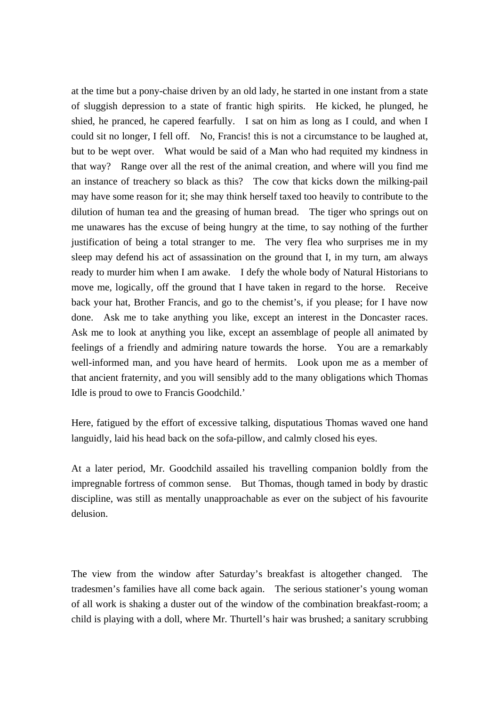at the time but a pony-chaise driven by an old lady, he started in one instant from a state of sluggish depression to a state of frantic high spirits. He kicked, he plunged, he shied, he pranced, he capered fearfully. I sat on him as long as I could, and when I could sit no longer, I fell off. No, Francis! this is not a circumstance to be laughed at, but to be wept over. What would be said of a Man who had requited my kindness in that way? Range over all the rest of the animal creation, and where will you find me an instance of treachery so black as this? The cow that kicks down the milking-pail may have some reason for it; she may think herself taxed too heavily to contribute to the dilution of human tea and the greasing of human bread. The tiger who springs out on me unawares has the excuse of being hungry at the time, to say nothing of the further justification of being a total stranger to me. The very flea who surprises me in my sleep may defend his act of assassination on the ground that I, in my turn, am always ready to murder him when I am awake. I defy the whole body of Natural Historians to move me, logically, off the ground that I have taken in regard to the horse. Receive back your hat, Brother Francis, and go to the chemist's, if you please; for I have now done. Ask me to take anything you like, except an interest in the Doncaster races. Ask me to look at anything you like, except an assemblage of people all animated by feelings of a friendly and admiring nature towards the horse. You are a remarkably well-informed man, and you have heard of hermits. Look upon me as a member of that ancient fraternity, and you will sensibly add to the many obligations which Thomas Idle is proud to owe to Francis Goodchild.'

Here, fatigued by the effort of excessive talking, disputatious Thomas waved one hand languidly, laid his head back on the sofa-pillow, and calmly closed his eyes.

At a later period, Mr. Goodchild assailed his travelling companion boldly from the impregnable fortress of common sense. But Thomas, though tamed in body by drastic discipline, was still as mentally unapproachable as ever on the subject of his favourite delusion.

The view from the window after Saturday's breakfast is altogether changed. The tradesmen's families have all come back again. The serious stationer's young woman of all work is shaking a duster out of the window of the combination breakfast-room; a child is playing with a doll, where Mr. Thurtell's hair was brushed; a sanitary scrubbing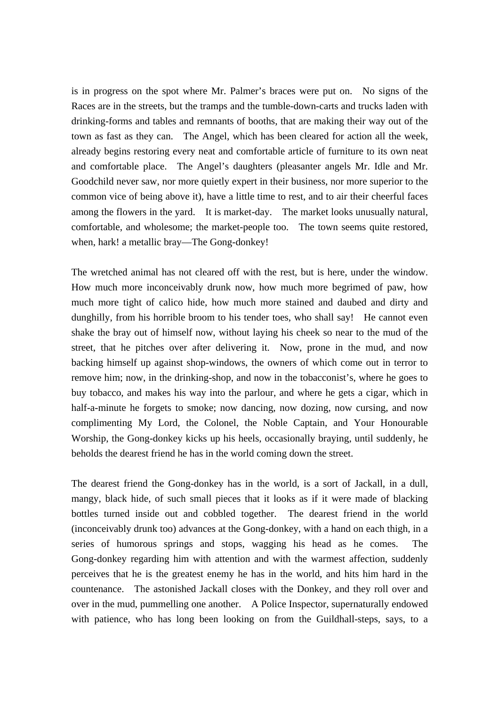is in progress on the spot where Mr. Palmer's braces were put on. No signs of the Races are in the streets, but the tramps and the tumble-down-carts and trucks laden with drinking-forms and tables and remnants of booths, that are making their way out of the town as fast as they can. The Angel, which has been cleared for action all the week, already begins restoring every neat and comfortable article of furniture to its own neat and comfortable place. The Angel's daughters (pleasanter angels Mr. Idle and Mr. Goodchild never saw, nor more quietly expert in their business, nor more superior to the common vice of being above it), have a little time to rest, and to air their cheerful faces among the flowers in the yard. It is market-day. The market looks unusually natural, comfortable, and wholesome; the market-people too. The town seems quite restored, when, hark! a metallic bray—The Gong-donkey!

The wretched animal has not cleared off with the rest, but is here, under the window. How much more inconceivably drunk now, how much more begrimed of paw, how much more tight of calico hide, how much more stained and daubed and dirty and dunghilly, from his horrible broom to his tender toes, who shall say! He cannot even shake the bray out of himself now, without laying his cheek so near to the mud of the street, that he pitches over after delivering it. Now, prone in the mud, and now backing himself up against shop-windows, the owners of which come out in terror to remove him; now, in the drinking-shop, and now in the tobacconist's, where he goes to buy tobacco, and makes his way into the parlour, and where he gets a cigar, which in half-a-minute he forgets to smoke; now dancing, now dozing, now cursing, and now complimenting My Lord, the Colonel, the Noble Captain, and Your Honourable Worship, the Gong-donkey kicks up his heels, occasionally braying, until suddenly, he beholds the dearest friend he has in the world coming down the street.

The dearest friend the Gong-donkey has in the world, is a sort of Jackall, in a dull, mangy, black hide, of such small pieces that it looks as if it were made of blacking bottles turned inside out and cobbled together. The dearest friend in the world (inconceivably drunk too) advances at the Gong-donkey, with a hand on each thigh, in a series of humorous springs and stops, wagging his head as he comes. The Gong-donkey regarding him with attention and with the warmest affection, suddenly perceives that he is the greatest enemy he has in the world, and hits him hard in the countenance. The astonished Jackall closes with the Donkey, and they roll over and over in the mud, pummelling one another. A Police Inspector, supernaturally endowed with patience, who has long been looking on from the Guildhall-steps, says, to a